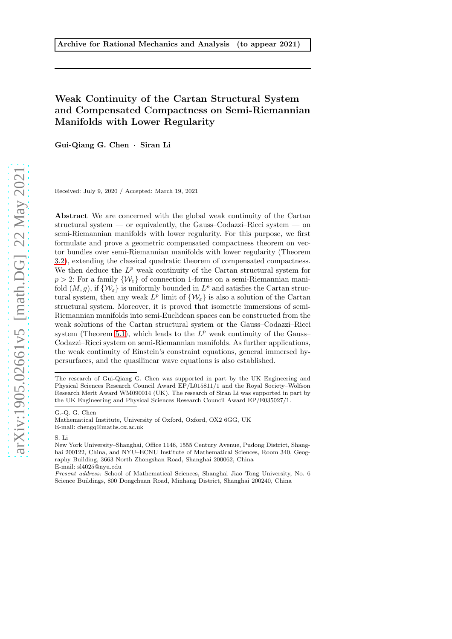# Weak Continuity of the Cartan Structural System and Compensated Compactness on Semi-Riemannian Manifolds with Lower Regularity

Gui-Qiang G. Chen · Siran Li

Received: July 9, 2020 / Accepted: March 19, 2021

Abstract We are concerned with the global weak continuity of the Cartan structural system — or equivalently, the Gauss–Codazzi–Ricci system — on semi-Riemannian manifolds with lower regularity. For this purpose, we first formulate and prove a geometric compensated compactness theorem on vector bundles over semi-Riemannian manifolds with lower regularity (Theorem [3.2\)](#page-26-0), extending the classical quadratic theorem of compensated compactness. We then deduce the  $L^p$  weak continuity of the Cartan structural system for  $p > 2$ : For a family  $\{W_{\varepsilon}\}\$  of connection 1-forms on a semi-Riemannian manifold  $(M, g)$ , if  $\{W_{\varepsilon}\}\)$  is uniformly bounded in  $L^p$  and satisfies the Cartan structural system, then any weak  $L^p$  limit of  $\{\mathcal{W}_{\varepsilon}\}\)$  is also a solution of the Cartan structural system. Moreover, it is proved that isometric immersions of semi-Riemannian manifolds into semi-Euclidean spaces can be constructed from the weak solutions of the Cartan structural system or the Gauss–Codazzi–Ricci system (Theorem [5.1\)](#page-34-0), which leads to the  $L^p$  weak continuity of the Gauss-Codazzi–Ricci system on semi-Riemannian manifolds. As further applications, the weak continuity of Einstein's constraint equations, general immersed hypersurfaces, and the quasilinear wave equations is also established.

G.-Q. G. Chen

The research of Gui-Qiang G. Chen was supported in part by the UK Engineering and Physical Sciences Research Council Award EP/L015811/1 and the Royal Society–Wolfson Research Merit Award WM090014 (UK). The research of Siran Li was supported in part by the UK Engineering and Physical Sciences Research Council Award EP/E035027/1.

Mathematical Institute, University of Oxford, Oxford, OX2 6GG, UK E-mail: chengq@maths.ox.ac.uk

S. Li

New York University–Shanghai, Office 1146, 1555 Century Avenue, Pudong District, Shanghai 200122, China, and NYU–ECNU Institute of Mathematical Sciences, Room 340, Geography Building, 3663 North Zhongshan Road, Shanghai 200062, China E-mail: sl4025@nyu.edu

Present address: School of Mathematical Sciences, Shanghai Jiao Tong University, No. 6 Science Buildings, 800 Dongchuan Road, Minhang District, Shanghai 200240, China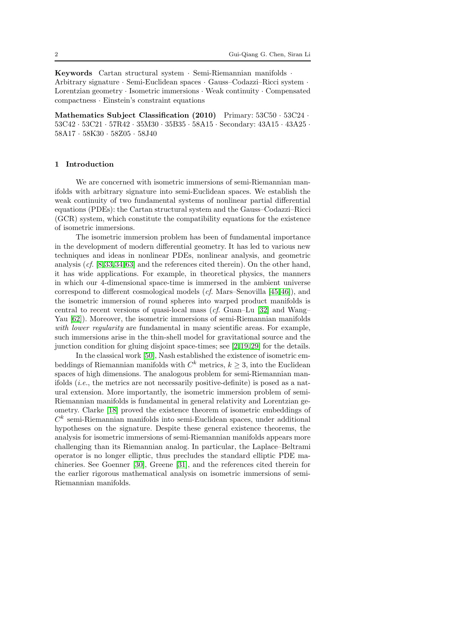Keywords Cartan structural system · Semi-Riemannian manifolds · Arbitrary signature · Semi-Euclidean spaces · Gauss–Codazzi–Ricci system · Lorentzian geometry · Isometric immersions · Weak continuity · Compensated compactness · Einstein's constraint equations

Mathematics Subject Classification (2010) Primary:  $53C50 \cdot 53C24$ . 53C42 · 53C21 · 57R42 · 35M30 · 35B35 · 58A15 · Secondary: 43A15 · 43A25 · 58A17 · 58K30 · 58Z05 · 58J40

## 1 Introduction

We are concerned with isometric immersions of semi-Riemannian manifolds with arbitrary signature into semi-Euclidean spaces. We establish the weak continuity of two fundamental systems of nonlinear partial differential equations (PDEs): the Cartan structural system and the Gauss–Codazzi–Ricci (GCR) system, which constitute the compatibility equations for the existence of isometric immersions.

The isometric immersion problem has been of fundamental importance in the development of modern differential geometry. It has led to various new techniques and ideas in nonlinear PDEs, nonlinear analysis, and geometric analysis (cf. [\[8,](#page-62-0)[33,](#page-62-1)[34,](#page-62-2)[63\]](#page-63-0) and the references cited therein). On the other hand, it has wide applications. For example, in theoretical physics, the manners in which our 4-dimensional space-time is immersed in the ambient universe correspond to different cosmological models (cf. Mars–Senovilla [\[45,](#page-63-1)[46\]](#page-63-2)), and the isometric immersion of round spheres into warped product manifolds is central to recent versions of quasi-local mass (cf. Guan–Lu [\[32\]](#page-62-3) and Wang– Yau [\[62\]](#page-63-3)). Moreover, the isometric immersions of semi-Riemannian manifolds with lower regularity are fundamental in many scientific areas. For example, such immersions arise in the thin-shell model for gravitational source and the junction condition for gluing disjoint space-times; see [\[2,](#page-61-0)[19,](#page-62-4)[29\]](#page-62-5) for the details.

In the classical work [\[50\]](#page-63-4), Nash established the existence of isometric embeddings of Riemannian manifolds with  $C^k$  metrics,  $k \geq 3$ , into the Euclidean spaces of high dimensions. The analogous problem for semi-Riemannian manifolds  $(i.e.,$  the metrics are not necessarily positive-definite) is posed as a natural extension. More importantly, the isometric immersion problem of semi-Riemannian manifolds is fundamental in general relativity and Lorentzian geometry. Clarke [\[18\]](#page-62-6) proved the existence theorem of isometric embeddings of  $C<sup>k</sup>$  semi-Riemannian manifolds into semi-Euclidean spaces, under additional hypotheses on the signature. Despite these general existence theorems, the analysis for isometric immersions of semi-Riemannian manifolds appears more challenging than its Riemannian analog. In particular, the Laplace–Beltrami operator is no longer elliptic, thus precludes the standard elliptic PDE machineries. See Goenner [\[30\]](#page-62-7), Greene [\[31\]](#page-62-8), and the references cited therein for the earlier rigorous mathematical analysis on isometric immersions of semi-Riemannian manifolds.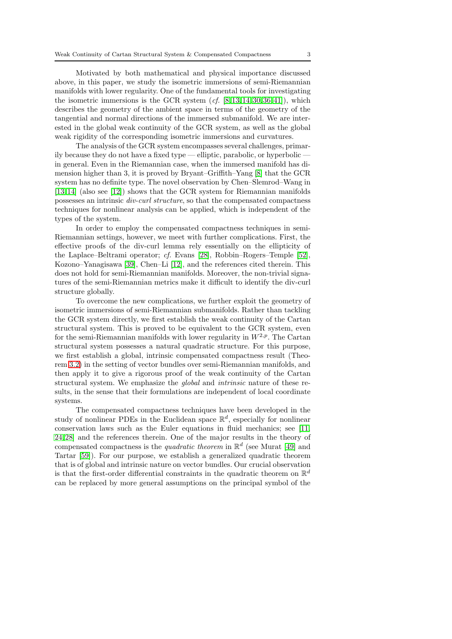Motivated by both mathematical and physical importance discussed above, in this paper, we study the isometric immersions of semi-Riemannian manifolds with lower regularity. One of the fundamental tools for investigating the isometric immersions is the GCR system  $(cf. [8, 13, 14, 30, 36, 41])$  $(cf. [8, 13, 14, 30, 36, 41])$  $(cf. [8, 13, 14, 30, 36, 41])$  $(cf. [8, 13, 14, 30, 36, 41])$  $(cf. [8, 13, 14, 30, 36, 41])$  $(cf. [8, 13, 14, 30, 36, 41])$  $(cf. [8, 13, 14, 30, 36, 41])$  $(cf. [8, 13, 14, 30, 36, 41])$  $(cf. [8, 13, 14, 30, 36, 41])$  $(cf. [8, 13, 14, 30, 36, 41])$  $(cf. [8, 13, 14, 30, 36, 41])$  $(cf. [8, 13, 14, 30, 36, 41])$  $(cf. [8, 13, 14, 30, 36, 41])$ , which describes the geometry of the ambient space in terms of the geometry of the tangential and normal directions of the immersed submanifold. We are interested in the global weak continuity of the GCR system, as well as the global weak rigidity of the corresponding isometric immersions and curvatures.

The analysis of the GCR system encompasses several challenges, primarily because they do not have a fixed type — elliptic, parabolic, or hyperbolic – in general. Even in the Riemannian case, when the immersed manifold has dimension higher than 3, it is proved by Bryant–Griffith–Yang [\[8\]](#page-62-0) that the GCR system has no definite type. The novel observation by Chen–Slemrod–Wang in [\[13,](#page-62-9)[14\]](#page-62-10) (also see [\[12\]](#page-62-11)) shows that the GCR system for Riemannian manifolds possesses an intrinsic div-curl structure, so that the compensated compactness techniques for nonlinear analysis can be applied, which is independent of the types of the system.

In order to employ the compensated compactness techniques in semi-Riemannian settings, however, we meet with further complications. First, the effective proofs of the div-curl lemma rely essentially on the ellipticity of the Laplace–Beltrami operator; cf. Evans [\[28\]](#page-62-12), Robbin–Rogers–Temple [\[52\]](#page-63-7), Kozono–Yanagisawa [\[39\]](#page-63-8), Chen–Li [\[12\]](#page-62-11), and the references cited therein. This does not hold for semi-Riemannian manifolds. Moreover, the non-trivial signatures of the semi-Riemannian metrics make it difficult to identify the div-curl structure globally.

To overcome the new complications, we further exploit the geometry of isometric immersions of semi-Riemannian submanifolds. Rather than tackling the GCR system directly, we first establish the weak continuity of the Cartan structural system. This is proved to be equivalent to the GCR system, even for the semi-Riemannian manifolds with lower regularity in  $W^{2,p}$ . The Cartan structural system possesses a natural quadratic structure. For this purpose, we first establish a global, intrinsic compensated compactness result (Theorem [3.2\)](#page-26-0) in the setting of vector bundles over semi-Riemannian manifolds, and then apply it to give a rigorous proof of the weak continuity of the Cartan structural system. We emphasize the global and intrinsic nature of these results, in the sense that their formulations are independent of local coordinate systems.

The compensated compactness techniques have been developed in the study of nonlinear PDEs in the Euclidean space  $\mathbb{R}^d$ , especially for nonlinear conservation laws such as the Euler equations in fluid mechanics; see [\[11,](#page-62-13) [24,](#page-62-14)[28\]](#page-62-12) and the references therein. One of the major results in the theory of compensated compactness is the *quadratic theorem* in  $\mathbb{R}^d$  (see Murat [\[49\]](#page-63-9) and Tartar [\[59\]](#page-63-10)). For our purpose, we establish a generalized quadratic theorem that is of global and intrinsic nature on vector bundles. Our crucial observation is that the first-order differential constraints in the quadratic theorem on  $\mathbb{R}^d$ can be replaced by more general assumptions on the principal symbol of the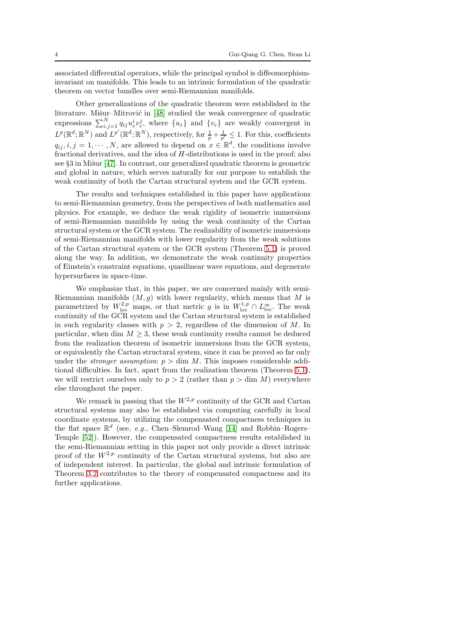associated differential operators, while the principal symbol is diffeomorphisminvariant on manifolds. This leads to an intrinsic formulation of the quadratic theorem on vector bundles over semi-Riemannian manifolds.

Other generalizations of the quadratic theorem were established in the literature. Mišur–Mitrović in [\[48\]](#page-63-11) studied the weak convergence of quadratic expressions  $\sum_{i,j=1}^{N} q_{ij} u_{\varepsilon}^{i} v_{\varepsilon}^{j}$ , where  $\{u_{\varepsilon}\}\$  and  $\{v_{\varepsilon}\}\$ are weakly convergent in  $L^p(\mathbb{R}^d;\mathbb{R}^N)$  and  $L^{p'}(\mathbb{R}^d;\mathbb{R}^N)$ , respectively, for  $\frac{1}{p} + \frac{1}{p'} \leq 1$ . For this, coefficients  $q_{ij}, i, j = 1, \cdots, N$ , are allowed to depend on  $x \in \mathbb{R}^d$ , the conditions involve fractional derivatives, and the idea of H-distributions is used in the proof; also see §3 in Mi $\gamma$ ur [\[47\]](#page-63-12). In contrast, our generalized quadratic theorem is geometric and global in nature, which serves naturally for our purpose to establish the weak continuity of both the Cartan structural system and the GCR system.

The results and techniques established in this paper have applications to semi-Riemannian geometry, from the perspectives of both mathematics and physics. For example, we deduce the weak rigidity of isometric immersions of semi-Riemannian manifolds by using the weak continuity of the Cartan structural system or the GCR system. The realizability of isometric immersions of semi-Riemannian manifolds with lower regularity from the weak solutions of the Cartan structural system or the GCR system (Theorem [5.1\)](#page-34-0) is proved along the way. In addition, we demonstrate the weak continuity properties of Einstein's constraint equations, quasilinear wave equations, and degenerate hypersurfaces in space-time.

We emphasize that, in this paper, we are concerned mainly with semi-Riemannian manifolds  $(M, q)$  with lower regularity, which means that M is parametrized by  $W^{2,p}_{loc}$  maps, or that metric g is in  $W^{1,p}_{loc} \cap L^{\infty}_{loc}$ . The weak continuity of the GCR system and the Cartan structural system is established in such regularity classes with  $p > 2$ , regardless of the dimension of M. In particular, when dim  $M \geq 3$ , these weak continuity results cannot be deduced from the realization theorem of isometric immersions from the GCR system, or equivalently the Cartan structural system, since it can be proved so far only under the *stronger assumption*:  $p > \dim M$ . This imposes considerable additional difficulties. In fact, apart from the realization theorem (Theorem [5.1\)](#page-34-0), we will restrict ourselves only to  $p > 2$  (rather than  $p > \dim M$ ) everywhere else throughout the paper.

We remark in passing that the  $W^{2,p}$  continuity of the GCR and Cartan structural systems may also be established via computing carefully in local coordinate systems, by utilizing the compensated compactness techniques in the flat space  $\mathbb{R}^d$  (see, e.g., Chen–Slemrod–Wang [\[14\]](#page-62-10) and Robbin–Rogers– Temple [\[52\]](#page-63-7)). However, the compensated compactness results established in the semi-Riemannian setting in this paper not only provide a direct intrinsic proof of the  $W^{2,p}$  continuity of the Cartan structural systems, but also are of independent interest. In particular, the global and intrinsic formulation of Theorem [3.2](#page-26-0) contributes to the theory of compensated compactness and its further applications.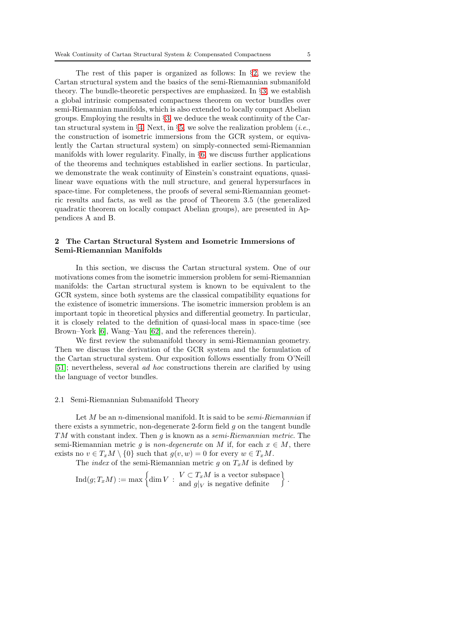The rest of this paper is organized as follows: In §[2,](#page-4-0) we review the Cartan structural system and the basics of the semi-Riemannian submanifold theory. The bundle-theoretic perspectives are emphasized. In  $\S$ [3,](#page-13-0) we establish a global intrinsic compensated compactness theorem on vector bundles over semi-Riemannian manifolds, which is also extended to locally compact Abelian groups. Employing the results in §[3,](#page-13-0) we deduce the weak continuity of the Car-tan structural system in §[4.](#page-28-0) Next, in §[5,](#page-33-0) we solve the realization problem (*i.e.*, the construction of isometric immersions from the GCR system, or equivalently the Cartan structural system) on simply-connected semi-Riemannian manifolds with lower regularity. Finally, in §[6,](#page-39-0) we discuss further applications of the theorems and techniques established in earlier sections. In particular, we demonstrate the weak continuity of Einstein's constraint equations, quasilinear wave equations with the null structure, and general hypersurfaces in space-time. For completeness, the proofs of several semi-Riemannian geometric results and facts, as well as the proof of Theorem 3.5 (the generalized quadratic theorem on locally compact Abelian groups), are presented in Appendices A and B.

# <span id="page-4-0"></span>2 The Cartan Structural System and Isometric Immersions of Semi-Riemannian Manifolds

In this section, we discuss the Cartan structural system. One of our motivations comes from the isometric immersion problem for semi-Riemannian manifolds: the Cartan structural system is known to be equivalent to the GCR system, since both systems are the classical compatibility equations for the existence of isometric immersions. The isometric immersion problem is an important topic in theoretical physics and differential geometry. In particular, it is closely related to the definition of quasi-local mass in space-time (see Brown–York [\[6\]](#page-62-15), Wang–Yau [\[62\]](#page-63-3), and the references therein).

We first review the submanifold theory in semi-Riemannian geometry. Then we discuss the derivation of the GCR system and the formulation of the Cartan structural system. Our exposition follows essentially from O'Neill [\[51\]](#page-63-13); nevertheless, several ad hoc constructions therein are clarified by using the language of vector bundles.

#### <span id="page-4-1"></span>2.1 Semi-Riemannian Submanifold Theory

Let  $M$  be an *n*-dimensional manifold. It is said to be *semi-Riemannian* if there exists a symmetric, non-degenerate 2-form field  $g$  on the tangent bundle TM with constant index. Then g is known as a semi-Riemannian metric. The semi-Riemannian metric q is non-degenerate on M if, for each  $x \in M$ , there exists no  $v \in T_xM \setminus \{0\}$  such that  $g(v, w) = 0$  for every  $w \in T_xM$ .

The *index* of the semi-Riemannian metric g on  $T_xM$  is defined by

$$
\mathrm{Ind}(g;T_xM):=\max\left\{\dim V\::\: \begin{aligned}\n&V\subset T_xM\text{ is a vector subspace }\\
\text{ and }&g|_V\text{ is negative definite }\n\end{aligned}\right\}.
$$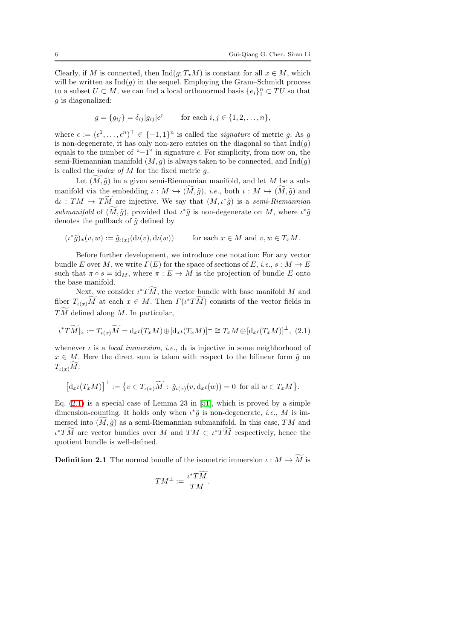Clearly, if M is connected, then  $\text{Ind}(g; T_xM)$  is constant for all  $x \in M$ , which will be written as  $\text{Ind}(g)$  in the sequel. Employing the Gram–Schmidt process to a subset  $U \subset M$ , we can find a local orthonormal basis  $\{e_i\}_1^n \subset TU$  so that  $g$  is diagonalized:

$$
g = \{g_{ij}\} = \delta_{ij}|g_{ij}|\epsilon^j \quad \text{for each } i, j \in \{1, 2, \dots, n\},\
$$

where  $\epsilon := (\epsilon^1, \ldots, \epsilon^n)^{\top} \in \{-1, 1\}^n$  is called the *signature* of metric g. As g is non-degenerate, it has only non-zero entries on the diagonal so that  $\text{Ind}(q)$ equals to the number of "−1" in signature  $\epsilon$ . For simplicity, from now on, the semi-Riemannian manifold  $(M, g)$  is always taken to be connected, and  $\text{Ind}(g)$ is called the *index of*  $M$  for the fixed metric  $g$ .

Let  $(M, \tilde{g})$  be a given semi-Riemannian manifold, and let M be a submanifold via the embedding  $\iota : M \hookrightarrow (M, \tilde{g})$ , *i.e.*, both  $\iota : M \hookrightarrow (M, \tilde{g})$  and  $\mathrm{d}\iota : TM \to TM$  are injective. We say that  $(M, \iota^*\tilde{g})$  is a semi-Riemannian submanifold of  $(\overline{M}, \tilde{g})$ , provided that  $\iota^* \tilde{g}$  is non-degenerate on M, where  $\iota^* \tilde{g}$ denotes the pullback of  $\tilde{g}$  defined by

$$
(\iota^* \tilde{g})_x(v,w) := \tilde{g}_{\iota(x)}(\mathrm{d}\iota(v),\mathrm{d}\iota(w)) \qquad \text{ for each } x \in M \text{ and } v, w \in T_xM.
$$

Before further development, we introduce one notation: For any vector bundle E over M, we write  $\Gamma(E)$  for the space of sections of E, i.e.,  $s : M \to E$ such that  $\pi \circ s = id_M$ , where  $\pi : E \to M$  is the projection of bundle E onto the base manifold.

Next, we consider  $\iota^*TM$ , the vector bundle with base manifold M and fiber  $T_{\iota(x)}\overline{M}$  at each  $x \in M$ . Then  $\Gamma(\iota^*T\overline{M})$  consists of the vector fields in  $TM$  defined along M. In particular,

<span id="page-5-0"></span>
$$
\iota^*T\widetilde{M}|_x := T_{\iota(x)}\widetilde{M} = d_x\iota(T_xM) \oplus [d_x\iota(T_xM)]^{\perp} \cong T_xM \oplus [d_x\iota(T_xM)]^{\perp}, \tag{2.1}
$$

whenever  $\iota$  is a *local immersion*, *i.e.*, d $\iota$  is injective in some neighborhood of  $x \in M$ . Here the direct sum is taken with respect to the bilinear form  $\tilde{g}$  on  $T_{\iota(x)}M$ :

$$
\left[d_x\iota(T_xM)\right]^{\perp}:=\big\{v\in T_{\iota(x)}\widetilde{M}:\,\tilde{g}_{\iota(x)}(v,\mathrm{d}_x\iota(w))=0\,\text{ for all }w\in T_xM\big\}.
$$

Eq.  $(2.1)$  is a special case of Lemma 23 in [\[51\]](#page-63-13), which is proved by a simple dimension-counting. It holds only when  $\iota^*\tilde{g}$  is non-degenerate, *i.e.*, M is immersed into  $(M, \tilde{g})$  as a semi-Riemannian submanifold. In this case,  $TM$  and  $\iota^*TM$  are vector bundles over M and  $TM \subset \iota^*TM$  respectively, hence the quotient bundle is well-defined.

**Definition 2.1** The normal bundle of the isometric immersion  $\iota : M \hookrightarrow M$  is

$$
TM^{\perp} := \frac{\iota^* T \tilde{M}}{TM}.
$$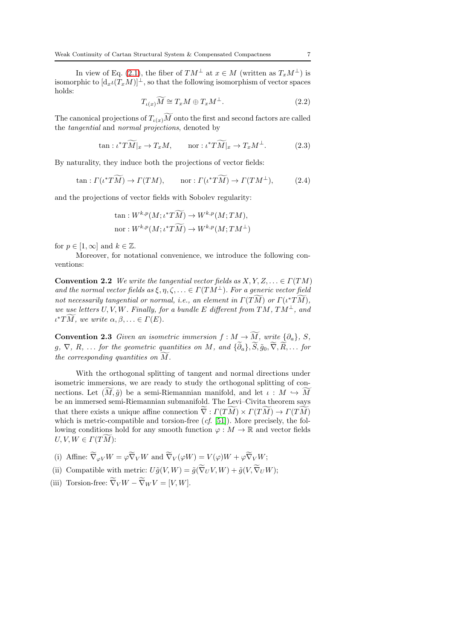In view of Eq. [\(2.1\)](#page-5-0), the fiber of  $TM^{\perp}$  at  $x \in M$  (written as  $T_xM^{\perp}$ ) is isomorphic to  $[d_x \iota(T_x M)]^{\perp}$ , so that the following isomorphism of vector spaces holds:

<span id="page-6-2"></span>
$$
T_{\iota(x)}\widetilde{M} \cong T_xM \oplus T_xM^{\perp}.
$$
\n(2.2)

The canonical projections of  $T_{\iota(x)}M$  onto the first and second factors are called the tangential and normal projections, denoted by

$$
\tan : \iota^* T\widetilde{M}|_x \to T_x M, \qquad \text{nor} : \iota^* T\widetilde{M}|_x \to T_x M^\perp. \tag{2.3}
$$

By naturality, they induce both the projections of vector fields:

<span id="page-6-0"></span>
$$
\tan: \Gamma(\iota^* T\widetilde{M}) \to \Gamma(TM), \qquad \text{nor}: \Gamma(\iota^* T\widetilde{M}) \to \Gamma(TM^\perp), \tag{2.4}
$$

and the projections of vector fields with Sobolev regularity:

$$
\tan: W^{k,p}(M; \iota^*T\widetilde{M}) \to W^{k,p}(M; TM),
$$
  
nor 
$$
: W^{k,p}(M; \iota^*T\widetilde{M}) \to W^{k,p}(M; TM^{\perp})
$$

for  $p \in [1, \infty]$  and  $k \in \mathbb{Z}$ .

<span id="page-6-1"></span>Moreover, for notational convenience, we introduce the following conventions:

**Convention 2.2** We write the tangential vector fields as  $X, Y, Z, \ldots \in \Gamma(TM)$ and the normal vector fields as  $\xi, \eta, \zeta, \ldots \in \Gamma(TM^{\perp})$ . For a generic vector field not necessarily tangential or normal, i.e., an element in  $\varGamma(TM)$  or  $\varGamma(\iota^*TM),$ we use letters  $U, V, W$ . Finally, for a bundle E different from  $TM, TM^{\perp}$ , and  $\iota^* T\overline{M}$ , we write  $\alpha, \beta, \ldots \in \Gamma(E)$ .

**Convention 2.3** Given an isometric immersion  $f : M \to M$ , write  $\{\partial_a\}$ , S,  $g, \nabla, R, \ldots$  for the geometric quantities on M, and  $\{\partial_a\}, S, \tilde{g}_0, \nabla, R, \ldots$  for  $the\ corresponding\ quantities\ on\ M.$ 

With the orthogonal splitting of tangent and normal directions under isometric immersions, we are ready to study the orthogonal splitting of connections. Let  $(M, \tilde{g})$  be a semi-Riemannian manifold, and let  $\iota : M \hookrightarrow M$ be an immersed semi-Riemannian submanifold. The Levi–Civita theorem says that there exists a unique affine connection  $\nabla : \Gamma(TM) \times \Gamma(TM) \to \Gamma(TM)$ which is metric-compatible and torsion-free  $(cf. [51])$  $(cf. [51])$  $(cf. [51])$ . More precisely, the following conditions hold for any smooth function  $\varphi : M \to \mathbb{R}$  and vector fields  $U, V, W \in \Gamma(T\widetilde{M})$ :

- (i) Affine:  $\nabla_{\varphi V} W = \varphi \nabla_V W$  and  $\nabla_V (\varphi W) = V(\varphi) W + \varphi \nabla_V W$ ;
- (ii) Compatible with metric:  $U\tilde{g}(V,W) = \tilde{g}(\nabla_U V, W) + \tilde{g}(V, \nabla_U W);$
- (iii) Torsion-free:  $\nabla_V W \nabla_W V = [V, W].$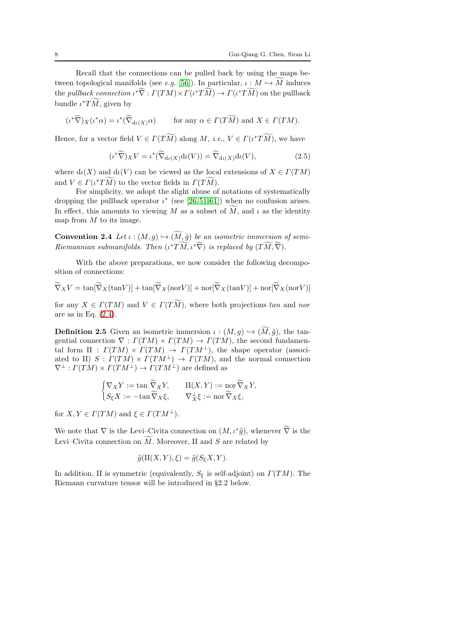Recall that the connections can be pulled back by using the maps between topological manifolds (see *e.g.* [\[56\]](#page-63-14)). In particular,  $\iota: M \hookrightarrow M$  induces the *pullback connection*  $\iota^* \nabla : \Gamma(TM) \times \Gamma(\iota^* TM) \to \Gamma(\iota^* TM)$  on the pullback bundle  $\iota^*TM$ , given by

$$
(\iota^*\widetilde{\nabla})_X(\iota^*\alpha) = \iota^*(\widetilde{\nabla}_{\mathrm{d}\iota(X)}\alpha) \qquad \text{for any } \alpha \in \Gamma(T\widetilde{M}) \text{ and } X \in \Gamma(TM).
$$

Hence, for a vector field  $V \in \Gamma(TM)$  along  $M$ , *i.e.*,  $V \in \Gamma(\iota^*TM)$ , we have

$$
(\iota^*\widetilde{\nabla})_X V = \iota^*(\widetilde{\nabla}_{\mathrm{d}\iota(X)} \mathrm{d}\iota(V)) = \widetilde{\nabla}_{\mathrm{d}\iota(X)} \mathrm{d}\iota(V),\tag{2.5}
$$

where  $d_l(X)$  and  $d_l(V)$  can be viewed as the local extensions of  $X \in \Gamma(TM)$ and  $V \in \Gamma(\iota^* T\overline{M})$  to the vector fields in  $\Gamma(T\overline{M})$ .

For simplicity, we adopt the slight abuse of notations of systematically dropping the pullback operator  $\iota^*$  (see [\[26,](#page-62-16)[51,](#page-63-13)[61\]](#page-63-15)) when no confusion arises. In effect, this amounts to viewing M as a subset of M, and  $\iota$  as the identity map from  $M$  to its image.

**Convention 2.4** Let  $\iota : (M, g) \hookrightarrow (M, \tilde{g})$  be an isometric immersion of semi-Riemannian submanifolds. Then  $(\iota^*TM, \iota^*\nabla)$  is replaced by  $(TM, \nabla)$ .

With the above preparations, we now consider the following decomposition of connections:

 $\nabla_X V = \tan[\nabla_X(\tan V)] + \tan[\nabla_X(\tan V)] + \text{nor}[\nabla_X(\tan V)] + \text{nor}[\nabla_X(\tan V)]$ 

<span id="page-7-0"></span>for any  $X \in \Gamma(TM)$  and  $V \in \Gamma(TM)$ , where both projections tan and nor are as in Eq. [\(2.4\)](#page-6-0).

**Definition 2.5** Given an isometric immersion  $\iota : (M, g) \hookrightarrow (M, \tilde{g})$ , the tangential connection  $\nabla : \Gamma(TM) \times \Gamma(TM) \rightarrow \Gamma(TM)$ , the second fundamental form II :  $\Gamma(TM) \times \Gamma(TM) \rightarrow \Gamma(TM^{\perp})$ , the shape operator (associated to II)  $S : \Gamma(TM) \times \Gamma(TM^{\perp}) \rightarrow \Gamma(TM)$ , and the normal connection  $\nabla^{\perp}: \Gamma(TM) \times \Gamma(TM^{\perp}) \to \Gamma(TM^{\perp})$  are defined as

$$
\begin{cases} \nabla_X Y := \tan \widetilde{\nabla}_X Y, & \text{II}(X,Y) := \text{nor } \widetilde{\nabla}_X Y, \\ S_{\xi} X := -\tan \widetilde{\nabla}_X \xi, & \nabla^{\perp}_X \xi := \text{nor } \widetilde{\nabla}_X \xi, \end{cases}
$$

for  $X, Y \in \Gamma(TM)$  and  $\xi \in \Gamma(TM^{\perp}).$ 

We note that  $\nabla$  is the Levi–Civita connection on  $(M, \iota^*\tilde{g})$ , whenever  $\tilde{\nabla}$  is the Levi–Civita connection on  $M$ . Moreover, II and  $S$  are related by

$$
\tilde{g}(\text{II}(X,Y),\xi) = \tilde{g}(S_{\xi}X,Y).
$$

In addition, II is symmetric (equivalently,  $S_{\xi}$  is self-adjoint) on  $\Gamma(TM)$ . The Riemann curvature tensor will be introduced in §2.2 below.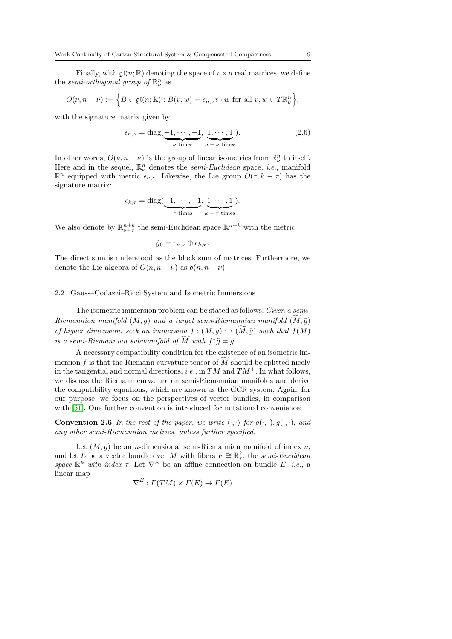Finally, with  $\mathfrak{gl}(n;\mathbb{R})$  denoting the space of  $n \times n$  real matrices, we define the *semi-orthogonal group of*  $\mathbb{R}^n_\nu$  as

$$
O(\nu, n - \nu) := \left\{ B \in \mathfrak{gl}(n; \mathbb{R}) : B(v, w) = \epsilon_{n, \nu} v \cdot w \text{ for all } v, w \in T\mathbb{R}^n_{\nu} \right\},\
$$

with the signature matrix given by

<span id="page-8-2"></span>
$$
\epsilon_{n,\nu} = \text{diag}(\underbrace{-1,\cdots,-1}_{\nu \text{ times}},\underbrace{1,\cdots,1}_{n-\nu \text{ times}}).
$$
\n(2.6)

In other words,  $O(\nu, n - \nu)$  is the group of linear isometries from  $\mathbb{R}^n_{\nu}$  to itself. Here and in the sequel,  $\mathbb{R}^n_\nu$  denotes the *semi-Euclidean* space, *i.e.*, manifold  $\mathbb{R}^n$  equipped with metric  $\epsilon_{n,\nu}$ . Likewise, the Lie group  $O(\tau, k - \tau)$  has the signature matrix:

$$
\epsilon_{k,\tau} = \text{diag}(\underbrace{-1,\cdots,-1}_{\tau \text{ times}},\underbrace{1,\cdots,1}_{k-\tau \text{ times}}).
$$

We also denote by  $\mathbb{R}^{n+k}_{\nu+\tau}$  the semi-Euclidean space  $\mathbb{R}^{n+k}$  with the metric:

$$
\tilde{g}_0 = \epsilon_{n,\nu} \oplus \epsilon_{k,\tau}.
$$

The direct sum is understood as the block sum of matrices. Furthermore, we denote the Lie algebra of  $O(n, n - \nu)$  as  $\mathfrak{o}(n, n - \nu)$ .

#### <span id="page-8-0"></span>2.2 Gauss–Codazzi–Ricci System and Isometric Immersions

The isometric immersion problem can be stated as follows: Given a semi- $Riemannian$  manifold  $(M, g)$  and a target semi-Riemannian manifold  $(M, \tilde{g})$ of higher dimension, seek an immersion  $f : (M, g) \hookrightarrow (M, \tilde{g})$  such that  $f(M)$ is a semi-Riemannian submanifold of  $\overline{M}$  with  $f^*\tilde{g} = g$ .

A necessary compatibility condition for the existence of an isometric immersion  $f$  is that the Riemann curvature tensor of  $M$  should be splitted nicely in the tangential and normal directions, *i.e.*, in  $TM$  and  $TM^{\perp}$ . In what follows, we discuss the Riemann curvature on semi-Riemannian manifolds and derive the compatibility equations, which are known as the GCR system. Again, for our purpose, we focus on the perspectives of vector bundles, in comparison with [\[51\]](#page-63-13). One further convention is introduced for notational convenience:

<span id="page-8-1"></span>**Convention 2.6** In the rest of the paper, we write  $\langle \cdot, \cdot \rangle$  for  $\tilde{g}(\cdot, \cdot), g(\cdot, \cdot)$ , and any other semi-Riemannian metrics, unless further specified.

Let  $(M, g)$  be an *n*-dimensional semi-Riemannian manifold of index  $\nu$ , and let E be a vector bundle over M with fibers  $F \cong \mathbb{R}^k_\tau$ , the semi-Euclidean space  $\mathbb{R}^k$  with index  $\tau$ . Let  $\nabla^E$  be an affine connection on bundle E, i.e., a linear map

$$
\nabla^{E}: \Gamma(TM) \times \Gamma(E) \to \Gamma(E)
$$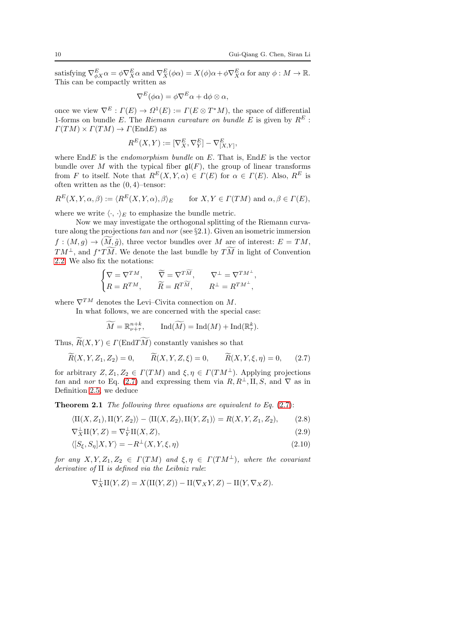,

satisfying  $\nabla_{\phi X}^{E} \alpha = \phi \nabla_{X}^{E} \alpha$  and  $\nabla_{X}^{E} (\phi \alpha) = X(\phi) \alpha + \phi \nabla_{X}^{E} \alpha$  for any  $\phi : M \to \mathbb{R}$ . This can be compactly written as

$$
\nabla^{E}(\phi\alpha) = \phi \nabla^{E} \alpha + d\phi \otimes \alpha,
$$

once we view  $\nabla^E : \Gamma(E) \to \Omega^1(E) := \Gamma(E \otimes T^*M)$ , the space of differential 1-forms on bundle E. The Riemann curvature on bundle E is given by  $R^E$ :  $\Gamma(TM) \times \Gamma(TM) \rightarrow \Gamma(\text{End} E)$  as

$$
R^E(X,Y):=[\nabla^E_X,\nabla^E_Y]-\nabla^E_{[X,Y]}
$$

where  $\text{End}E$  is the *endomorphism bundle* on E. That is,  $\text{End}E$  is the vector bundle over M with the typical fiber  $\mathfrak{gl}(F)$ , the group of linear transforms from F to itself. Note that  $R^{E}(X, Y, \alpha) \in \Gamma(E)$  for  $\alpha \in \Gamma(E)$ . Also,  $R^{E}$  is often written as the  $(0, 4)$ -tensor:

$$
R^{E}(X, Y, \alpha, \beta) := \langle R^{E}(X, Y, \alpha), \beta \rangle_{E} \quad \text{for } X, Y \in \Gamma(TM) \text{ and } \alpha, \beta \in \Gamma(E),
$$

where we write  $\langle \cdot, \cdot \rangle_E$  to emphasize the bundle metric.

Now we may investigate the orthogonal splitting of the Riemann curvature along the projections  $tan$  and  $nor$  (see §2.1). Given an isometric immersion  $f:(M,g)\to (M,\tilde{g})$ , three vector bundles over M are of interest:  $E=TM$ ,  $TM^{\perp}$ , and  $f^*TM$ . We denote the last bundle by  $TM$  in light of Convention [2.2.](#page-6-1) We also fix the notations:

$$
\begin{cases} \nabla = \nabla^{TM}, \qquad \widetilde{\nabla} = \nabla^{T\widetilde{M}}, \qquad \nabla^{\perp} = \nabla^{TM^{\perp}}, \\ R = R^{TM}, \qquad \widetilde{R} = R^{T\widetilde{M}}, \qquad R^{\perp} = R^{TM^{\perp}}, \end{cases}
$$

where  $\nabla^{TM}$  denotes the Levi–Civita connection on M.

In what follows, we are concerned with the special case:

<span id="page-9-1"></span>
$$
\widetilde{M} = \mathbb{R}_{\nu+\tau}^{n+k}, \qquad \text{Ind}(\widetilde{M}) = \text{Ind}(M) + \text{Ind}(\mathbb{R}_{\tau}^k).
$$

Thus,  $R(X, Y) \in \Gamma(\text{End}TM)$  constantly vanishes so that

<span id="page-9-0"></span>
$$
\widetilde{R}(X, Y, Z_1, Z_2) = 0, \qquad \widetilde{R}(X, Y, Z, \xi) = 0, \qquad \widetilde{R}(X, Y, \xi, \eta) = 0, \qquad (2.7)
$$

for arbitrary  $Z, Z_1, Z_2 \in \Gamma(TM)$  and  $\xi, \eta \in \Gamma(TM^{\perp})$ . Applying projections tan and nor to Eq. [\(2.7\)](#page-9-0) and expressing them via  $R, R^{\perp}, \text{II}, S$ , and  $\nabla$  as in Definition [2.5,](#page-7-0) we deduce

<span id="page-9-4"></span>**Theorem 2.1** The following three equations are equivalent to Eq.  $(2.7)$ :

$$
\langle \mathcal{H}(X, Z_1), \mathcal{H}(Y, Z_2) \rangle - \langle \mathcal{H}(X, Z_2), \mathcal{H}(Y, Z_1) \rangle = R(X, Y, Z_1, Z_2), \tag{2.8}
$$

$$
\nabla_X^{\perp} \mathcal{H}(Y, Z) = \nabla_Y^{\perp} \mathcal{H}(X, Z), \tag{2.9}
$$

$$
\langle [S_{\xi}, S_{\eta}]X, Y \rangle = -R^{\perp}(X, Y, \xi, \eta) \tag{2.10}
$$

for any  $X, Y, Z_1, Z_2 \in \Gamma(TM)$  and  $\xi, \eta \in \Gamma(TM^{\perp})$ , where the covariant derivative of II is defined via the Leibniz rule:

<span id="page-9-3"></span><span id="page-9-2"></span>
$$
\nabla_X^{\perp} \text{II}(Y, Z) = X(\text{II}(Y, Z)) - \text{II}(\nabla_X Y, Z) - \text{II}(Y, \nabla_X Z).
$$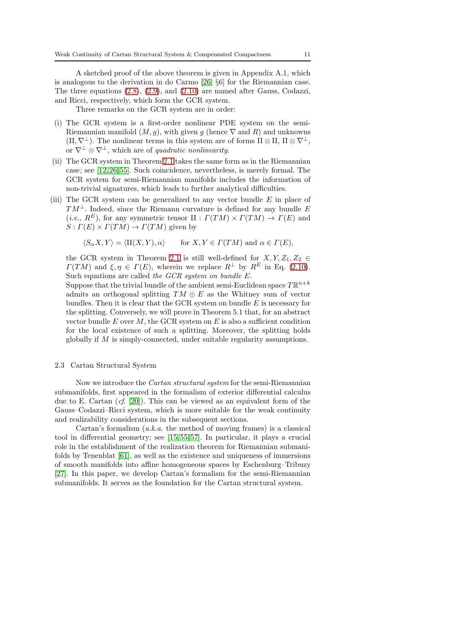A sketched proof of the above theorem is given in Appendix A.1, which is analogous to the derivation in do Carmo [\[26,](#page-62-16) §6] for the Riemannian case. The three equations [\(2.8\)](#page-9-1), [\(2.9\)](#page-9-2), and [\(2.10\)](#page-9-3) are named after Gauss, Codazzi, and Ricci, respectively, which form the GCR system.

Three remarks on the GCR system are in order:

- (i) The GCR system is a first-order nonlinear PDE system on the semi-Riemannian manifold  $(M, q)$ , with given g (hence  $\nabla$  and R) and unknowns  $(H, \nabla^{\perp})$ . The nonlinear terms in this system are of forms II ⊗ II, II ⊗  $\nabla^{\perp}$ , or  $\nabla^{\perp} \otimes \nabla^{\perp}$ , which are of *quadratic nonlinearity*.
- (ii) The GCR system in Theorem [2.1](#page-9-4) takes the same form as in the Riemannian case; see [\[12,](#page-62-11)[26,](#page-62-16)[55\]](#page-63-16). Such coincidence, nevertheless, is merely formal. The GCR system for semi-Riemannian manifolds includes the information of non-trivial signatures, which leads to further analytical difficulties.
- (iii) The GCR system can be generalized to any vector bundle  $E$  in place of  $TM^{\perp}$ . Indeed, since the Riemann curvature is defined for any bundle E (*i.e.*,  $R^E$ ), for any symmetric tensor II :  $\Gamma(TM) \times \Gamma(TM) \rightarrow \Gamma(E)$  and  $S: \Gamma(E) \times \Gamma(TM) \rightarrow \Gamma(TM)$  given by

 $\langle S_{\alpha}X, Y \rangle = \langle \text{II}(X, Y), \alpha \rangle$  for  $X, Y \in \Gamma(TM)$  and  $\alpha \in \Gamma(E)$ ,

the GCR system in Theorem [2.1](#page-9-4) is still well-defined for  $X, Y, Z_1, Z_2 \in$  $\Gamma(TM)$  and  $\xi, \eta \in \Gamma(E)$ , wherein we replace  $R^{\perp}$  by  $R^{E}$  in Eq. [\(2.10\)](#page-9-3). Such equations are called the GCR system on bundle E.

Suppose that the trivial bundle of the ambient semi-Euclidean space  $T\mathbb{R}^{n+k}$ admits an orthogonal splitting  $TM \oplus E$  as the Whitney sum of vector bundles. Then it is clear that the GCR system on bundle  $E$  is necessary for the splitting. Conversely, we will prove in Theorem 5.1 that, for an abstract vector bundle  $E$  over  $M$ , the GCR system on  $E$  is also a sufficient condition for the local existence of such a splitting. Moreover, the splitting holds globally if  $M$  is simply-connected, under suitable regularity assumptions.

#### <span id="page-10-0"></span>2.3 Cartan Structural System

Now we introduce the Cartan structural system for the semi-Riemannian submanifolds, first appeared in the formalism of exterior differential calculus due to E. Cartan (cf. [\[20\]](#page-62-17)). This can be viewed as an equivalent form of the Gauss–Codazzi–Ricci system, which is more suitable for the weak continuity and realizability considerations in the subsequent sections.

Cartan's formalism  $(a.k.a.$  the method of moving frames) is a classical tool in differential geometry; see [\[15,](#page-62-18)[55,](#page-63-16)[57\]](#page-63-17). In particular, it plays a crucial role in the establishment of the realization theorem for Riemannian submanifolds by Tenenblat [\[61\]](#page-63-15), as well as the existence and uniqueness of immersions of smooth manifolds into affine homogeneous spaces by Eschenburg–Tribuzy [\[27\]](#page-62-19). In this paper, we develop Cartan's formalism for the semi-Riemannian submanifolds. It serves as the foundation for the Cartan structural system.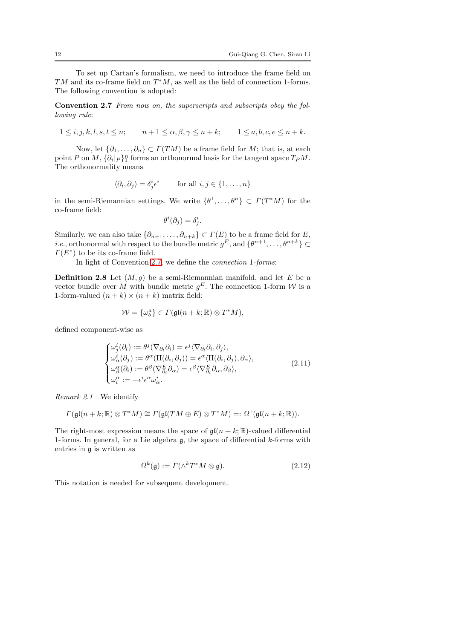To set up Cartan's formalism, we need to introduce the frame field on  $TM$  and its co-frame field on  $T^*M$ , as well as the field of connection 1-forms. The following convention is adopted:

Convention 2.7 From now on, the superscripts and subscripts obey the following rule:

 $1 \leq i, j, k, l, s, t \leq n;$   $n+1 \leq \alpha, \beta, \gamma \leq n+k;$   $1 \leq a, b, c, e \leq n+k.$ 

Now, let  $\{\partial_1,\ldots,\partial_n\} \subset \Gamma(TM)$  be a frame field for M; that is, at each point P on  $M$ ,  $\{\partial_i | P\}^n_1$  forms an orthonormal basis for the tangent space  $T_P M$ . The orthonormality means

<span id="page-11-0"></span>
$$
\langle \partial_i, \partial_j \rangle = \delta^i_j \epsilon^i \quad \text{for all } i, j \in \{1, \dots, n\}
$$

in the semi-Riemannian settings. We write  $\{\theta^1, \ldots, \theta^n\} \subset \Gamma(T^*M)$  for the co-frame field:

<span id="page-11-2"></span>
$$
\theta^i(\partial_j) = \delta^i_j.
$$

Similarly, we can also take  $\{\partial_{n+1}, \ldots, \partial_{n+k}\} \subset \Gamma(E)$  to be a frame field for E, *i.e.*, orthonormal with respect to the bundle metric  $g^E$ , and  $\{\theta^{n+1}, \ldots, \theta^{n+k}\}\subset$  $\Gamma(E^*)$  to be its co-frame field.

In light of Convention [2.7,](#page-11-0) we define the connection 1-forms:

**Definition 2.8** Let  $(M, g)$  be a semi-Riemannian manifold, and let E be a vector bundle over M with bundle metric  $g^E$ . The connection 1-form W is a 1-form-valued  $(n + k) \times (n + k)$  matrix field:

$$
\mathcal{W} = \{\omega_b^a\} \in \Gamma(\mathfrak{gl}(n+k;\mathbb{R}) \otimes T^*M),
$$

defined component-wise as

<span id="page-11-3"></span>
$$
\begin{cases}\n\omega_j^i(\partial_l) := \theta^j(\nabla_{\partial_l}\partial_i) = \epsilon^j \langle \nabla_{\partial_l}\partial_i, \partial_j \rangle, \\
\omega_\alpha^i(\partial_j) := \theta^\alpha (\Pi(\partial_i, \partial_j)) = \epsilon^\alpha \langle \Pi(\partial_i, \partial_j), \partial_\alpha \rangle, \\
\omega_\beta^\alpha(\partial_i) := \theta^\beta (\nabla_{\partial_i}^E \partial_\alpha) = \epsilon^\beta \langle \nabla_{\partial_i}^E \partial_\alpha, \partial_\beta \rangle, \\
\omega_i^\alpha := -\epsilon^i \epsilon^\alpha \omega_\alpha^i.\n\end{cases} (2.11)
$$

Remark 2.1 We identify

$$
\Gamma(\mathfrak{gl}(n+k;\mathbb{R})\otimes T^*M)\cong \Gamma(\mathfrak{gl}(TM\oplus E)\otimes T^*M)=:\Omega^1(\mathfrak{gl}(n+k;\mathbb{R})).
$$

The right-most expression means the space of  $\mathfrak{gl}(n + k; \mathbb{R})$ -valued differential 1-forms. In general, for a Lie algebra  $\mathfrak{g}$ , the space of differential k-forms with entries in g is written as

<span id="page-11-1"></span>
$$
\Omega^k(\mathfrak{g}) := \Gamma(\wedge^k T^* M \otimes \mathfrak{g}).\tag{2.12}
$$

This notation is needed for subsequent development.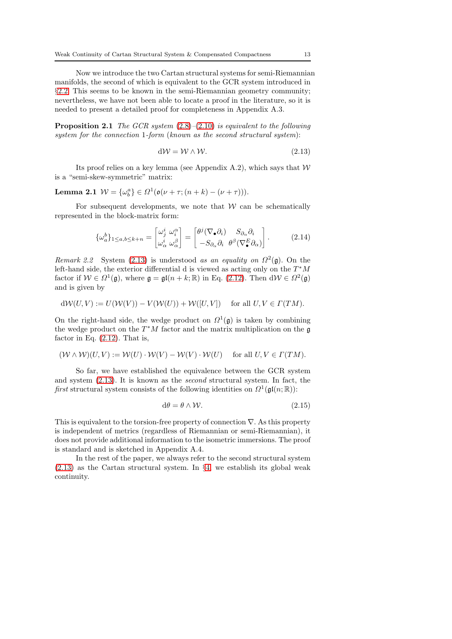Now we introduce the two Cartan structural systems for semi-Riemannian manifolds, the second of which is equivalent to the GCR system introduced in §2.[2.](#page-8-0) This seems to be known in the semi-Riemannian geometry community; nevertheless, we have not been able to locate a proof in the literature, so it is needed to present a detailed proof for completeness in Appendix A.3.

<span id="page-12-1"></span>**Proposition 2.1** The GCR system  $(2.8)$ – $(2.10)$  is equivalent to the following system for the connection 1-form (known as the second structural system):

<span id="page-12-2"></span><span id="page-12-0"></span>
$$
d\mathcal{W} = \mathcal{W} \wedge \mathcal{W}.\tag{2.13}
$$

Its proof relies on a key lemma (see Appendix A.2), which says that  $W$ is a "semi-skew-symmetric" matrix:

# Lemma 2.1  $W = {\omega_b^a} \in \Omega^1(\mathfrak{o}(\nu + \tau; (n+k) - (\nu + \tau))).$

For subsequent developments, we note that  $W$  can be schematically represented in the block-matrix form:

<span id="page-12-4"></span>
$$
\{\omega_a^b\}_{1\leq a,b\leq k+n} = \begin{bmatrix} \omega_j^i & \omega_i^\alpha \\ \omega_\alpha^i & \omega_\alpha^\beta \end{bmatrix} = \begin{bmatrix} \theta^j (\nabla_\bullet \partial_i) & S_{\partial_\alpha} \partial_i \\ -S_{\partial_\alpha} \partial_i & \theta^\beta (\nabla_\bullet^E \partial_\alpha) \end{bmatrix} . \tag{2.14}
$$

Remark 2.2 System [\(2.13\)](#page-12-0) is understood as an equality on  $\Omega^2(\mathfrak{g})$ . On the left-hand side, the exterior differential d is viewed as acting only on the  $T^*M$ factor if  $W \in \Omega^1(\mathfrak{g})$ , where  $\mathfrak{g} = \mathfrak{gl}(n+k;\mathbb{R})$  in Eq. [\(2.12\)](#page-11-1). Then  $dW \in \Omega^2(\mathfrak{g})$ and is given by

$$
d\mathcal{W}(U,V) := U(\mathcal{W}(V)) - V(\mathcal{W}(U)) + \mathcal{W}([U,V]) \quad \text{ for all } U, V \in \Gamma(TM).
$$

On the right-hand side, the wedge product on  $\Omega^1(\mathfrak{g})$  is taken by combining the wedge product on the  $T^*M$  factor and the matrix multiplication on the  $\mathfrak g$ factor in Eq.  $(2.12)$ . That is,

$$
(\mathcal{W} \wedge \mathcal{W})(U, V) := \mathcal{W}(U) \cdot \mathcal{W}(V) - \mathcal{W}(V) \cdot \mathcal{W}(U) \quad \text{for all } U, V \in \Gamma(TM).
$$

So far, we have established the equivalence between the GCR system and system [\(2.13\)](#page-12-0). It is known as the second structural system. In fact, the first structural system consists of the following identities on  $\Omega^1(\mathfrak{gl}(n;\mathbb{R}))$ :

<span id="page-12-3"></span>
$$
d\theta = \theta \wedge \mathcal{W}.\tag{2.15}
$$

This is equivalent to the torsion-free property of connection  $\nabla$ . As this property is independent of metrics (regardless of Riemannian or semi-Riemannian), it does not provide additional information to the isometric immersions. The proof is standard and is sketched in Appendix A.4.

In the rest of the paper, we always refer to the second structural system [\(2.13\)](#page-12-0) as the Cartan structural system. In §[4,](#page-28-0) we establish its global weak continuity.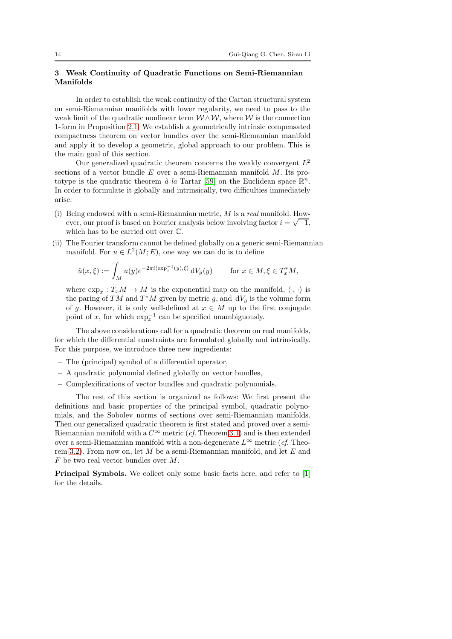# <span id="page-13-0"></span>3 Weak Continuity of Quadratic Functions on Semi-Riemannian Manifolds

In order to establish the weak continuity of the Cartan structural system on semi-Riemannian manifolds with lower regularity, we need to pass to the weak limit of the quadratic nonlinear term  $W \wedge W$ , where W is the connection 1-form in Proposition [2.1.](#page-12-1) We establish a geometrically intrinsic compensated compactness theorem on vector bundles over the semi-Riemannian manifold and apply it to develop a geometric, global approach to our problem. This is the main goal of this section.

Our generalized quadratic theorem concerns the weakly convergent  $L^2$ sections of a vector bundle  $E$  over a semi-Riemannian manifold  $M$ . Its pro-totype is the quadratic theorem à la Tartar [\[59\]](#page-63-10) on the Euclidean space  $\mathbb{R}^n$ . In order to formulate it globally and intrinsically, two difficulties immediately arise:

- (i) Being endowed with a semi-Riemannian metric,  $M$  is a real manifold. However, our proof is based on Fourier analysis below involving factor  $i = \sqrt{-1}$ , which has to be carried out over C.
- (ii) The Fourier transform cannot be defined globally on a generic semi-Riemannian manifold. For  $u \in L^2(M; E)$ , one way we can do is to define

$$
\hat{u}(x,\xi) := \int_M u(y) e^{-2\pi i \langle \exp_x^{-1}(y),\xi \rangle} dV_g(y) \quad \text{for } x \in M, \xi \in T_x^*M,
$$

where  $\exp_x: T_xM \to M$  is the exponential map on the manifold,  $\langle \cdot, \cdot \rangle$  is the paring of TM and  $T^*M$  given by metric g, and  $dV_g$  is the volume form of g. However, it is only well-defined at  $x \in M$  up to the first conjugate point of x, for which  $\exp_x^{-1}$  can be specified unambiguously.

The above considerations call for a quadratic theorem on real manifolds, for which the differential constraints are formulated globally and intrinsically. For this purpose, we introduce three new ingredients:

- The (principal) symbol of a differential operator,
- A quadratic polynomial defined globally on vector bundles,
- Complexifications of vector bundles and quadratic polynomials.

The rest of this section is organized as follows: We first present the definitions and basic properties of the principal symbol, quadratic polynomials, and the Sobolev norms of sections over semi-Riemannian manifolds. Then our generalized quadratic theorem is first stated and proved over a semi-Riemannian manifold with a  $C^{\infty}$  metric (*cf.* Theorem [3.1\)](#page-16-0) and is then extended over a semi-Riemannian manifold with a non-degenerate  $L^{\infty}$  metric (*cf.* Theo-rem [3.2\)](#page-26-0). From now on, let M be a semi-Riemannian manifold, and let  $E$  and  $F$  be two real vector bundles over  $M$ .

Principal Symbols. We collect only some basic facts here, and refer to [\[1\]](#page-61-1) for the details.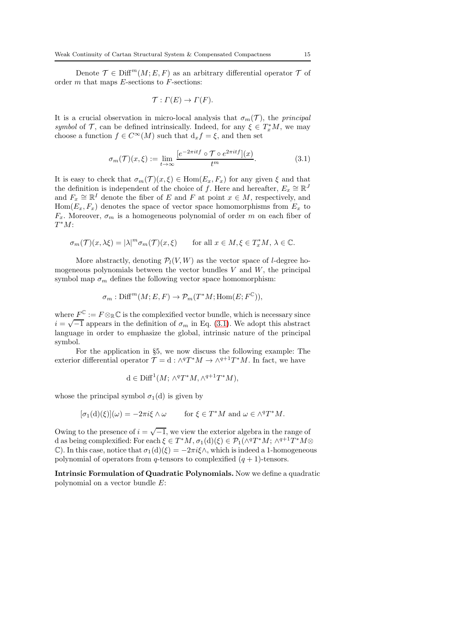Denote  $\mathcal{T} \in \text{Diff}^m(M; E, F)$  as an arbitrary differential operator  $\mathcal{T}$  of order  $m$  that maps  $E$ -sections to  $F$ -sections:

$$
\mathcal{T}: \Gamma(E) \to \Gamma(F).
$$

It is a crucial observation in micro-local analysis that  $\sigma_m(\mathcal{T})$ , the principal symbol of  $\mathcal{T}$ , can be defined intrinsically. Indeed, for any  $\xi \in T_x^*M$ , we may choose a function  $f \in C^{\infty}(M)$  such that  $d_x f = \xi$ , and then set

<span id="page-14-0"></span>
$$
\sigma_m(\mathcal{T})(x,\xi) := \lim_{t \to \infty} \frac{[e^{-2\pi itf} \circ \mathcal{T} \circ e^{2\pi itf}](x)}{t^m}.
$$
\n(3.1)

It is easy to check that  $\sigma_m(\mathcal{T})(x,\xi) \in \text{Hom}(E_x,F_x)$  for any given  $\xi$  and that the definition is independent of the choice of f. Here and hereafter,  $E_x \cong \mathbb{R}^J$ and  $F_x \cong \mathbb{R}^I$  denote the fiber of E and F at point  $x \in M$ , respectively, and  $Hom(E_x, F_x)$  denotes the space of vector space homomorphisms from  $E_x$  to  $F_x$ . Moreover,  $\sigma_m$  is a homogeneous polynomial of order m on each fiber of  $T^*M$ :

$$
\sigma_m(\mathcal{T})(x,\lambda\xi) = |\lambda|^m \sigma_m(\mathcal{T})(x,\xi) \quad \text{for all } x \in M, \xi \in T_x^*M, \lambda \in \mathbb{C}.
$$

More abstractly, denoting  $\mathcal{P}_l(V, W)$  as the vector space of *l*-degree homogeneous polynomials between the vector bundles  $V$  and  $W$ , the principal symbol map  $\sigma_m$  defines the following vector space homomorphism:

$$
\sigma_m: \mathrm{Diff}^m(M; E, F) \to \mathcal{P}_m(T^*M; \mathrm{Hom}(E; F^{\mathbb{C}})),
$$

where  $F^{\mathbb{C}} := F \otimes_{\mathbb{R}} \mathbb{C}$  is the complexified vector bundle, which is necessary since  $i = \sqrt{-1}$  appears in the definition of  $\sigma_m$  in Eq. [\(3.1\)](#page-14-0). We adopt this abstract language in order to emphasize the global, intrinsic nature of the principal symbol.

For the application in §5, we now discuss the following example: The exterior differential operator  $\mathcal{T} = d : \wedge^q T^*M \to \wedge^{q+1} T^*M$ . In fact, we have

$$
d \in \text{Diff}^1(M; \wedge^q T^*M, \wedge^{q+1} T^*M),
$$

whose the principal symbol  $\sigma_1(d)$  is given by

$$
[\sigma_1(\mathbf{d})(\xi)](\omega) = -2\pi i \xi \wedge \omega \quad \text{for } \xi \in T^*M \text{ and } \omega \in \wedge^q T^*M.
$$

Owing to the presence of  $i = \sqrt{-1}$ , we view the exterior algebra in the range of d as being complexified: For each  $\xi \in T^*M$ ,  $\sigma_1(d)(\xi) \in \mathcal{P}_1(\wedge^q T^*M; \wedge^{q+1} T^*M \otimes$ C). In this case, notice that  $\sigma_1(d)(\xi) = -2\pi i \xi \wedge$ , which is indeed a 1-homogeneous polynomial of operators from q-tensors to complexified  $(q + 1)$ -tensors.

Intrinsic Formulation of Quadratic Polynomials. Now we define a quadratic polynomial on a vector bundle E: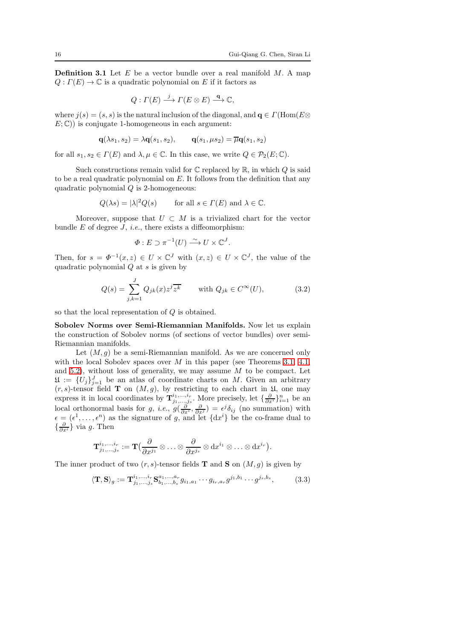**Definition 3.1** Let  $E$  be a vector bundle over a real manifold  $M$ . A map  $Q: \Gamma(E) \to \mathbb{C}$  is a quadratic polynomial on E if it factors as

$$
Q: \Gamma(E) \stackrel{j}{\longrightarrow} \Gamma(E \otimes E) \stackrel{\mathbf{q}}{\longrightarrow} \mathbb{C},
$$

where  $i(s) = (s, s)$  is the natural inclusion of the diagonal, and  $\mathbf{q} \in \Gamma(\text{Hom}(E \otimes$  $E: \mathbb{C}$ ) is conjugate 1-homogeneous in each argument:

$$
\mathbf{q}(\lambda s_1, s_2) = \lambda \mathbf{q}(s_1, s_2), \qquad \mathbf{q}(s_1, \mu s_2) = \overline{\mu} \mathbf{q}(s_1, s_2)
$$

for all  $s_1, s_2 \in \Gamma(E)$  and  $\lambda, \mu \in \mathbb{C}$ . In this case, we write  $Q \in \mathcal{P}_2(E; \mathbb{C})$ .

Such constructions remain valid for  $\mathbb C$  replaced by  $\mathbb R$ , in which  $Q$  is said to be a real quadratic polynomial on E. It follows from the definition that any quadratic polynomial  $Q$  is 2-homogeneous:

$$
Q(\lambda s) = |\lambda|^2 Q(s)
$$
 for all  $s \in \Gamma(E)$  and  $\lambda \in \mathbb{C}$ .

Moreover, suppose that  $U \subset M$  is a trivialized chart for the vector bundle  $E$  of degree  $J$ , *i.e.*, there exists a diffeomorphism:

$$
\Phi: E \supset \pi^{-1}(U) \xrightarrow{\sim} U \times \mathbb{C}^J.
$$

Then, for  $s = \Phi^{-1}(x, z) \in U \times \mathbb{C}^{J}$  with  $(x, z) \in U \times \mathbb{C}^{J}$ , the value of the quadratic polynomial  $Q$  at  $s$  is given by

$$
Q(s) = \sum_{j,k=1}^{J} Q_{jk}(x) z^j \overline{z^k} \quad \text{with } Q_{jk} \in C^{\infty}(U), \tag{3.2}
$$

so that the local representation of Q is obtained.

Sobolev Norms over Semi-Riemannian Manifolds. Now let us explain the construction of Sobolev norms (of sections of vector bundles) over semi-Riemannian manifolds.

Let  $(M, g)$  be a semi-Riemannian manifold. As we are concerned only with the local Sobolev spaces over M in this paper (see Theorems  $3.1, 4.1$ , and [5.2\)](#page-38-0), without loss of generality, we may assume  $M$  to be compact. Let  $\mathfrak{U} := \{U_j\}_{j=1}^J$  be an atlas of coordinate charts on M. Given an arbitrary  $(r, s)$ -tensor field **T** on  $(M, g)$ , by restricting to each chart in  $\mathfrak{U}$ , one may express it in local coordinates by  $\mathbf{T}_{j_1,...,j_s}^{i_1,...,i_r}$ . More precisely, let  $\{\frac{\partial}{\partial x^i}\}_{i=1}^n$  be an local orthonormal basis for g, *i.e.*,  $g(\frac{\partial}{\partial x^i}, \frac{\partial}{\partial x^j}) = \epsilon^j \delta_{ij}$  (no summation) with  $\epsilon = (\epsilon^1, \ldots, \epsilon^n)$  as the signature of g, and let  $\{dx^i\}$  be the co-frame dual to  $\{\frac{\partial}{\partial x^i}\}\$  via g. Then

$$
\mathbf{T}^{i_1,...,i_r}_{j_1,...,j_s}:=\mathbf{T}\big(\frac{\partial}{\partial x^{j_1}}\otimes\ldots\otimes\frac{\partial}{\partial x^{j_s}}\otimes \mathrm{d} x^{i_1}\otimes\ldots\otimes\mathrm{d} x^{i_r}\big).
$$

The inner product of two  $(r, s)$ -tensor fields **T** and **S** on  $(M, g)$  is given by

<span id="page-15-0"></span>
$$
\langle \mathbf{T}, \mathbf{S} \rangle_{g} := \mathbf{T}^{i_1, \dots, i_r}_{j_1, \dots, j_s} \mathbf{S}^{a_1, \dots, a_r}_{b_1, \dots, b_s} g_{i_1, a_1} \cdots g_{i_r, a_r} g^{j_1, b_1} \cdots g^{j_s, b_s}, \tag{3.3}
$$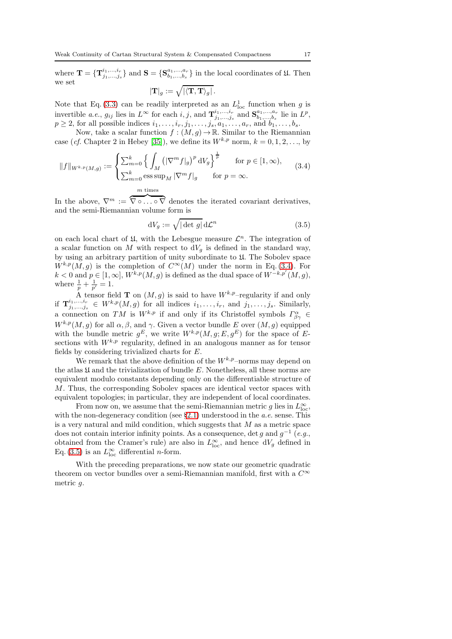where  $\mathbf{T} = {\mathbf{T}}_{j_1,...,j_s}^{i_1,...,i_r}$  and  $\mathbf{S} = {\mathbf{S}}_{b_1,...,b_s}^{a_1,...,a_r}$  in the local coordinates of  $\mathfrak{U}$ . Then we set  $|\mathbf{T}|_g := \sqrt{|\langle \mathbf{T}, \mathbf{T} \rangle_g|}$  .

Note that Eq. [\(3.3\)](#page-15-0) can be readily interpreted as an  $L<sub>loc</sub>$  function when g is invertible *a.e.*,  $g_{ij}$  lies in  $L^{\infty}$  for each  $i, j$ , and  $\mathbf{T}_{j_1,...,j_s}^{i_1,...,i_r}$  and  $\mathbf{S}_{b_1,...,b_s}^{a_1,...,a_r}$  lie in  $L^p$ ,  $p \geq 2$ , for all possible indices  $i_1, \ldots, i_r, j_1, \ldots, j_s, a_1, \ldots, a_r$ , and  $b_1, \ldots, b_s$ .

Now, take a scalar function  $f : (M, g) \to \mathbb{R}$ . Similar to the Riemannian case (cf. Chapter 2 in Hebey [\[35\]](#page-63-18)), we define its  $W^{k,p}$  norm,  $k = 0, 1, 2, \ldots$ , by

<span id="page-16-1"></span>
$$
||f||_{W^{k,p}(M,g)} := \begin{cases} \sum_{m=0}^{k} \left\{ \int_{M} \left( |\nabla^m f|_{g} \right)^p \mathrm{d}V_{g} \right\}^{\frac{1}{p}} & \text{for } p \in [1, \infty), \\ \sum_{m=0}^{k} \operatorname{ess} \sup_{M} |\nabla^m f|_{g} & \text{for } p = \infty. \end{cases}
$$
(3.4)

In the above,  $\nabla^m := \overline{\nabla \circ \ldots \circ \nabla}$  denotes the iterated covariant derivatives, and the semi-Riemannian volume form is

<span id="page-16-2"></span>
$$
dV_g := \sqrt{|\det g|} d\mathcal{L}^n
$$
 (3.5)

on each local chart of  $\mathfrak{U}$ , with the Lebesgue measure  $\mathcal{L}^n$ . The integration of a scalar function on M with respect to  $dV_q$  is defined in the standard way, by using an arbitrary partition of unity subordinate to U. The Sobolev space  $W^{k,p}(M, g)$  is the completion of  $C^{\infty}(M)$  under the norm in Eq. [\(3.4\)](#page-16-1). For  $k < 0$  and  $p \in [1, \infty]$ ,  $W^{k,p}(M, g)$  is defined as the dual space of  $W^{-k,p'}(M, g)$ , where  $\frac{1}{p} + \frac{1}{p'} = 1$ .

A tensor field **T** on  $(M, g)$  is said to have  $W^{k,p}$ -regularity if and only if  $\mathbf{T}_{j_1,...,j_s}^{i_1,...,i_r} \in W^{k,p}(M,g)$  for all indices  $i_1,...,i_r$ , and  $j_1,...,j_s$ . Similarly, a connection on TM is  $W^{k,p}$  if and only if its Christoffel symbols  $\Gamma^{\alpha}_{\beta\gamma} \in$  $W^{k,p}(M, g)$  for all  $\alpha, \beta$ , and  $\gamma$ . Given a vector bundle E over  $(M, g)$  equipped with the bundle metric  $g^E$ , we write  $W^{k,p}(M,g;E,g^E)$  for the space of Esections with  $W^{k,p}$  regularity, defined in an analogous manner as for tensor fields by considering trivialized charts for E.

We remark that the above definition of the  $W^{k,p}$ –norms may depend on the atlas  $\mathfrak U$  and the trivialization of bundle E. Nonetheless, all these norms are equivalent modulo constants depending only on the differentiable structure of M. Thus, the corresponding Sobolev spaces are identical vector spaces with equivalent topologies; in particular, they are independent of local coordinates.

From now on, we assume that the semi-Riemannian metric g lies in  $L^{\infty}_{\text{loc}}$ , with the non-degeneracy condition (see  $\S 2.1$ ) understood in the *a.e.* sense. This is a very natural and mild condition, which suggests that  $M$  as a metric space does not contain interior infinity points. As a consequence, det g and  $g^{-1}$  (e.g., obtained from the Cramer's rule) are also in  $L^{\infty}_{\text{loc}}$ , and hence  $dV_g$  defined in Eq. [\(3.5\)](#page-16-2) is an  $L^{\infty}_{loc}$  differential *n*-form.

<span id="page-16-0"></span>With the preceding preparations, we now state our geometric quadratic theorem on vector bundles over a semi-Riemannian manifold, first with a  $C^{\infty}$ metric g.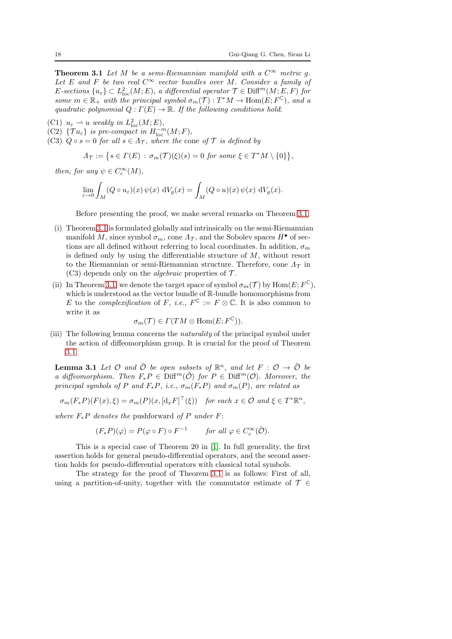**Theorem 3.1** Let M be a semi-Riemannian manifold with a  $C^{\infty}$  metric g. Let E and F be two real  $C^{\infty}$  vector bundles over M. Consider a family of E-sections  $\{u_{\varepsilon}\}\subset L^2_{\text{loc}}(M;E)$ , a differential operator  $\mathcal{T}\in\text{Diff}^m(M;E,F)$  for some  $m \in \mathbb{R}_+$  with the principal symbol  $\sigma_m(\mathcal{T}): T^*M \to \text{Hom}(E; F^{\mathbb{C}})$ , and a quadratic polynomial  $Q: \Gamma(E) \to \mathbb{R}$ . If the following conditions hold:

- (C1)  $u_{\varepsilon} \rightharpoonup u$  weakly in  $L^2_{\text{loc}}(M;E)$ ,
- (C2)  $\{\mathcal{T} u_{\varepsilon}\}\$  is pre-compact in  $H^{-m}_{\text{loc}}(M;F)$ ,
- (C3)  $Q \circ s = 0$  for all  $s \in A_{\mathcal{T}}$ , where the cone of  $\mathcal{T}$  is defined by

$$
\Lambda_{\mathcal{T}} := \big\{ s \in \Gamma(E) \, : \, \sigma_m(\mathcal{T})(\xi)(s) = 0 \text{ for some } \xi \in T^*M \setminus \{0\} \big\},
$$

then, for any  $\psi \in C_c^{\infty}(M)$ ,

$$
\lim_{\varepsilon \to 0} \int_M (Q \circ u_\varepsilon)(x) \psi(x) dV_g(x) = \int_M (Q \circ u)(x) \psi(x) dV_g(x).
$$

Before presenting the proof, we make several remarks on Theorem [3.1:](#page-16-0)

- (i) Theorem [3.1](#page-16-0) is formulated globally and intrinsically on the semi-Riemannian manifold M, since symbol  $\sigma_m$ , cone  $\Lambda_{\mathcal{T}}$ , and the Sobolev spaces  $H^{\bullet}$  of sections are all defined without referring to local coordinates. In addition,  $\sigma_m$ is defined only by using the differentiable structure of  $M$ , without resort to the Riemannian or semi-Riemannian structure. Therefore, cone  $\Lambda_{\mathcal{T}}$  in (C3) depends only on the *algebraic* properties of  $\mathcal{T}$ .
- (ii) In Theorem [3.1,](#page-16-0) we denote the target space of symbol  $\sigma_m(\mathcal{T})$  by  $\text{Hom}(E; F^{\mathbb{C}})$ , which is understood as the vector bundle of R-bundle homomorphisms from E to the *complexification* of F, *i.e.*,  $F^{\mathbb{C}} := F \otimes \mathbb{C}$ . It is also common to write it as

$$
\sigma_m(\mathcal{T}) \in \Gamma(TM \otimes \text{Hom}(E; F^{\mathbb{C}})).
$$

(iii) The following lemma concerns the naturality of the principal symbol under the action of diffeomorphism group. It is crucial for the proof of Theorem [3.1.](#page-16-0)

<span id="page-17-0"></span>**Lemma 3.1** Let  $\mathcal O$  and  $\tilde{\mathcal O}$  be open subsets of  $\mathbb R^n$ , and let  $F: \mathcal O \to \tilde{\mathcal O}$  be a diffeomorphism. Then  $F_*P \in \text{Diff}^m(\tilde{\mathcal{O}})$  for  $P \in \text{Diff}^m(\mathcal{O})$ . Moreover, the principal symbols of P and  $F_*P$ , i.e.,  $\sigma_m(F_*P)$  and  $\sigma_m(P)$ , are related as

$$
\sigma_m(F_*P)(F(x),\xi) = \sigma_m(P)(x,[\mathrm{d}_x F]^\top(\xi)) \quad \text{for each } x \in \mathcal{O} \text{ and } \xi \in T^*\mathbb{R}^n,
$$

where  $F_*P$  denotes the pushforward of P under F:

$$
(F_*P)(\varphi) = P(\varphi \circ F) \circ F^{-1} \qquad \text{for all } \varphi \in C_c^{\infty}(\tilde{\mathcal{O}}).
$$

This is a special case of Theorem 20 in [\[1\]](#page-61-1). In full generality, the first assertion holds for general pseudo-differential operators, and the second assertion holds for pseudo-differential operators with classical total symbols.

The strategy for the proof of Theorem [3.1](#page-16-0) is as follows: First of all, using a partition-of-unity, together with the commutator estimate of  $\mathcal{T} \in$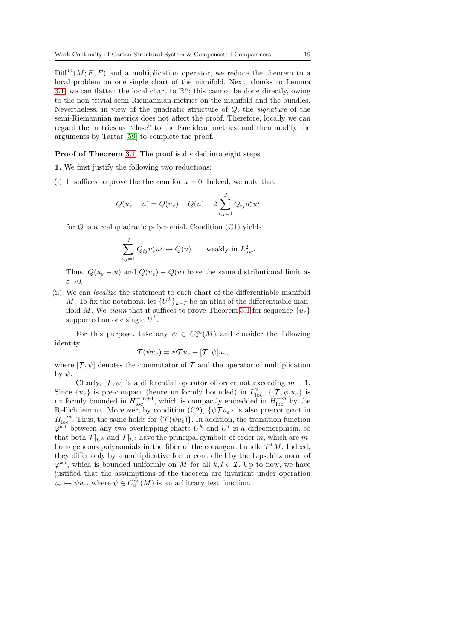$\text{Diff}^m(M; E, F)$  and a multiplication operator, we reduce the theorem to a local problem on one single chart of the manifold. Next, thanks to Lemma [3.1,](#page-17-0) we can flatten the local chart to  $\mathbb{R}^n$ ; this cannot be done directly, owing to the non-trivial semi-Riemannian metrics on the manifold and the bundles. Nevertheless, in view of the quadratic structure of  $Q$ , the *signature* of the semi-Riemannian metrics does not affect the proof. Therefore, locally we can regard the metrics as "close" to the Euclidean metrics, and then modify the arguments by Tartar [\[59\]](#page-63-10) to complete the proof.

Proof of Theorem [3.1.](#page-16-0) The proof is divided into eight steps.

- 1. We first justify the following two reductions:
- (i) It suffices to prove the theorem for  $u = 0$ . Indeed, we note that

$$
Q(u_{\varepsilon} - u) = Q(u_{\varepsilon}) + Q(u) - 2\sum_{i,j=1}^{J} Q_{ij} u_{\varepsilon}^{i} u^{j}
$$

for  $Q$  is a real quadratic polynomial. Condition  $(C1)$  yields

$$
\sum_{i,j=1}^J Q_{ij} u_\varepsilon^i u^j \rightharpoonup Q(u) \qquad \text{weakly in } L^2_{\text{loc}}.
$$

Thus,  $Q(u_{\varepsilon} - u)$  and  $Q(u_{\varepsilon}) - Q(u)$  have the same distributional limit as  $\varepsilon \rightarrow 0$ .

(ii) We can localize the statement to each chart of the differentiable manifold M. To fix the notations, let  $\{U^k\}_{k\in\mathcal{I}}$  be an atlas of the differentiable man-ifold M. We claim that it suffices to prove Theorem [3.1](#page-16-0) for sequence  $\{u_{\varepsilon}\}\$ supported on one single  $U^k$ .

For this purpose, take any  $\psi \in C_c^{\infty}(M)$  and consider the following identity:

$$
\mathcal{T}(\psi u_{\varepsilon}) = \psi \mathcal{T} u_{\varepsilon} + [\mathcal{T}, \psi] u_{\varepsilon},
$$

where  $[\mathcal{T}, \psi]$  denotes the commutator of  $\mathcal T$  and the operator of multiplication by  $\psi$ .

Clearly,  $[\mathcal{T}, \psi]$  is a differential operator of order not exceeding  $m-1$ . Since  $\{u_{\varepsilon}\}\$ is pre-compact (hence uniformly bounded) in  $L^2_{\text{loc}}, \{[\mathcal{T}, \psi]u_{\varepsilon}\}\$ is uniformly bounded in  $H_{\text{loc}}^{-m+1}$ , which is compactly embedded in  $H_{\text{loc}}^{-m}$  by the Rellich lemma. Moreover, by condition (C2),  $\{\psi \mathcal{T} u_{\varepsilon}\}\)$  is also pre-compact in  $H^{-m}_{\text{loc}}$ . Thus, the same holds for  $\{\mathcal{T}(\psi u_{\varepsilon})\}\)$ . In addition, the transition function  $\varphi^{k,l}$  between any two overlapping charts  $U^k$  and  $U^l$  is a diffeomorphism, so that both  $\mathcal{T}|_{U^k}$  and  $\mathcal{T}|_{U^l}$  have the principal symbols of order m, which are mhomogeneous polynomials in the fiber of the cotangent bundle  $T^*M$ . Indeed, they differ only by a multiplicative factor controlled by the Lipschitz norm of  $\varphi^{k,l}$ , which is bounded uniformly on M for all  $k, l \in \mathcal{I}$ . Up to now, we have justified that the assumptions of the theorem are invariant under operation  $u_{\varepsilon} \mapsto \psi u_{\varepsilon}$ , where  $\psi \in C_c^{\infty}(M)$  is an arbitrary test function.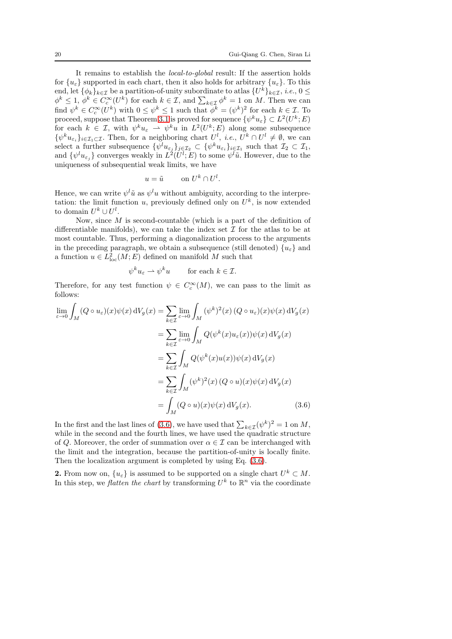It remains to establish the local-to-global result: If the assertion holds for  ${u_{\varepsilon}}$  supported in each chart, then it also holds for arbitrary  ${u_{\varepsilon}}$ . To this end, let  $\{\phi_k\}_{k\in\mathcal{I}}$  be a partition-of-unity subordinate to atlas  $\{U^k\}_{k\in\mathcal{I}}$ , i.e.,  $0 \leq$  $\phi^k \leq 1, \, \phi^k \in C_c^{\infty}(U^k)$  for each  $k \in \mathcal{I}$ , and  $\sum_{k \in \mathcal{I}} \phi^k = 1$  on M. Then we can find  $\psi^k \in C_c^{\infty}(U^k)$  with  $0 \leq \psi^k \leq 1$  such that  $\phi^k = (\psi^k)^2$  for each  $k \in \mathcal{I}$ . To proceed, suppose that Theorem [3.1](#page-16-0) is proved for sequence  $\{\psi^k u_{\varepsilon}\} \subset L^2(U^k;E)$ for each  $k \in \mathcal{I}$ , with  $\psi^k u_{\varepsilon} \to \psi^k u$  in  $L^2(U^k; E)$  along some subsequence  $\{\psi^k u_{\varepsilon_i}\}_{i\in\mathcal{I}_1\subset\mathcal{I}}$ . Then, for a neighboring chart  $U^l$ , *i.e.*,  $U^k\cap U^l\neq\emptyset$ , we can select a further subsequence  $\{\psi^l u_{\varepsilon_j}\}_{j\in\mathcal{I}_2} \subset \{\psi^k u_{\varepsilon_i}\}_{i\in\mathcal{I}_1}$  such that  $\mathcal{I}_2 \subset \mathcal{I}_1$ , and  $\{\psi^l u_{\varepsilon_j}\}\)$  converges weakly in  $L^2(U^l;E)$  to some  $\psi^l \tilde{u}$ . However, due to the uniqueness of subsequential weak limits, we have

$$
u = \tilde{u} \qquad \text{on } U^k \cap U^l.
$$

Hence, we can write  $\psi^l \tilde{u}$  as  $\psi^l u$  without ambiguity, according to the interpretation: the limit function u, previously defined only on  $U^k$ , is now extended to domain  $U^k \cup U^l$ .

Now, since M is second-countable (which is a part of the definition of differentiable manifolds), we can take the index set  $\mathcal I$  for the atlas to be at most countable. Thus, performing a diagonalization process to the arguments in the preceding paragraph, we obtain a subsequence (still denoted)  ${u_{\varepsilon}}$  and a function  $u \in L^2_{loc}(M; E)$  defined on manifold M such that

<span id="page-19-0"></span>
$$
\psi^k u_\varepsilon \rightharpoonup \psi^k u \qquad \text{for each } k \in \mathcal{I}.
$$

Therefore, for any test function  $\psi \in C_c^{\infty}(M)$ , we can pass to the limit as follows:

$$
\lim_{\varepsilon \to 0} \int_M (Q \circ u_{\varepsilon})(x) \psi(x) dV_g(x) = \sum_{k \in \mathcal{I}} \lim_{\varepsilon \to 0} \int_M (\psi^k)^2(x) (Q \circ u_{\varepsilon})(x) \psi(x) dV_g(x)
$$

$$
= \sum_{k \in \mathcal{I}} \lim_{\varepsilon \to 0} \int_M Q(\psi^k(x) u_{\varepsilon}(x)) \psi(x) dV_g(x)
$$

$$
= \sum_{k \in \mathcal{I}} \int_M Q(\psi^k(x) u(x)) \psi(x) dV_g(x)
$$

$$
= \sum_{k \in \mathcal{I}} \int_M (\psi^k)^2(x) (Q \circ u)(x) \psi(x) dV_g(x)
$$

$$
= \int_M (Q \circ u)(x) \psi(x) dV_g(x).
$$
(3.6)

In the first and the last lines of [\(3.6\)](#page-19-0), we have used that  $\sum_{k \in \mathcal{I}} (\psi^k)^2 = 1$  on M, while in the second and the fourth lines, we have used the quadratic structure of Q. Moreover, the order of summation over  $\alpha \in \mathcal{I}$  can be interchanged with the limit and the integration, because the partition-of-unity is locally finite. Then the localization argument is completed by using Eq. [\(3.6\)](#page-19-0).

**2.** From now on,  $\{u_{\varepsilon}\}\)$  is assumed to be supported on a single chart  $U^k \subset M$ . In this step, we *flatten the chart* by transforming  $U^k$  to  $\mathbb{R}^n$  via the coordinate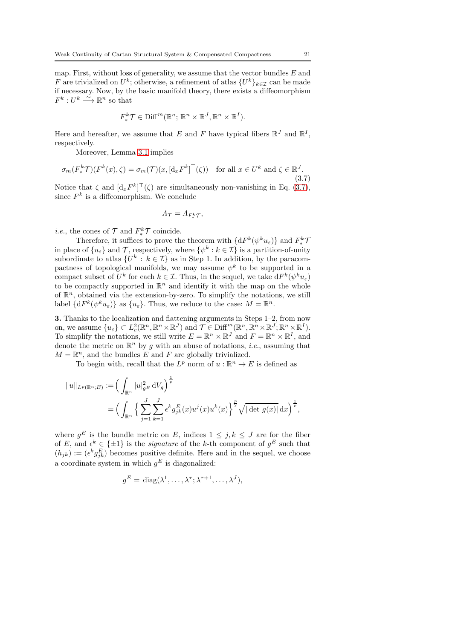map. First, without loss of generality, we assume that the vector bundles  $E$  and F are trivialized on  $U^k$ ; otherwise, a refinement of atlas  $\{U^k\}_{k\in\mathcal{I}}$  can be made if necessary. Now, by the basic manifold theory, there exists a diffeomorphism  $F^k: U^k \longrightarrow \mathbb{R}^n$  so that

$$
F_*^k \mathcal{T} \in \text{Diff}^m(\mathbb{R}^n; \, \mathbb{R}^n \times \mathbb{R}^J, \mathbb{R}^n \times \mathbb{R}^I).
$$

Here and hereafter, we assume that E and F have typical fibers  $\mathbb{R}^{J}$  and  $\mathbb{R}^{I}$ , respectively.

Moreover, Lemma [3.1](#page-17-0) implies

<span id="page-20-0"></span>
$$
\sigma_m(F^k_* \mathcal{T})(F^k(x), \zeta) = \sigma_m(\mathcal{T})(x, [\mathrm{d}_x F^k]^\top(\zeta)) \quad \text{for all } x \in U^k \text{ and } \zeta \in \mathbb{R}^J. \tag{3.7}
$$

Notice that  $\zeta$  and  $[d_x F^k]^\top(\zeta)$  are simultaneously non-vanishing in Eq. [\(3.7\)](#page-20-0), since  $F^k$  is a diffeomorphism. We conclude

$$
\varLambda_{\mathcal{T}}=\varLambda_{F_*^k\mathcal{T}},
$$

*i.e.*, the cones of  $\mathcal{T}$  and  $F_*^k \mathcal{T}$  coincide.

Therefore, it suffices to prove the theorem with  $\{dF^k(\psi^k u_\varepsilon)\}\$  and  $F^k_*\mathcal{T}$ in place of  $\{u_{\varepsilon}\}\$  and  $\mathcal{T}$ , respectively, where  $\{\psi^{k}: k \in \mathcal{I}\}\$  is a partition-of-unity subordinate to atlas  $\{U^k : k \in \mathcal{I}\}\$ as in Step 1. In addition, by the paracompactness of topological manifolds, we may assume  $\psi^k$  to be supported in a compact subset of  $U^k$  for each  $k \in \mathcal{I}$ . Thus, in the sequel, we take  $dF^k(\psi^k u_\varepsilon)$ to be compactly supported in  $\mathbb{R}^n$  and identify it with the map on the whole of  $\mathbb{R}^n$ , obtained via the extension-by-zero. To simplify the notations, we still label  $\{dF^k(\psi^ku_\varepsilon)\}\$ as  $\{u_\varepsilon\}$ . Thus, we reduce to the case:  $M = \mathbb{R}^n$ .

3. Thanks to the localization and flattening arguments in Steps 1–2, from now on, we assume  $\{u_{\varepsilon}\}\subset L^2_c(\mathbb{R}^n,\mathbb{R}^n\times\mathbb{R}^J)$  and  $\mathcal{T}\in \text{Diff}^m(\mathbb{R}^n,\mathbb{R}^n\times\mathbb{R}^J;\mathbb{R}^n\times\mathbb{R}^I).$ To simplify the notations, we still write  $E = \mathbb{R}^n \times \mathbb{R}^J$  and  $F = \mathbb{R}^n \times \mathbb{R}^I$ , and denote the metric on  $\mathbb{R}^n$  by g with an abuse of notations, *i.e.*, assuming that  $M = \mathbb{R}^n$ , and the bundles E and F are globally trivialized.

To begin with, recall that the  $L^p$  norm of  $u : \mathbb{R}^n \to E$  is defined as

$$
||u||_{L^p(\mathbb{R}^n;E)} := \left( \int_{\mathbb{R}^n} |u|_{g^E}^2 dV_g \right)^{\frac{1}{p}} = \left( \int_{\mathbb{R}^n} \left\{ \sum_{j=1}^J \sum_{k=1}^J \epsilon^k g_{jk}^E(x) u^j(x) u^k(x) \right\}^{\frac{p}{2}} \sqrt{|\det g(x)|} dx \right)^{\frac{1}{p}},
$$

where  $g^E$  is the bundle metric on E, indices  $1 \leq j, k \leq J$  are for the fiber of E, and  $\epsilon^k \in {\pm 1}$  is the *signature* of the k-th component of  $g^E$  such that  $(h_{jk}) := (\epsilon^k g_{jk}^E)$  becomes positive definite. Here and in the sequel, we choose a coordinate system in which  $g^E$  is diagonalized:

$$
g^{E} = \text{diag}(\lambda^1, \dots, \lambda^{\tau}; \lambda^{\tau+1}, \dots, \lambda^J),
$$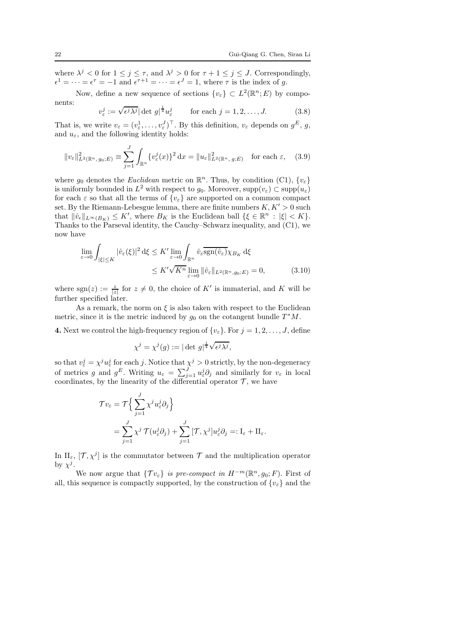where  $\lambda^j < 0$  for  $1 \le j \le \tau$ , and  $\lambda^j > 0$  for  $\tau + 1 \le j \le J$ . Correspondingly,  $\epsilon^1 = \cdots = \epsilon^{\tau} = -1$  and  $\epsilon^{\tau+1} = \cdots = \epsilon^J = 1$ , where  $\tau$  is the index of g.

Now, define a new sequence of sections  $\{v_{\varepsilon}\}\subset L^2(\mathbb{R}^n;E)$  by components: 1

<span id="page-21-1"></span>
$$
v_{\varepsilon}^{j} := \sqrt{\epsilon^{j} \lambda^{j}} |\det g|^{1 \over 4} u_{\varepsilon}^{j} \qquad \text{for each } j = 1, 2, ..., J. \tag{3.8}
$$

That is, we write  $v_{\varepsilon} = (v_{\varepsilon}^1, \ldots, v_{\varepsilon}^J)^\top$ . By this definition,  $v_{\varepsilon}$  depends on  $g^E$ , g, and  $u_{\varepsilon}$ , and the following identity holds:

$$
||v_{\varepsilon}||_{L^{2}(\mathbb{R}^{n}, g_{0}; E)}^{2} \equiv \sum_{j=1}^{J} \int_{\mathbb{R}^{n}} \{v_{\varepsilon}^{j}(x)\}^{2} dx = ||u_{\varepsilon}||_{L^{2}(\mathbb{R}^{n}, g; E)}^{2} \text{ for each } \varepsilon, \quad (3.9)
$$

where  $g_0$  denotes the *Euclidean* metric on  $\mathbb{R}^n$ . Thus, by condition (C1),  $\{v_{\varepsilon}\}\)$ is uniformly bounded in  $L^2$  with respect to  $g_0$ . Moreover,  $supp(v_{\varepsilon}) \subset supp(u_{\varepsilon})$ for each  $\varepsilon$  so that all the terms of  $\{v_{\varepsilon}\}\)$  are supported on a common compact set. By the Riemann-Lebesgue lemma, there are finite numbers  $K, K' > 0$  such that  $\|\hat{v}_{\epsilon}\|_{L^{\infty}(B_K)} \leq K'$ , where  $B_K$  is the Euclidean ball  $\{\xi \in \mathbb{R}^n : |\xi| < K\}$ . Thanks to the Parseval identity, the Cauchy–Schwarz inequality, and (C1), we now have

$$
\lim_{\varepsilon \to 0} \int_{|\xi| \le K} |\hat{v}_{\varepsilon}(\xi)|^2 d\xi \le K' \lim_{\varepsilon \to 0} \int_{\mathbb{R}^n} \hat{v}_{\varepsilon} \overline{\text{sgn}(\hat{v}_{\varepsilon})} \chi_{B_K} d\xi
$$
\n
$$
\le K' \sqrt{K^n} \lim_{\varepsilon \to 0} \|\hat{v}_{\varepsilon}\|_{L^2(\mathbb{R}^n, g_0; E)} = 0,
$$
\n(3.10)

where sgn(z)  $:= \frac{z}{|z|}$  for  $z \neq 0$ , the choice of K' is immaterial, and K will be further specified later.

As a remark, the norm on  $\xi$  is also taken with respect to the Euclidean metric, since it is the metric induced by  $g_0$  on the cotangent bundle  $T^*M$ .

**4.** Next we control the high-frequency region of  $\{v_{\varepsilon}\}\$ . For  $j = 1, 2, \ldots, J$ , define

<span id="page-21-0"></span>
$$
\chi^j = \chi^j(g) := |\det g|^{\frac{1}{4}} \sqrt{\epsilon^j \lambda^j},
$$

so that  $v_{\varepsilon}^{j} = \chi^{j} u_{\varepsilon}^{j}$  for each j. Notice that  $\chi^{j} > 0$  strictly, by the non-degeneracy of metrics g and  $g^E$ . Writing  $u_{\varepsilon} = \sum_{j=1}^J u_{\varepsilon}^j \partial_j$  and similarly for  $v_{\varepsilon}$  in local coordinates, by the linearity of the differential operator  $\mathcal{T}$ , we have

$$
\mathcal{T}v_{\varepsilon} = \mathcal{T}\Big\{\sum_{j=1}^{J} \chi^{j} u_{\varepsilon}^{j} \partial_{j}\Big\}
$$
  
= 
$$
\sum_{j=1}^{J} \chi^{j} \mathcal{T}(u_{\varepsilon}^{j} \partial_{j}) + \sum_{j=1}^{J} [\mathcal{T}, \chi^{j}] u_{\varepsilon}^{j} \partial_{j} =: I_{\varepsilon} + II_{\varepsilon}.
$$

In  $\text{II}_{\varepsilon}$ ,  $[\mathcal{T}, \chi^j]$  is the commutator between  $\mathcal{T}$  and the multiplication operator by  $\chi^j$ .

We now argue that  $\{\mathcal{T}v_{\varepsilon}\}\$ is pre-compact in  $H^{-m}(\mathbb{R}^n, g_0; F)$ . First of all, this sequence is compactly supported, by the construction of  ${v_{\varepsilon}}$  and the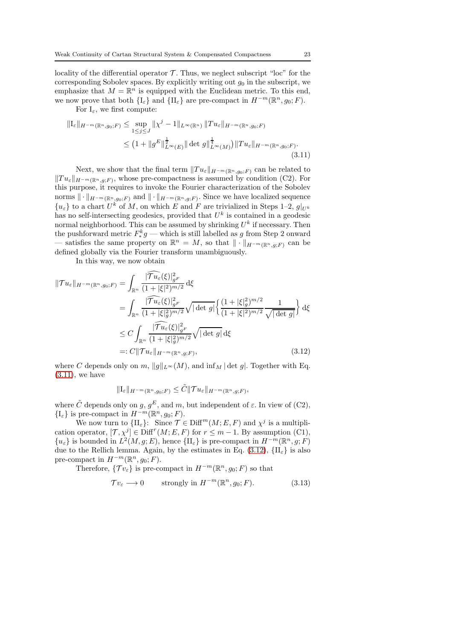locality of the differential operator  $\mathcal T$ . Thus, we neglect subscript "loc" for the corresponding Sobolev spaces. By explicitly writing out  $g_0$  in the subscript, we emphasize that  $M = \mathbb{R}^n$  is equipped with the Euclidean metric. To this end, we now prove that both  $\{I_{\varepsilon}\}\$  and  $\{II_{\varepsilon}\}\$ are pre-compact in  $H^{-m}(\mathbb{R}^n, g_0; F)$ .

<span id="page-22-0"></span>For  $I_{\varepsilon}$ , we first compute:

$$
\|I_{\varepsilon}\|_{H^{-m}(\mathbb{R}^{n},g_{0};F)} \leq \sup_{1 \leq j \leq J} \|\chi^{j}-1\|_{L^{\infty}(\mathbb{R}^{n})} \|Tu_{\varepsilon}\|_{H^{-m}(\mathbb{R}^{n},g_{0};F)}
$$
  

$$
\leq (1 + \|g^{E}\|_{L^{\infty}(E)}^{\frac{1}{2}} \|\det g\|_{L^{\infty}(M)}^{\frac{1}{4}}) \|Tu_{\varepsilon}\|_{H^{-m}(\mathbb{R}^{n},g_{0};F)}.
$$
\n(3.11)

Next, we show that the final term  $||Tu_{\varepsilon}||_{H^{-m}(\mathbb{R}^n,g_0;F)}$  can be related to  $||Tu_{\varepsilon}||_{H^{-m}(\mathbb{R}^n,g;F)}$ , whose pre-compactness is assumed by condition (C2). For this purpose, it requires to invoke the Fourier characterization of the Sobolev norms  $\|\cdot\|_{H^{-m}(\mathbb{R}^n, g_0; F)}$  and  $\|\cdot\|_{H^{-m}(\mathbb{R}^n, g; F)}$ . Since we have localized sequence  ${u_{\varepsilon}}$  to a chart  $U^k$  of M, on which E and F are trivialized in Steps 1–2,  $g|_{U^k}$ has no self-intersecting geodesics, provided that  $U^k$  is contained in a geodesic normal neighborhood. This can be assumed by shrinking  $U^k$  if necessary. Then the pushforward metric  $F^k_* g$  — which is still labelled as g from Step 2 onward — satisfies the same property on  $\mathbb{R}^n = M$ , so that  $\|\cdot\|_{H^{-m}(\mathbb{R}^n,g;F)}$  can be defined globally via the Fourier transform unambiguously.

In this way, we now obtain

$$
\|\mathcal{T}u_{\varepsilon}\|_{H^{-m}(\mathbb{R}^{n},g_{0};F)} = \int_{\mathbb{R}^{n}} \frac{|\widehat{\mathcal{T}u_{\varepsilon}}(\xi)|_{g^{F}}^{2}}{(1+|\xi|^{2})^{m/2}} d\xi
$$
  
\n
$$
= \int_{\mathbb{R}^{n}} \frac{|\widehat{\mathcal{T}u_{\varepsilon}}(\xi)|_{g^{F}}^{2}}{(1+|\xi|_{g}^{2})^{m/2}} \sqrt{|\det g|} \left\{ \frac{(1+|\xi|_{g}^{2})^{m/2}}{(1+|\xi|^{2})^{m/2}} \frac{1}{\sqrt{|\det g|}} \right\} d\xi
$$
  
\n
$$
\leq C \int_{\mathbb{R}^{n}} \frac{|\widehat{\mathcal{T}u_{\varepsilon}}(\xi)|_{g^{F}}^{2}}{(1+|\xi|_{g}^{2})^{m/2}} \sqrt{|\det g|} d\xi
$$
  
\n
$$
=: C \|\mathcal{T}u_{\varepsilon}\|_{H^{-m}(\mathbb{R}^{n},g;F)}, \qquad (3.12)
$$

where C depends only on m,  $||g||_{L^{\infty}}(M)$ , and  $\inf_{M} |\det g|$ . Together with Eq.  $(3.11)$ , we have

<span id="page-22-1"></span>
$$
\|\mathrm{I}_{\varepsilon}\|_{H^{-m}(\mathbb{R}^n,g_0;F)} \leq \tilde{C} \|\mathcal{T} u_{\varepsilon}\|_{H^{-m}(\mathbb{R}^n,g;F)},
$$

where  $\tilde{C}$  depends only on g,  $g^E$ , and m, but independent of  $\varepsilon$ . In view of (C2),  $\{\mathrm{I}_{\varepsilon}\}\)$  is pre-compact in  $H^{-m}(\mathbb{R}^n, g_0; F)$ .

We now turn to  $\{\Pi_{\varepsilon}\}\colon \text{ Since } \mathcal{T} \in \text{Diff}^m(M; E, F)$  and  $\chi^j$  is a multiplication operator,  $[\mathcal{T}, \chi^j] \in \text{Diff}^r(M; E, F)$  for  $r \leq m - 1$ . By assumption (C1),  ${u_{\varepsilon}}$  is bounded in  $L^2(M, g; E)$ , hence  ${\{\Pi_{\varepsilon}\}\}\$ is pre-compact in  $H^{-m}(\mathbb{R}^n, g; F)$ due to the Rellich lemma. Again, by the estimates in Eq. [\(3.12\)](#page-22-1),  $\{II_{\varepsilon}\}\)$  is also pre-compact in  $H^{-m}(\mathbb{R}^n, g_0; F)$ .

Therefore,  $\{\mathcal{T}v_{\varepsilon}\}\)$  is pre-compact in  $H^{-m}(\mathbb{R}^n, g_0; F)$  so that

<span id="page-22-2"></span>
$$
\mathcal{T}v_{\varepsilon} \longrightarrow 0 \qquad \text{strongly in } H^{-m}(\mathbb{R}^n, g_0; F). \tag{3.13}
$$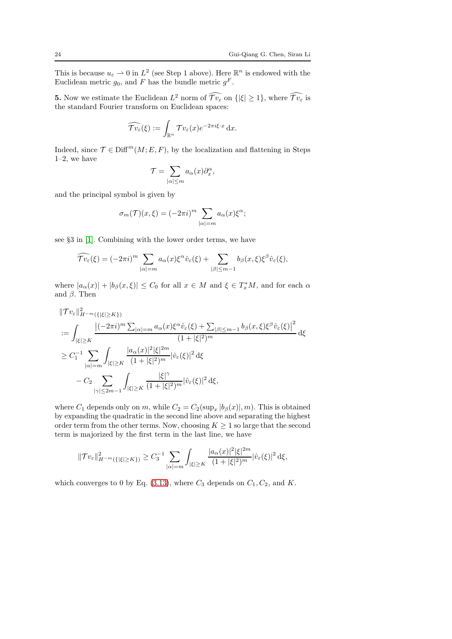This is because  $u_{\varepsilon} \rightharpoonup 0$  in  $L^2$  (see Step 1 above). Here  $\mathbb{R}^n$  is endowed with the Euclidean metric  $g_0$ , and F has the bundle metric  $g^F$ .

**5.** Now we estimate the Euclidean  $L^2$  norm of  $\mathcal{T}v_{\varepsilon}$  on  $\{|\xi| \geq 1\}$ , where  $\mathcal{T}v_{\varepsilon}$  is the standard Fourier transform on Euclidean spaces:

$$
\widehat{\mathcal{T}v_{\varepsilon}}(\xi) := \int_{\mathbb{R}^n} \mathcal{T}v_{\varepsilon}(x) e^{-2\pi i \xi \cdot x} dx.
$$

Indeed, since  $\mathcal{T} \in \text{Diff}^m(M; E, F)$ , by the localization and flattening in Steps 1–2, we have

$$
\mathcal{T} = \sum_{|\alpha| \leq m} a_{\alpha}(x) \partial_x^{\alpha},
$$

and the principal symbol is given by

$$
\sigma_m(\mathcal{T})(x,\xi) = (-2\pi i)^m \sum_{|\alpha|=m} a_{\alpha}(x)\xi^{\alpha};
$$

see §3 in [\[1\]](#page-61-1). Combining with the lower order terms, we have

$$
\widehat{\mathcal{T}v_{\varepsilon}}(\xi) = (-2\pi i)^m \sum_{|\alpha|=m} a_{\alpha}(x) \xi^{\alpha} \hat{v}_{\varepsilon}(\xi) + \sum_{|\beta| \leq m-1} b_{\beta}(x,\xi) \xi^{\beta} \hat{v}_{\varepsilon}(\xi),
$$

where  $|a_{\alpha}(x)| + |b_{\beta}(x,\xi)| \leq C_0$  for all  $x \in M$  and  $\xi \in T_x^*M$ , and for each  $\alpha$ and  $\beta$ . Then

$$
\begin{split}\n\|\mathcal{T}v_{\varepsilon}\|_{H^{-m}(\{|\xi|\geq K\})}^{2} \\
&:=\int_{|\xi|\geq K} \frac{\left|(-2\pi i)^{m}\sum_{|\alpha|=m}a_{\alpha}(x)\xi^{\alpha}\hat{v}_{\varepsilon}(\xi)+\sum_{|\beta|\leq m-1}b_{\beta}(x,\xi)\xi^{\beta}\hat{v}_{\varepsilon}(\xi)\right|^{2}}{(1+|\xi|^{2})^{m}} d\xi \\
&\geq C_{1}^{-1}\sum_{|\alpha|=m} \int_{|\xi|\geq K} \frac{|a_{\alpha}(x)|^{2}|\xi|^{2m}}{(1+|\xi|^{2})^{m}}|\hat{v}_{\varepsilon}(\xi)|^{2} d\xi \\
&\quad - C_{2}\sum_{|\gamma|\leq 2m-1} \int_{|\xi|\geq K} \frac{|\xi|^{\gamma}}{(1+|\xi|^{2})^{m}}|\hat{v}_{\varepsilon}(\xi)|^{2} d\xi,\n\end{split}
$$

where  $C_1$  depends only on m, while  $C_2 = C_2(\sup_x |b_\beta(x)|, m)$ . This is obtained by expanding the quadratic in the second line above and separating the highest order term from the other terms. Now, choosing  $K \geq 1$  so large that the second term is majorized by the first term in the last line, we have

$$
\|\mathcal{T}v_{\varepsilon}\|_{H^{-m}(\{|\xi|\geq K\})}^2 \geq C_3^{-1} \sum_{|\alpha|=m} \int_{|\xi|\geq K} \frac{|a_{\alpha}(x)|^2 |\xi|^{2m}}{(1+|\xi|^2)^m} |\hat{v}_{\varepsilon}(\xi)|^2 d\xi,
$$

which converges to 0 by Eq. [\(3.13\)](#page-22-2), where  $C_3$  depends on  $C_1, C_2$ , and K.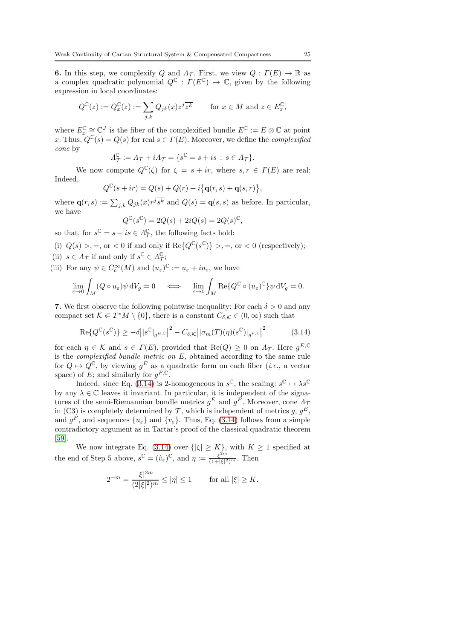**6.** In this step, we complexify Q and  $\Lambda_{\mathcal{T}}$ . First, we view  $Q: \Gamma(E) \to \mathbb{R}$  as a complex quadratic polynomial  $Q^{\mathbb{C}} : \Gamma(E^{\mathbb{C}}) \to \mathbb{C}$ , given by the following expression in local coordinates:

$$
Q^{\mathbb{C}}(z) := Q_x^{\mathbb{C}}(z) := \sum_{j,k} Q_{jk}(x) z^j \overline{z^k} \quad \text{for } x \in M \text{ and } z \in E_x^{\mathbb{C}},
$$

where  $E_x^{\mathbb{C}} \cong \mathbb{C}^J$  is the fiber of the complexified bundle  $E^{\mathbb{C}} := E \otimes \mathbb{C}$  at point x. Thus,  $Q^{\mathbb{C}}(s) = Q(s)$  for real  $s \in \Gamma(E)$ . Moreover, we define the *complexified* cone by

$$
\Lambda^{\mathbb{C}}_{\mathcal{T}} := \Lambda_{\mathcal{T}} + i\Lambda_{\mathcal{T}} = \{s^{\mathbb{C}} = s + is \, : \, s \in \Lambda_{\mathcal{T}}\}.
$$

We now compute  $Q^{\mathbb{C}}(\zeta)$  for  $\zeta = s + ir$ , where  $s, r \in \Gamma(E)$  are real: Indeed,

$$
Q^{\mathbb{C}}(s+ir) = Q(s) + Q(r) + i\big\{\mathbf{q}(r,s) + \mathbf{q}(s,r)\big\},\,
$$

where  $\mathbf{q}(r,s) := \sum_{j,k} Q_{jk}(x) r^j \overline{s^k}$  and  $Q(s) = \mathbf{q}(s,s)$  as before. In particular, we have ,

<span id="page-24-0"></span>
$$
Q^{\mathbb{C}}(s^{\mathbb{C}}) = 2Q(s) + 2iQ(s) = 2Q(s)^{\mathbb{C}}
$$

so that, for  $s^{\mathbb{C}} = s + is \in \Lambda^{\mathbb{C}}_{\mathcal{T}}$ , the following facts hold:

(i)  $Q(s)$ , =, or < 0 if and only if  $\text{Re}\{Q^{\mathbb{C}}(s^{\mathbb{C}})\}$ , =, or < 0 (respectively); (ii)  $s \in \Lambda_{\mathcal{T}}$  if and only if  $s^{\mathbb{C}} \in \Lambda_{\mathcal{T}}^{\mathbb{C}}$ ;

(iii) For any  $\psi \in C_c^{\infty}(M)$  and  $(u_{\varepsilon})^{\mathbb{C}} := u_{\varepsilon} + iu_{\varepsilon}$ , we have

$$
\lim_{\varepsilon \to 0} \int_M (Q \circ u_{\varepsilon}) \psi \, dV_g = 0 \quad \iff \quad \lim_{\varepsilon \to 0} \int_M \text{Re}\{Q^{\mathbb{C}} \circ (u_{\varepsilon})^{\mathbb{C}}\} \psi \, dV_g = 0.
$$

7. We first observe the following pointwise inequality: For each  $\delta > 0$  and any compact set  $\mathcal{K} \Subset T^*M \setminus \{0\}$ , there is a constant  $C_{\delta,\mathcal{K}} \in (0,\infty)$  such that

$$
\operatorname{Re}\{Q^{\mathbb{C}}(s^{\mathbb{C}})\}\geq-\delta\big||s^{\mathbb{C}}|_{g^{E,\mathbb{C}}}\big|^2-C_{\delta,\mathcal{K}}\big||\sigma_m(T)(\eta)(s^{\mathbb{C}})|_{g^{F,\mathbb{C}}}\big|^2\tag{3.14}
$$

for each  $\eta \in \mathcal{K}$  and  $s \in \Gamma(E)$ , provided that  $\text{Re}(Q) \geq 0$  on  $\Lambda_{\mathcal{T}}$ . Here  $g^{E,\mathbb{C}}$ is the *complexified bundle metric on*  $E$ , obtained according to the same rule for  $Q \mapsto Q^{\mathbb{C}}$ , by viewing  $g^E$  as a quadratic form on each fiber (*i.e.*, a vector space) of E; and similarly for  $g^{F,\mathbb{C}}$ .

Indeed, since Eq. [\(3.14\)](#page-24-0) is 2-homogeneous in  $s^{\mathbb{C}}$ , the scaling:  $s^{\mathbb{C}} \mapsto \lambda s^{\mathbb{C}}$ by any  $\lambda \in \mathbb{C}$  leaves it invariant. In particular, it is independent of the signatures of the semi-Riemannian bundle metrics  $g^{E}$  and  $g^{F}$ . Moreover, cone  $\Lambda_{7}$ in (C3) is completely determined by  $\mathcal{T}$ , which is independent of metrics g,  $g^E$ , and  $g^F$ , and sequences  $\{u_{\varepsilon}\}\$  and  $\{v_{\varepsilon}\}\$ . Thus, Eq. [\(3.14\)](#page-24-0) follows from a simple contradictory argument as in Tartar's proof of the classical quadratic theorem [\[59\]](#page-63-10).

We now integrate Eq. [\(3.14\)](#page-24-0) over  $\{|\xi| \geq K\}$ , with  $K \geq 1$  specified at the end of Step 5 above,  $s^{\mathbb{C}} = (\hat{v}_{\varepsilon})^{\mathbb{C}}$ , and  $\eta := \frac{\xi^{2m}}{(1 + |\xi|^2)}$  $\frac{\xi^{-m}}{(1+|\xi|^2)^m}$ . Then

$$
2^{-m} = \frac{|\xi|^{2m}}{(2|\xi|^2)^m} \le |\eta| \le 1 \quad \text{for all } |\xi| \ge K.
$$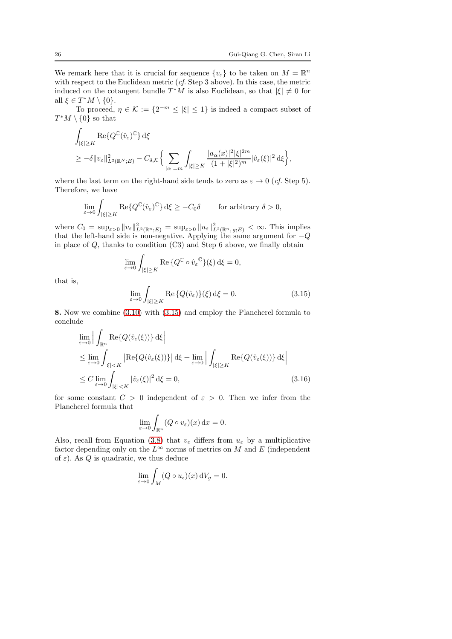We remark here that it is crucial for sequence  $\{v_{\varepsilon}\}\)$  to be taken on  $M = \mathbb{R}^n$ with respect to the Euclidean metric (*cf.* Step 3 above). In this case, the metric induced on the cotangent bundle  $T^*M$  is also Euclidean, so that  $|\xi| \neq 0$  for all  $\xi \in T^*M \setminus \{0\}$ .

To proceed,  $\eta \in \mathcal{K} := \{2^{-m} \leq |\xi| \leq 1\}$  is indeed a compact subset of  $T^*M\setminus\{0\}$  so that

$$
\begin{split} & \int_{|\xi|\geq K} \operatorname{Re}\{Q^{\mathbb{C}}(\hat{v}_{\varepsilon})^{\mathbb{C}}\} \, \mathrm{d}\xi \\ & \geq -\delta \|v_{\varepsilon}\|_{L^{2}(\mathbb{R}^{N};E)}^{2} - C_{\delta,\mathcal{K}} \bigg\{\sum_{|\alpha|=m} \int_{|\xi|\geq K} \frac{|a_{\alpha}(x)|^{2}|\xi|^{2m}}{(1+|\xi|^{2})^{m}} |\hat{v}_{\varepsilon}(\xi)|^{2} \, \mathrm{d}\xi\bigg\}, \end{split}
$$

where the last term on the right-hand side tends to zero as  $\varepsilon \to 0$  (*cf.* Step 5). Therefore, we have

$$
\lim_{\varepsilon \to 0} \int_{|\xi| \ge K} \operatorname{Re} \{ Q^{\mathbb{C}}(\hat{v}_{\varepsilon})^{\mathbb{C}} \} \, \mathrm{d}\xi \ge -C_0 \delta \qquad \text{ for arbitrary } \delta > 0,
$$

where  $C_0 = \sup_{\varepsilon > 0} ||v_{\varepsilon}||_{L^2(\mathbb{R}^n;E)}^2 = \sup_{\varepsilon > 0} ||u_{\varepsilon}||_{L^2(\mathbb{R}^n, g;E)}^2 < \infty$ . This implies that the left-hand side is non-negative. Applying the same argument for  $-Q$ in place of  $Q$ , thanks to condition  $(C3)$  and Step 6 above, we finally obtain

$$
\lim_{\varepsilon \to 0} \int_{|\xi| \ge K} \operatorname{Re} \{ Q^{\mathbb{C}} \circ \hat{v}_{\varepsilon}^{\mathbb{C}} \}(\xi) d\xi = 0,
$$

that is,

<span id="page-25-0"></span>
$$
\lim_{\varepsilon \to 0} \int_{|\xi| \ge K} \text{Re}\left\{Q(\hat{v}_{\varepsilon})\right\}(\xi) d\xi = 0. \tag{3.15}
$$

8. Now we combine [\(3.10\)](#page-21-0) with [\(3.15\)](#page-25-0) and employ the Plancherel formula to conclude

$$
\lim_{\varepsilon \to 0} \Big| \int_{\mathbb{R}^n} \text{Re}\{Q(\hat{v}_{\varepsilon}(\xi))\} d\xi \Big|
$$
\n
$$
\leq \lim_{\varepsilon \to 0} \int_{|\xi| < K} |\text{Re}\{Q(\hat{v}_{\varepsilon}(\xi))\}| d\xi + \lim_{\varepsilon \to 0} \Big| \int_{|\xi| \geq K} \text{Re}\{Q(\hat{v}_{\varepsilon}(\xi))\} d\xi \Big|
$$
\n
$$
\leq C \lim_{\varepsilon \to 0} \int_{|\xi| < K} |\hat{v}_{\varepsilon}(\xi)|^2 d\xi = 0,
$$
\n(3.16)

for some constant  $C > 0$  independent of  $\varepsilon > 0$ . Then we infer from the Plancherel formula that

$$
\lim_{\varepsilon \to 0} \int_{\mathbb{R}^n} (Q \circ v_{\varepsilon})(x) \, \mathrm{d}x = 0.
$$

Also, recall from Equation [\(3.8\)](#page-21-1) that  $v_{\varepsilon}$  differs from  $u_{\varepsilon}$  by a multiplicative factor depending only on the  $L^{\infty}$  norms of metrics on M and E (independent of  $\varepsilon$ ). As Q is quadratic, we thus deduce

$$
\lim_{\varepsilon \to 0} \int_M (Q \circ u_\varepsilon)(x) \,dV_g = 0.
$$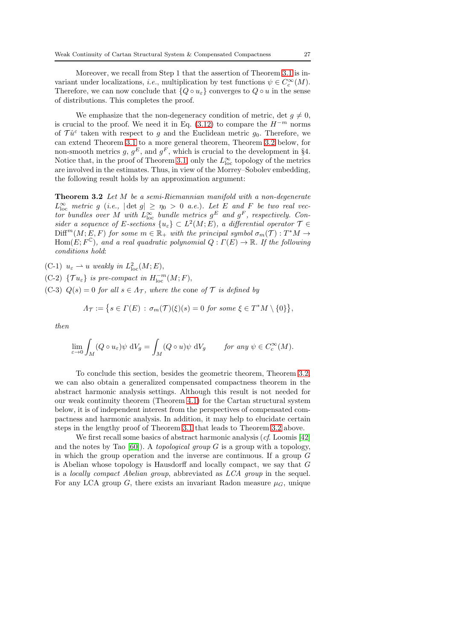Moreover, we recall from Step 1 that the assertion of Theorem [3.1](#page-16-0) is invariant under localizations, *i.e.*, multiplication by test functions  $\psi \in C_c^{\infty}(M)$ . Therefore, we can now conclude that  $\{Q \circ u_{\varepsilon}\}$  converges to  $Q \circ u$  in the sense of distributions. This completes the proof.

We emphasize that the non-degeneracy condition of metric, det  $q \neq 0$ , is crucial to the proof. We need it in Eq. [\(3.12\)](#page-22-1) to compare the  $H^{-m}$  norms of  $\mathcal{T}\hat{u}^{\varepsilon}$  taken with respect to g and the Euclidean metric  $g_0$ . Therefore, we can extend Theorem [3.1](#page-16-0) to a more general theorem, Theorem [3.2](#page-26-0) below, for non-smooth metrics g,  $g^E$ , and  $g^F$ , which is crucial to the development in §4. Notice that, in the proof of Theorem [3.1,](#page-16-0) only the  $L^{\infty}_{loc}$  topology of the metrics are involved in the estimates. Thus, in view of the Morrey–Sobolev embedding, the following result holds by an approximation argument:

<span id="page-26-0"></span>Theorem 3.2 Let M be a semi-Riemannian manifold with a non-degenerate  $L^{\infty}_{\text{loc}}$  metric g (i.e.,  $|\det g| \geq \eta_0 > 0$  a.e.). Let E and F be two real vector bundles over M with  $L^{\infty}_{\text{loc}}$  bundle metrics  $g^E$  and  $g^F$ , respectively. Consider a sequence of E-sections  $\{u_{\varepsilon}\}\subset L^2(M;E)$ , a differential operator  $\mathcal{T}\in$  $Diff^{m}(M;E, F)$  for some  $m \in \mathbb{R}_{+}$  with the principal symbol  $\sigma_{m}(\mathcal{T}): T^{*}M \to$  $Hom(E; F^{\mathbb{C}})$ , and a real quadratic polynomial  $Q: \Gamma(E) \to \mathbb{R}$ . If the following conditions hold:

(C-1)  $u_{\varepsilon} \rightharpoonup u$  weakly in  $L^2_{\text{loc}}(M;E)$ ,

(C-2) { $\mathcal{T} u_{\varepsilon}$ } is pre-compact in  $H^{-m}_{\text{loc}}(M;F)$ ,

(C-3)  $Q(s) = 0$  for all  $s \in \Lambda_{\mathcal{T}}$ , where the cone of  $\mathcal{T}$  is defined by

$$
\Lambda_{\mathcal{T}} := \big\{ s \in \Gamma(E) \,:\, \sigma_m(\mathcal{T})(\xi)(s) = 0 \,\,\text{for some} \,\,\xi \in T^*M \setminus \{0\} \big\},
$$

then

$$
\lim_{\varepsilon \to 0} \int_M (Q \circ u_\varepsilon) \psi \ dV_g = \int_M (Q \circ u) \psi \ dV_g \qquad \text{for any } \psi \in C_c^\infty(M).
$$

To conclude this section, besides the geometric theorem, Theorem [3.2,](#page-26-0) we can also obtain a generalized compensated compactness theorem in the abstract harmonic analysis settings. Although this result is not needed for our weak continuity theorem (Theorem [4.1\)](#page-28-1) for the Cartan structural system below, it is of independent interest from the perspectives of compensated compactness and harmonic analysis. In addition, it may help to elucidate certain steps in the lengthy proof of Theorem [3.1](#page-16-0) that leads to Theorem [3.2](#page-26-0) above.

We first recall some basics of abstract harmonic analysis (cf. Loomis [\[42\]](#page-63-19) and the notes by Tao [\[60\]](#page-63-20)). A topological group G is a group with a topology, in which the group operation and the inverse are continuous. If a group G is Abelian whose topology is Hausdorff and locally compact, we say that G is a locally compact Abelian group, abbreviated as LCA group in the sequel. For any LCA group G, there exists an invariant Radon measure  $\mu_G$ , unique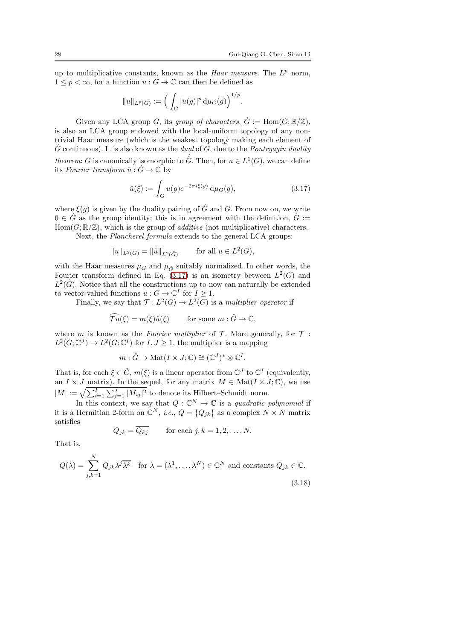.

up to multiplicative constants, known as the *Haar measure*. The  $L^p$  norm,  $1 \leq p < \infty$ , for a function  $u : G \to \mathbb{C}$  can then be defined as

$$
\|u\|_{L^p(G)}:=\Big(\int_G |u(g)|^p\, {\rm d} \mu_G(g)\Big)^{1/p}
$$

Given any LCA group G, its group of characters,  $\hat{G} := \text{Hom}(G; \mathbb{R}/\mathbb{Z})$ , is also an LCA group endowed with the local-uniform topology of any nontrivial Haar measure (which is the weakest topology making each element of  $\hat{G}$  continuous). It is also known as the *dual* of G, due to the *Pontryagin duality theorem:* G is canonically isomorphic to  $\hat{G}$ . Then, for  $u \in L^1(G)$ , we can define its Fourier transform  $\hat{u}$ :  $\hat{G} \rightarrow \mathbb{C}$  by

<span id="page-27-0"></span>
$$
\hat{u}(\xi) := \int_G u(g)e^{-2\pi i\xi(g)} d\mu_G(g),
$$
\n(3.17)

where  $\xi(q)$  is given by the duality pairing of  $\hat{G}$  and  $G$ . From now on, we write  $0 \in \hat{G}$  as the group identity; this is in agreement with the definition,  $\hat{G}$  :=  $Hom(G; \mathbb{R}/\mathbb{Z})$ , which is the group of *additive* (not multiplicative) characters.

Next, the Plancherel formula extends to the general LCA groups:

$$
||u||_{L^2(G)} = ||\hat{u}||_{L^2(\hat{G})}
$$
 for all  $u \in L^2(G)$ ,

with the Haar measures  $\mu_G$  and  $\mu_{\hat{G}}$  suitably normalized. In other words, the Fourier transform defined in Eq.  $(3.17)$  is an isometry between  $L^2(G)$  and  $L^2(\hat{G})$ . Notice that all the constructions up to now can naturally be extended to vector-valued functions  $u : G \to \mathbb{C}^I$  for  $I \geq 1$ .

Finally, we say that  $\mathcal{T}: L^2(G) \to L^2(G)$  is a multiplier operator if

$$
\widehat{\mathcal{T}u}(\xi) = m(\xi)\hat{u}(\xi) \qquad \text{for some } m : \hat{G} \to \mathbb{C},
$$

where m is known as the Fourier multiplier of  $\mathcal T$ . More generally, for  $\mathcal T$ :  $L^2(G; \mathbb{C}^J) \to L^2(G; \mathbb{C}^I)$  for  $I, J \geq 1$ , the multiplier is a mapping

$$
m: \hat{G} \to \mathrm{Mat}(I \times J; \mathbb{C}) \cong (\mathbb{C}^{J})^* \otimes \mathbb{C}^{I}.
$$

That is, for each  $\xi \in \hat{G}$ ,  $m(\xi)$  is a linear operator from  $\mathbb{C}^{J}$  to  $\mathbb{C}^{I}$  (equivalently, an  $I \times J$  matrix). In the sequel, for any matrix  $M \in Mat(I \times J; \mathbb{C})$ , we use  $|M| := \sqrt{\sum_{i=1}^{I} \sum_{j=1}^{J} |M_{ij}|^2}$  to denote its Hilbert–Schmidt norm.

In this context, we say that  $Q: \mathbb{C}^N \to \mathbb{C}$  is a quadratic polynomial if it is a Hermitian 2-form on  $\mathbb{C}^N$ , *i.e.*,  $Q = \{Q_{jk}\}\$ as a complex  $N \times N$  matrix satisfies

$$
Q_{jk} = \overline{Q_{kj}} \qquad \text{for each } j, k = 1, 2, \dots, N.
$$

That is,

<span id="page-27-1"></span>
$$
Q(\lambda) = \sum_{j,k=1}^{N} Q_{jk} \lambda^{j} \overline{\lambda^{k}} \quad \text{for } \lambda = (\lambda^{1}, \dots, \lambda^{N}) \in \mathbb{C}^{N} \text{ and constants } Q_{jk} \in \mathbb{C}.
$$
\n(3.18)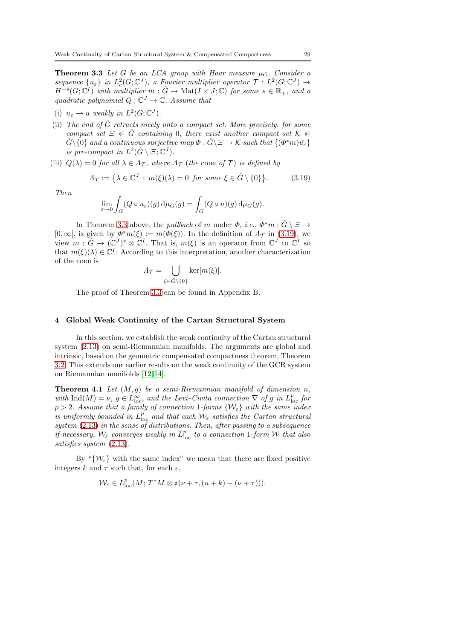**Theorem 3.3** Let G be an LCA group with Haar measure  $\mu_G$ . Consider a sequence  $\{u_{\varepsilon}\}\$ in  $L^2_c(G; \mathbb{C}^J)$ , a Fourier multiplier operator  $\mathcal{T}: L^2(G; \mathbb{C}^J) \to$  $H^{-s}(G; \mathbb{C}^I)$  with multiplier  $m : \hat{G} \to \text{Mat}(I \times J; \mathbb{C})$  for some  $s \in \mathbb{R}_+$ , and a quadratic polynomial  $Q: \mathbb{C}^J \to \mathbb{C}$ . Assume that

- (i)  $u_{\varepsilon} \rightharpoonup u$  weakly in  $L^2(G; \mathbb{C}^J)$ .
- (ii) The end of  $\hat{G}$  retracts nicely onto a compact set. More precisely, for some compact set  $\Xi \in \hat{G}$  containing 0, there exist another compact set  $\mathcal{K} \in$  $\hat{G}\backslash\{0\}$  and a continuous surjective map  $\Phi:\hat{G}\backslash\Xi\to\mathcal{K}$  such that  $\{(\Phi^*m)\hat{u_\varepsilon}\}$ is pre-compact in  $L^2(\hat{G} \setminus \Xi, \mathbb{C}^J)$ .
- (iii)  $Q(\lambda) = 0$  for all  $\lambda \in \Lambda_T$ , where  $\Lambda_T$  (the cone of T) is defined by

<span id="page-28-2"></span>
$$
\Lambda_{\mathcal{T}} := \left\{ \lambda \in \mathbb{C}^J : m(\xi)(\lambda) = 0 \text{ for some } \xi \in \hat{G} \setminus \{0\} \right\}. \tag{3.19}
$$

Then

$$
\lim_{\varepsilon \to 0} \int_G (Q \circ u_{\varepsilon})(g) d\mu_G(g) = \int_G (Q \circ u)(g) d\mu_G(g).
$$

In Theorem [3.3](#page-27-1) above, the *pullback* of m under  $\Phi$ , *i.e.*,  $\Phi^* m : \hat{G} \setminus \Xi \to$  $[0, \infty]$ , is given by  $\Phi^* m(\xi) := m(\Phi(\xi))$ . In the definition of  $\Lambda_{\mathcal{T}}$  in [\(3.19\)](#page-28-2), we view  $m: \hat{G} \to (\mathbb{C}^J)^* \otimes \mathbb{C}^I$ . That is,  $m(\xi)$  is an operator from  $\mathbb{C}^J$  to  $\mathbb{C}^I$  so that  $m(\xi)(\lambda) \in \mathbb{C}^I$ . According to this interpretation, another characterization of the cone is

$$
\Lambda_{\mathcal{T}} = \bigcup_{\xi \in \hat{G} \setminus \{0\}} \ker[m(\xi)].
$$

The proof of Theorem [3.3](#page-27-1) can be found in Appendix B.

# <span id="page-28-0"></span>4 Global Weak Continuity of the Cartan Structural System

In this section, we establish the weak continuity of the Cartan structural system [\(2.13\)](#page-12-0) on semi-Riemannian manifolds. The arguments are global and intrinsic, based on the geometric compensated compactness theorem, Theorem [3.2.](#page-26-0) This extends our earlier results on the weak continuity of the GCR system on Riemannian manifolds [\[12,](#page-62-11)[14\]](#page-62-10).

<span id="page-28-1"></span>**Theorem 4.1** Let  $(M, g)$  be a semi-Riemannian manifold of dimension n, with  $\text{Ind}(M) = \nu$ ,  $g \in L^{\infty}_{loc}$ , and the Levi-Civita connection  $\nabla$  of g in  $L^p_{loc}$  for  $p > 2$ . Assume that a family of connection 1-forms  $\{W_{\varepsilon}\}\$  with the same index is uniformly bounded in  $L^p_{\text{loc}}$  and that each  $\mathcal{W}_{\varepsilon}$  satisfies the Cartan structural system [\(2.13\)](#page-12-0) in the sense of distributions. Then, after passing to a subsequence if necessary,  $\mathcal{W}_{\varepsilon}$  converges weakly in  $L^p_{\text{loc}}$  to a connection 1-form W that also satisfies system [\(2.13\)](#page-12-0).

By " $\{W_{\varepsilon}\}\right\}$  with the same index" we mean that there are fixed positive integers k and  $\tau$  such that, for each  $\varepsilon$ ,

$$
\mathcal{W}_{\varepsilon} \in L^{p}_{loc}(M; T^{*}M \otimes \mathfrak{o}(\nu + \tau, (n + k) - (\nu + \tau))).
$$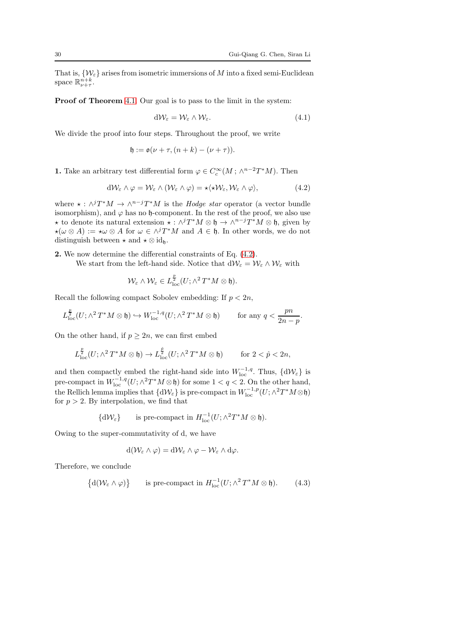That is,  $\{\mathcal{W}_{\varepsilon}\}\)$  arises from isometric immersions of M into a fixed semi-Euclidean space  $\mathbb{R}^{n+k}_{\nu+\tau}$ .

Proof of Theorem [4.1.](#page-28-1) Our goal is to pass to the limit in the system:

$$
d\mathcal{W}_{\varepsilon} = \mathcal{W}_{\varepsilon} \wedge \mathcal{W}_{\varepsilon}.\tag{4.1}
$$

We divide the proof into four steps. Throughout the proof, we write

$$
\mathfrak{h} := \mathfrak{o}(\nu + \tau, (n + k) - (\nu + \tau)).
$$

**1.** Take an arbitrary test differential form  $\varphi \in C_c^{\infty}(M; \wedge^{n-2}T^*M)$ . Then

<span id="page-29-0"></span>
$$
d\mathcal{W}_{\varepsilon} \wedge \varphi = \mathcal{W}_{\varepsilon} \wedge (\mathcal{W}_{\varepsilon} \wedge \varphi) = \star \langle \star \mathcal{W}_{\varepsilon}, \mathcal{W}_{\varepsilon} \wedge \varphi \rangle, \tag{4.2}
$$

where  $\star : \wedge^j T^*M \to \wedge^{n-j} T^*M$  is the *Hodge star* operator (a vector bundle isomorphism), and  $\varphi$  has no h-component. In the rest of the proof, we also use **★** to denote its natural extension  $\star : \wedge^j T^*M \otimes \mathfrak{h} \to \wedge^{n-j} T^*M \otimes \mathfrak{h}$ , given by  $\star(\omega \otimes A) := \star \omega \otimes A$  for  $\omega \in \wedge^j T^*M$  and  $A \in \mathfrak{h}$ . In other words, we do not distinguish between  $\star$  and  $\star \otimes id_{\mathfrak{h}}$ .

2. We now determine the differential constraints of Eq. [\(4.2\)](#page-29-0).

We start from the left-hand side. Notice that  $dW_{\varepsilon} = W_{\varepsilon} \wedge W_{\varepsilon}$  with

$$
\mathcal{W}_{\varepsilon} \wedge \mathcal{W}_{\varepsilon} \in L^{\frac{p}{2}}_{\mathrm{loc}}(U; \wedge^2 T^*M \otimes \mathfrak{h}).
$$

Recall the following compact Sobolev embedding: If  $p < 2n$ ,

$$
L_{\text{loc}}^{\frac{p}{2}}(U; \wedge^2 T^*M \otimes \mathfrak{h}) \hookrightarrow W^{-1,q}_{\text{loc}}(U; \wedge^2 T^*M \otimes \mathfrak{h}) \quad \text{for any } q < \frac{pn}{2n-p}.
$$

On the other hand, if  $p \geq 2n$ , we can first embed

$$
L_{\text{loc}}^{\frac{p}{2}}(U; \wedge^2 T^*M \otimes \mathfrak{h}) \to L_{\text{loc}}^{\frac{p}{2}}(U; \wedge^2 T^*M \otimes \mathfrak{h}) \quad \text{for } 2 < p < 2n,
$$

and then compactly embed the right-hand side into  $W_{\text{loc}}^{-1,q}$ . Thus,  $\{d\mathcal{W}_{\varepsilon}\}\)$  is pre-compact in  $W^{-1,q}_{loc}(U; \wedge^2 T^*M \otimes \mathfrak{h})$  for some  $1 < q < 2$ . On the other hand, the Rellich lemma implies that  $\{d\mathcal{W}_{\varepsilon}\}\$ is pre-compact in  $W_{\text{loc}}^{-1,p}(U;\wedge^2 T^*M\otimes \mathfrak{h})$ for  $p > 2$ . By interpolation, we find that

$$
\{\mathrm{d}\mathcal{W}_{\varepsilon}\}\qquad\text{is pre-compact in }H^{-1}_{\text{loc}}(U;\wedge^2T^*M\otimes\mathfrak{h}).
$$

Owing to the super-commutativity of d, we have

$$
d(\mathcal{W}_{\varepsilon} \wedge \varphi) = d\mathcal{W}_{\varepsilon} \wedge \varphi - \mathcal{W}_{\varepsilon} \wedge d\varphi.
$$

Therefore, we conclude

<span id="page-29-1"></span>
$$
\{d(\mathcal{W}_{\varepsilon} \wedge \varphi)\} \qquad \text{is pre-compact in } H^{-1}_{\text{loc}}(U; \wedge^2 T^*M \otimes \mathfrak{h}).\tag{4.3}
$$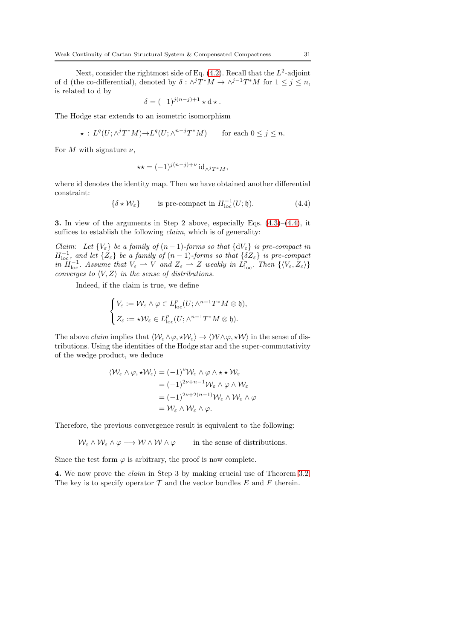Next, consider the rightmost side of Eq.  $(4.2)$ . Recall that the  $L^2$ -adjoint of d (the co-differential), denoted by  $\delta : \wedge^j T^*M \to \wedge^{j-1} T^*M$  for  $1 \leq j \leq n$ , is related to d by

$$
\delta = (-1)^{j(n-j)+1} \star \mathbf{d} \star.
$$

The Hodge star extends to an isometric isomorphism

$$
\star: L^q(U; \wedge^j T^*M) {\to} L^q(U; \wedge^{n-j} T^*M) \quad \text{for each } 0 \le j \le n.
$$

For M with signature  $\nu$ ,

$$
\star \star = (-1)^{j(n-j)+\nu} \operatorname{id}_{\wedge^j T^*M},
$$

where id denotes the identity map. Then we have obtained another differential constraint:

<span id="page-30-0"></span>
$$
\{\delta \star \mathcal{W}_{\varepsilon}\}\qquad \text{is pre-compact in } H^{-1}_{\text{loc}}(U; \mathfrak{h}).\tag{4.4}
$$

**3.** In view of the arguments in Step 2 above, especially Eqs.  $(4.3)$ – $(4.4)$ , it suffices to establish the following *claim*, which is of generality:

Claim: Let  $\{V_{\varepsilon}\}\$ be a family of  $(n-1)$ -forms so that  $\{dV_{\varepsilon}\}\$ is pre-compact in  $H^{-1}_{loc}$ , and let  $\{Z_{\varepsilon}\}\$  be a family of  $(n-1)$ -forms so that  $\{\delta Z_{\varepsilon}\}\$  is pre-compact in  $H^{-1}_{loc}$ . Assume that  $V_{\varepsilon} \rightharpoonup V$  and  $Z_{\varepsilon} \rightharpoonup Z$  weakly in  $\tilde{L}_{loc}^p$ . Then  $\{V_{\varepsilon}, Z_{\varepsilon}\}\$ converges to  $\langle V, Z \rangle$  in the sense of distributions.

Indeed, if the claim is true, we define

$$
\begin{cases} V_{\varepsilon} := \mathcal{W}_{\varepsilon} \wedge \varphi \in L^p_{\text{loc}}(U; \wedge^{n-1} T^*M \otimes \mathfrak{h}), \\ Z_{\varepsilon} := \star \mathcal{W}_{\varepsilon} \in L^p_{\text{loc}}(U; \wedge^{n-1} T^*M \otimes \mathfrak{h}). \end{cases}
$$

The above *claim* implies that  $\langle W_{\varepsilon} \wedge \varphi, \star W_{\varepsilon} \rangle \rightarrow \langle W \wedge \varphi, \star W \rangle$  in the sense of distributions. Using the identities of the Hodge star and the super-commutativity of the wedge product, we deduce

$$
\langle W_{\varepsilon} \wedge \varphi, \star W_{\varepsilon} \rangle = (-1)^{\nu} W_{\varepsilon} \wedge \varphi \wedge \star \star W_{\varepsilon}
$$
  

$$
= (-1)^{2\nu + n - 1} W_{\varepsilon} \wedge \varphi \wedge W_{\varepsilon}
$$
  

$$
= (-1)^{2\nu + 2(n - 1)} W_{\varepsilon} \wedge W_{\varepsilon} \wedge \varphi
$$
  

$$
= W_{\varepsilon} \wedge W_{\varepsilon} \wedge \varphi.
$$

Therefore, the previous convergence result is equivalent to the following:

 $W_{\varepsilon} \wedge W_{\varepsilon} \wedge \varphi \longrightarrow W \wedge W \wedge \varphi$  in the sense of distributions.

Since the test form  $\varphi$  is arbitrary, the proof is now complete.

4. We now prove the claim in Step 3 by making crucial use of Theorem [3.2.](#page-26-0) The key is to specify operator  $\mathcal T$  and the vector bundles E and F therein.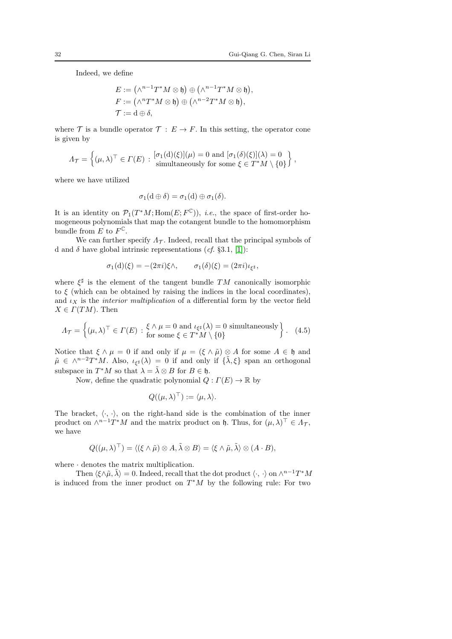Indeed, we define

$$
E := (\wedge^{n-1}T^*M \otimes \mathfrak{h}) \oplus (\wedge^{n-1}T^*M \otimes \mathfrak{h}),
$$
  
\n
$$
F := (\wedge^nT^*M \otimes \mathfrak{h}) \oplus (\wedge^{n-2}T^*M \otimes \mathfrak{h}),
$$
  
\n
$$
\mathcal{T} := \mathrm{d} \oplus \delta,
$$

where T is a bundle operator  $T : E \to F$ . In this setting, the operator cone is given by

$$
\Lambda_{\mathcal{T}} = \left\{ (\mu, \lambda)^{\top} \in \Gamma(E) : \begin{aligned} [\sigma_1(\mathrm{d})(\xi)](\mu) &= 0 \text{ and } [\sigma_1(\delta)(\xi)](\lambda) = 0 \\ \text{simultaneously for some } \xi \in T^*M \setminus \{0\} \end{aligned} \right\},
$$

where we have utilized

$$
\sigma_1(\mathrm{d}\oplus\delta)=\sigma_1(\mathrm{d})\oplus\sigma_1(\delta).
$$

It is an identity on  $\mathcal{P}_1(T^*M; \text{Hom}(E; F^{\mathbb{C}})),$  *i.e.*, the space of first-order homogeneous polynomials that map the cotangent bundle to the homomorphism bundle from  $E$  to  $F^{\mathbb{C}}$ .

We can further specify  $\Lambda_{\tau}$ . Indeed, recall that the principal symbols of d and  $\delta$  have global intrinsic representations  $(cf. \S3.1, [1])$  $(cf. \S3.1, [1])$  $(cf. \S3.1, [1])$ :

$$
\sigma_1(\mathbf{d})(\xi) = -(2\pi i)\xi \wedge, \qquad \sigma_1(\delta)(\xi) = (2\pi i)\iota_{\xi^{\sharp}},
$$

where  $\xi^{\sharp}$  is the element of the tangent bundle TM canonically isomorphic to  $\xi$  (which can be obtained by raising the indices in the local coordinates), and  $\iota_X$  is the *interior multiplication* of a differential form by the vector field  $X \in \Gamma(TM)$ . Then

$$
\Lambda_{\mathcal{T}} = \left\{ (\mu, \lambda)^{\top} \in \Gamma(E) : \begin{array}{l} \xi \wedge \mu = 0 \text{ and } \iota_{\xi^{\sharp}}(\lambda) = 0 \text{ simultaneously} \\ \text{for some } \xi \in T^*M \setminus \{0\} \end{array} \right\}.
$$
 (4.5)

Notice that  $\xi \wedge \mu = 0$  if and only if  $\mu = (\xi \wedge \tilde{\mu}) \otimes A$  for some  $A \in \mathfrak{h}$  and  $\tilde{\mu} \in \wedge^{n-2}T^*M$ . Also,  $\iota_{\xi^{\sharp}}(\lambda) = 0$  if and only if  $\{\tilde{\lambda},\xi\}$  span an orthogonal subspace in  $T^*M$  so that  $\lambda = \tilde{\lambda} \otimes B$  for  $B \in \mathfrak{h}$ .

Now, define the quadratic polynomial  $Q: \Gamma(E) \to \mathbb{R}$  by

<span id="page-31-0"></span>
$$
Q((\mu,\lambda)^{\top}) := \langle \mu, \lambda \rangle.
$$

The bracket,  $\langle \cdot, \cdot \rangle$ , on the right-hand side is the combination of the inner product on  $\wedge^{n-1}T^*M$  and the matrix product on  $\mathfrak{h}$ . Thus, for  $(\mu, \lambda)^{\top} \in \Lambda_{\mathcal{T}}$ , we have

$$
Q((\mu,\lambda)^{\top}) = \langle (\xi \wedge \tilde{\mu}) \otimes A, \tilde{\lambda} \otimes B \rangle = \langle \xi \wedge \tilde{\mu}, \tilde{\lambda} \rangle \otimes (A \cdot B),
$$

where  $\cdot$  denotes the matrix multiplication.

Then  $\langle \xi \wedge \tilde{\mu}, \tilde{\lambda} \rangle = 0$ . Indeed, recall that the dot product  $\langle \cdot, \cdot \rangle$  on  $\wedge^{n-1}T^*M$ is induced from the inner product on  $T^*M$  by the following rule: For two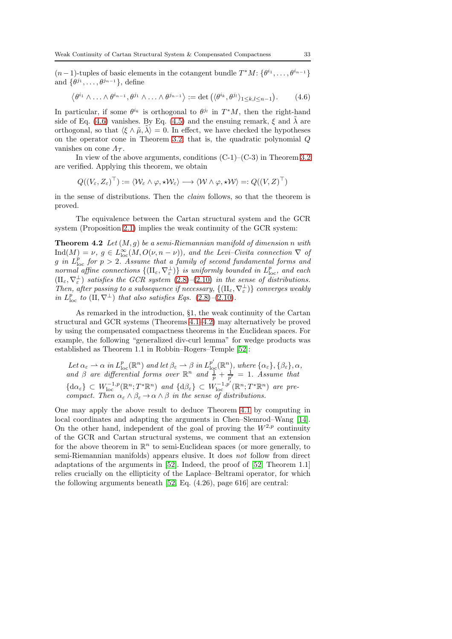$(n-1)$ -tuples of basic elements in the cotangent bundle  $T^*M: \{\theta^{i_1}, \ldots, \theta^{i_{n-1}}\}$ and  $\{\theta^{j_1}, \ldots, \theta^{j_{n-1}}\},\$ define

<span id="page-32-0"></span>
$$
\langle \theta^{i_1} \wedge \ldots \wedge \theta^{i_{n-1}}, \theta^{j_1} \wedge \ldots \wedge \theta^{j_{n-1}} \rangle := \det \left( \langle \theta^{i_k}, \theta^{j_l} \rangle_{1 \leq k, l \leq n-1} \right). \tag{4.6}
$$

In particular, if some  $\theta^{i_k}$  is orthogonal to  $\theta^{j_l}$  in  $T^*M$ , then the right-hand side of Eq. [\(4.6\)](#page-32-0) vanishes. By Eq. [\(4.5\)](#page-31-0) and the ensuing remark,  $\xi$  and  $\tilde{\lambda}$  are orthogonal, so that  $\langle \xi \wedge \tilde{\mu}, \tilde{\lambda} \rangle = 0$ . In effect, we have checked the hypotheses on the operator cone in Theorem [3.2;](#page-26-0) that is, the quadratic polynomial Q vanishes on cone  $\Lambda_{\mathcal{T}}$ .

In view of the above arguments, conditions  $(C-1)-(C-3)$  in Theorem [3.2](#page-26-0) are verified. Applying this theorem, we obtain

$$
Q((V_{\varepsilon}, Z_{\varepsilon})^{\top}) := \langle \mathcal{W}_{\varepsilon} \wedge \varphi, \star \mathcal{W}_{\varepsilon} \rangle \longrightarrow \langle \mathcal{W} \wedge \varphi, \star \mathcal{W} \rangle =: Q((V, Z)^{\top})
$$

in the sense of distributions. Then the claim follows, so that the theorem is proved.

<span id="page-32-1"></span>The equivalence between the Cartan structural system and the GCR system (Proposition [2.1\)](#page-12-1) implies the weak continuity of the GCR system:

**Theorem 4.2** Let  $(M, g)$  be a semi-Riemannian manifold of dimension n with  $\text{Ind}(M) = \nu, g \in L^{\infty}_{\text{loc}}(M, O(\nu, n - \nu)),$  and the Levi-Civita connection  $\nabla$  of g in  $L_{\text{loc}}^p$  for  $p > 2$ . Assume that a family of second fundamental forms and normal affine connections  $\{(\Pi_{\varepsilon}, \nabla_{\varepsilon}^{\perp})\}$  is uniformly bounded in  $L^p_{\text{loc}}$ , and each  $(\Pi_{\varepsilon}, \nabla_{\varepsilon}^{\perp})$  satisfies the GCR system  $(2.8)$ - $(2.10)$  in the sense of distributions. Then, after passing to a subsequence if necessary,  $\{(\Pi_{\varepsilon}, \nabla_{\varepsilon}^{\perp})\}$  converges weakly in  $L_{\text{loc}}^p$  to  $(\text{II}, \nabla^{\perp})$  that also satisfies Eqs.  $(2.8)$ - $(2.10)$ .

As remarked in the introduction, §1, the weak continuity of the Cartan structural and GCR systems (Theorems [4.1](#page-28-1)[–4.2\)](#page-32-1) may alternatively be proved by using the compensated compactness theorems in the Euclidean spaces. For example, the following "generalized div-curl lemma" for wedge products was established as Theorem 1.1 in Robbin–Rogers–Temple [\[52\]](#page-63-7):

Let  $\alpha_{\varepsilon} \rightharpoonup \alpha$  in  $L_{\text{loc}}^p(\mathbb{R}^n)$  and let  $\beta_{\varepsilon} \rightharpoonup \beta$  in  $L_{\text{loc}}^{p'}(\mathbb{R}^n)$ , where  $\{\alpha_{\varepsilon}\}, \{\beta_{\varepsilon}\}, \alpha$ , and  $\beta$  are differential forms over  $\mathbb{R}^n$  and  $\frac{1}{p} + \frac{1}{p'} = 1$ . Assume that  $\{d\alpha_{\varepsilon}\}\subset W^{-1,p}_{\text{loc}}(\mathbb{R}^n;T^*\mathbb{R}^n)$  and  $\{d\beta_{\varepsilon}\}\subset W^{-1,p'}_{\text{loc}}(\mathbb{R}^n;T^*\mathbb{R}^n)$  are precompact. Then  $\alpha_{\varepsilon} \wedge \beta_{\varepsilon} \to \alpha \wedge \beta$  in the sense of distributions.

One may apply the above result to deduce Theorem [4.1](#page-28-1) by computing in local coordinates and adapting the arguments in Chen–Slemrod–Wang [\[14\]](#page-62-10). On the other hand, independent of the goal of proving the  $W^{2,p}$  continuity of the GCR and Cartan structural systems, we comment that an extension for the above theorem in  $\mathbb{R}^n$  to semi-Euclidean spaces (or more generally, to semi-Riemannian manifolds) appears elusive. It does not follow from direct adaptations of the arguments in [\[52\]](#page-63-7). Indeed, the proof of [\[52,](#page-63-7) Theorem 1.1] relies crucially on the ellipticity of the Laplace–Beltrami operator, for which the following arguments beneath [\[52,](#page-63-7) Eq. (4.26), page 616] are central: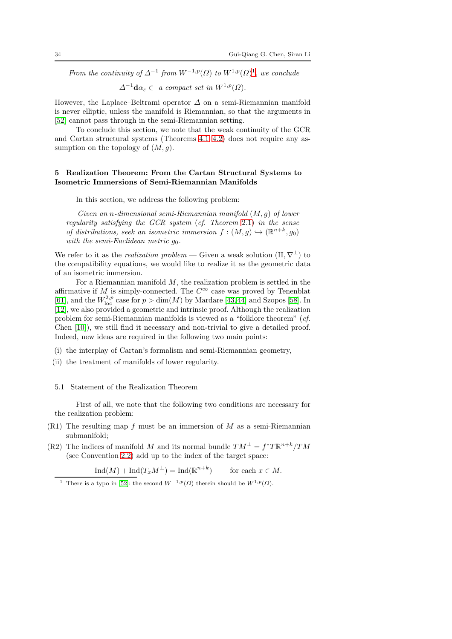From the continuity of  $\Delta^{-1}$  $\Delta^{-1}$  $\Delta^{-1}$  from  $W^{-1,p}(\Omega)$  to  $W^{1,p}(\Omega)$ <sup>1</sup>, we conclude

 $\Delta^{-1}$ **d** $\alpha_{\varepsilon} \in a$  compact set in  $W^{1,p}(\Omega)$ .

However, the Laplace–Beltrami operator  $\Delta$  on a semi-Riemannian manifold is never elliptic, unless the manifold is Riemannian, so that the arguments in [\[52\]](#page-63-7) cannot pass through in the semi-Riemannian setting.

To conclude this section, we note that the weak continuity of the GCR and Cartan structural systems (Theorems  $4.1-4.2$ ) does not require any assumption on the topology of  $(M, g)$ .

# <span id="page-33-0"></span>5 Realization Theorem: From the Cartan Structural Systems to Isometric Immersions of Semi-Riemannian Manifolds

In this section, we address the following problem:

Given an n-dimensional semi-Riemannian manifold  $(M, g)$  of lower regularity satisfying the GCR system (cf. Theorem [2.1\)](#page-9-4) in the sense of distributions, seek an isometric immersion  $f : (M, g) \hookrightarrow (\mathbb{R}^{n+k}, g_0)$ with the semi-Euclidean metric  $q_0$ .

We refer to it as the realization problem — Given a weak solution  $(\Pi, \nabla^{\perp})$  to the compatibility equations, we would like to realize it as the geometric data of an isometric immersion.

For a Riemannian manifold  $M$ , the realization problem is settled in the affirmative if M is simply-connected. The  $C^{\infty}$  case was proved by Tenenblat [\[61\]](#page-63-15), and the  $W^{2,p}_{\text{loc}}$  case for  $p > \dim(M)$  by Mardare [\[43,](#page-63-21)[44\]](#page-63-22) and Szopos [\[58\]](#page-63-23). In [\[12\]](#page-62-11), we also provided a geometric and intrinsic proof. Although the realization problem for semi-Riemannian manifolds is viewed as a "folklore theorem" (cf. Chen [\[10\]](#page-62-20)), we still find it necessary and non-trivial to give a detailed proof. Indeed, new ideas are required in the following two main points:

- (i) the interplay of Cartan's formalism and semi-Riemannian geometry,
- (ii) the treatment of manifolds of lower regularity.

## <span id="page-33-2"></span>5.1 Statement of the Realization Theorem

First of all, we note that the following two conditions are necessary for the realization problem:

- $(R1)$  The resulting map f must be an immersion of M as a semi-Riemannian submanifold;
- (R2) The indices of manifold M and its normal bundle  $TM^{\perp} = f^*T\mathbb{R}^{n+k}/TM$ (see Convention [2.2\)](#page-6-1) add up to the index of the target space:

$$
Ind(M) + Ind(T_x M^{\perp}) = Ind(\mathbb{R}^{n+k}) \qquad \text{for each } x \in M.
$$

<span id="page-33-1"></span><sup>&</sup>lt;sup>1</sup> There is a typo in [\[52\]](#page-63-7): the second  $W^{-1,p}(\Omega)$  therein should be  $W^{1,p}(\Omega)$ .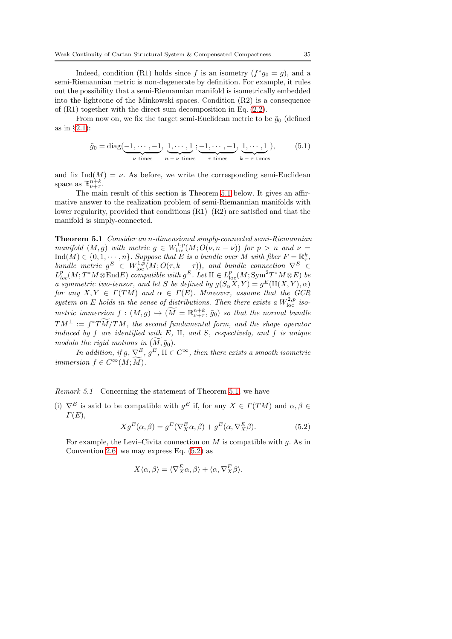Indeed, condition (R1) holds since f is an isometry  $(f^*g_0 = g)$ , and a semi-Riemannian metric is non-degenerate by definition. For example, it rules out the possibility that a semi-Riemannian manifold is isometrically embedded into the lightcone of the Minkowski spaces. Condition (R2) is a consequence of (R1) together with the direct sum decomposition in Eq. [\(2.2\)](#page-6-2).

From now on, we fix the target semi-Euclidean metric to be  $\tilde{g}_0$  (defined as in §2.[1\)](#page-4-1):

<span id="page-34-2"></span>
$$
\tilde{g}_0 = \text{diag}(\underbrace{-1, \cdots, -1}_{\nu \text{ times}}, \underbrace{1, \cdots, 1}_{n-\nu \text{ times}}, \underbrace{-1, \cdots, -1}_{\tau \text{ times}}, \underbrace{1, \cdots, 1}_{k-\tau \text{ times}}),
$$
(5.1)

and fix Ind $(M) = \nu$ . As before, we write the corresponding semi-Euclidean space as  $\mathbb{R}^{n+k}_{\nu+\tau}$ .

The main result of this section is Theorem [5.1](#page-34-0) below. It gives an affirmative answer to the realization problem of semi-Riemannian manifolds with lower regularity, provided that conditions (R1)–(R2) are satisfied and that the manifold is simply-connected.

<span id="page-34-0"></span>Theorem 5.1 Consider an n-dimensional simply-connected semi-Riemannian manifold  $(M, g)$  with metric  $g \in W^{1,p}_{loc}(M; O(\nu, n - \nu))$  for  $p > n$  and  $\nu =$  $\text{Ind}(M) \in \{0, 1, \dots, n\}$ . Suppose that E is a bundle over M with fiber  $F = \mathbb{R}^k_\tau$ , bundle metric  $g^E \in W^{1,p}_{loc}(M;O(\tau,k-\tau))$ , and bundle connection  $\nabla^E \in$  $L_{loc}^p(M;T^*M\otimes \text{End} E)$  compatible with  $g^E$ . Let  $\Pi \in L_{loc}^p(M; \text{Sym}^2 T^*M \otimes E)$  be a symmetric two-tensor, and let S be defined by  $g(S_{\alpha}X, Y) = g^{E}(\Pi(X, Y), \alpha)$ for any  $X, Y \in \Gamma(TM)$  and  $\alpha \in \Gamma(E)$ . Moreover, assume that the GCR system on E holds in the sense of distributions. Then there exists a  $W^{2,p}_{\text{loc}}$  isometric immersion  $f:(M,g)\hookrightarrow (\widetilde{M}=\mathbb{R}^{n+k}_{\nu+\tau},\tilde{g}_0)$  so that the normal bundle  $T M^{\perp} := f^* T \overline{M} / T M$ , the second fundamental form, and the shape operator induced by  $f$  are identified with  $E$ , II, and  $S$ , respectively, and  $f$  is unique modulo the rigid motions in  $(M, \tilde{g}_0)$ .

In addition, if  $g, \nabla^E, g^E, \Pi \in C^{\infty}$ , then there exists a smooth isometric immersion  $f \in C^{\infty}(M; \overline{M}).$ 

Remark 5.1 Concerning the statement of Theorem [5.1,](#page-34-0) we have

(i)  $\nabla^E$  is said to be compatible with  $g^E$  if, for any  $X \in \Gamma(TM)$  and  $\alpha, \beta \in$  $\Gamma(E)$ ,

<span id="page-34-1"></span>
$$
Xg^{E}(\alpha,\beta) = g^{E}(\nabla_{X}^{E}\alpha,\beta) + g^{E}(\alpha,\nabla_{X}^{E}\beta). \tag{5.2}
$$

For example, the Levi–Civita connection on  $M$  is compatible with  $g$ . As in Convention [2.6,](#page-8-1) we may express Eq.  $(5.2)$  as

$$
X\langle \alpha, \beta \rangle = \langle \nabla_X^E \alpha, \beta \rangle + \langle \alpha, \nabla_X^E \beta \rangle.
$$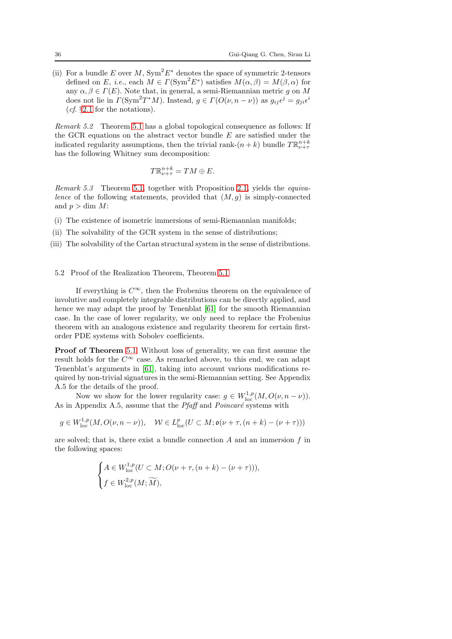(ii) For a bundle E over M,  $Sym^2E^*$  denotes the space of symmetric 2-tensors defined on E, i.e., each  $M \in \Gamma(\text{Sym}^2 E^*)$  satisfies  $M(\alpha, \beta) = M(\beta, \alpha)$  for any  $\alpha, \beta \in \Gamma(E)$ . Note that, in general, a semi-Riemannian metric q on M does not lie in  $\Gamma(\text{Sym}^2 T^*M)$ . Instead,  $g \in \Gamma(O(\nu, n-\nu))$  as  $g_{ij}\epsilon^j = g_{ji}\epsilon^i$ (*cf.*  $\S 2.1$  $\S 2.1$  for the notations).

Remark 5.2 Theorem [5.1](#page-34-0) has a global topological consequence as follows: If the GCR equations on the abstract vector bundle  $E$  are satisfied under the indicated regularity assumptions, then the trivial rank- $(n + k)$  bundle  $T \mathbb{R}^{n+k}_{\nu+\tau}$ has the following Whitney sum decomposition:

$$
T\mathbb{R}_{\nu+\tau}^{n+k}=TM\oplus E.
$$

<span id="page-35-0"></span>Remark 5.3 Theorem [5.1,](#page-34-0) together with Proposition [2.1,](#page-12-1) yields the equivalence of the following statements, provided that  $(M, g)$  is simply-connected and  $p > \dim M$ :

- (i) The existence of isometric immersions of semi-Riemannian manifolds;
- (ii) The solvability of the GCR system in the sense of distributions;
- (iii) The solvability of the Cartan structural system in the sense of distributions.

#### 5.2 Proof of the Realization Theorem, Theorem [5.1](#page-34-0)

If everything is  $C^{\infty}$ , then the Frobenius theorem on the equivalence of involutive and completely integrable distributions can be directly applied, and hence we may adapt the proof by Tenenblat [\[61\]](#page-63-15) for the smooth Riemannian case. In the case of lower regularity, we only need to replace the Frobenius theorem with an analogous existence and regularity theorem for certain firstorder PDE systems with Sobolev coefficients.

Proof of Theorem [5.1.](#page-34-0) Without loss of generality, we can first assume the result holds for the  $C^{\infty}$  case. As remarked above, to this end, we can adapt Tenenblat's arguments in [\[61\]](#page-63-15), taking into account various modifications required by non-trivial signatures in the semi-Riemannian setting. See Appendix A.5 for the details of the proof.

Now we show for the lower regularity case:  $g \in W^{1,p}_{loc}(M, O(\nu, n - \nu)).$ As in Appendix A.5, assume that the *Pfaff* and  $Poincaré$  systems with

$$
g \in W^{1,p}_{loc}(M,O(\nu,n-\nu)), \quad W \in L^p_{loc}(U \subset M; \mathfrak{o}(\nu+\tau,(n+k)-(\nu+\tau)))
$$

are solved; that is, there exist a bundle connection  $A$  and an immersion  $f$  in the following spaces:

$$
\label{eq:1} \begin{cases} A\in W^{1,p}_{\mathrm{loc}}(U\subset M;O(\nu+\tau,(n+k)-(\nu+\tau))),\\ f\in W^{2,p}_{\mathrm{loc}}(M;\widetilde{M}), \end{cases}
$$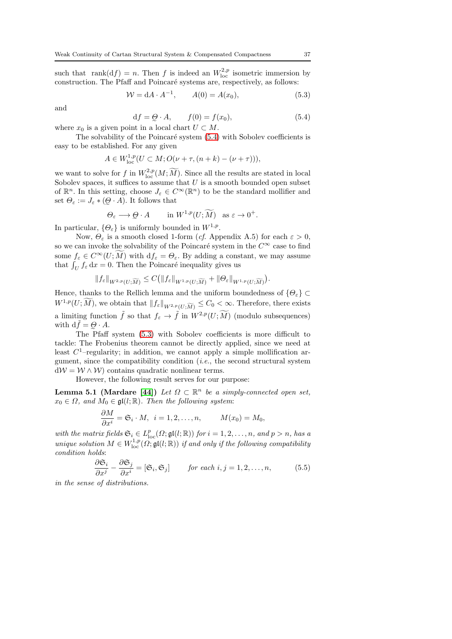such that rank $(df) = n$ . Then f is indeed an  $W^{2,p}_{loc}$  isometric immersion by construction. The Pfaff and Poincaré systems are, respectively, as follows:

<span id="page-36-1"></span>
$$
W = dA \cdot A^{-1}, \qquad A(0) = A(x_0), \tag{5.3}
$$

and

<span id="page-36-0"></span>
$$
df = Q \cdot A, \qquad f(0) = f(x_0), \tag{5.4}
$$

where  $x_0$  is a given point in a local chart  $U \subset M$ .

The solvability of the Poincaré system  $(5.4)$  with Sobolev coefficients is easy to be established. For any given

$$
A \in W^{1,p}_{loc}(U \subset M; O(\nu + \tau, (n+k) - (\nu + \tau))),
$$

we want to solve for f in  $W^{2,p}_{loc}(M; \widetilde{M})$ . Since all the results are stated in local Sobolev spaces, it suffices to assume that  $U$  is a smooth bounded open subset of  $\mathbb{R}^n$ . In this setting, choose  $J_{\varepsilon} \in C^{\infty}(\mathbb{R}^n)$  to be the standard mollifier and set  $\Theta_{\varepsilon} := J_{\varepsilon} * (\mathcal{Q} \cdot A)$ . It follows that

$$
\Theta_{\varepsilon} \longrightarrow \mathcal{Q} \cdot A \qquad \text{ in } W^{1,p}(U; \widetilde{M}) \quad \text{as } \varepsilon \to 0^+.
$$

In particular,  $\{\Theta_{\varepsilon}\}\)$  is uniformly bounded in  $W^{1,p}$ .

Now,  $\Theta_{\varepsilon}$  is a smooth closed 1-form (*cf.* Appendix A.5) for each  $\varepsilon > 0$ , so we can invoke the solvability of the Poincaré system in the  $C^{\infty}$  case to find some  $f_{\varepsilon} \in C^{\infty}(U; M)$  with  $df_{\varepsilon} = \Theta_{\varepsilon}$ . By adding a constant, we may assume that  $\int_U f_\varepsilon \, dx = 0$ . Then the Poincaré inequality gives us

$$
\|f_\varepsilon\|_{W^{2,p}(U;\widetilde{M})}\leq C\big(\|f_\varepsilon\|_{W^{1,p}(U;\widetilde{M})}+\|\varTheta_\varepsilon\|_{W^{1,p}(U;\widetilde{M})}\big).
$$

Hence, thanks to the Rellich lemma and the uniform boundedness of  $\{\Theta_{\varepsilon}\}\subset$  $W^{1,p}(U;M)$ , we obtain that  $||f_{\varepsilon}||_{W^{2,p}(U;\widetilde{M})} \leq C_0 < \infty$ . Therefore, there exists a limiting function  $\tilde{f}$  so that  $f_{\varepsilon} \to \tilde{f}$  in  $W^{2,p}(U; \widetilde{M})$  (modulo subsequences) with  $d\tilde{f} = Q \cdot A$ .

e The Pfaff system [\(5.3\)](#page-36-1) with Sobolev coefficients is more difficult to tackle: The Frobenius theorem cannot be directly applied, since we need at least  $C^1$ -regularity; in addition, we cannot apply a simple mollification argument, since the compatibility condition  $(i.e.,$  the second structural system  $dW = W \wedge W$  contains quadratic nonlinear terms.

However, the following result serves for our purpose:

<span id="page-36-2"></span>**Lemma 5.1 (Mardare [\[44\]](#page-63-22))** Let  $\Omega \subset \mathbb{R}^n$  be a simply-connected open set,  $x_0 \in \Omega$ , and  $M_0 \in \mathfrak{gl}(l;\mathbb{R})$ . Then the following system:

$$
\frac{\partial M}{\partial x^i} = \mathfrak{S}_i \cdot M, \ \ i = 1, 2, \dots, n, \qquad M(x_0) = M_0,
$$

with the matrix fields  $\mathfrak{S}_i \in L^p_{loc}(\Omega; \mathfrak{gl}(l; \mathbb{R}))$  for  $i = 1, 2, ..., n$ , and  $p > n$ , has a unique solution  $M \in W^{1,p}_{loc}(\Omega; \mathfrak{gl}(l;\mathbb{R}))$  if and only if the following compatibility condition holds:

$$
\frac{\partial \mathfrak{S}_i}{\partial x^j} - \frac{\partial \mathfrak{S}_j}{\partial x^i} = [\mathfrak{S}_i, \mathfrak{S}_j] \qquad \text{for each } i, j = 1, 2, \dots, n,
$$
 (5.5)

in the sense of distributions.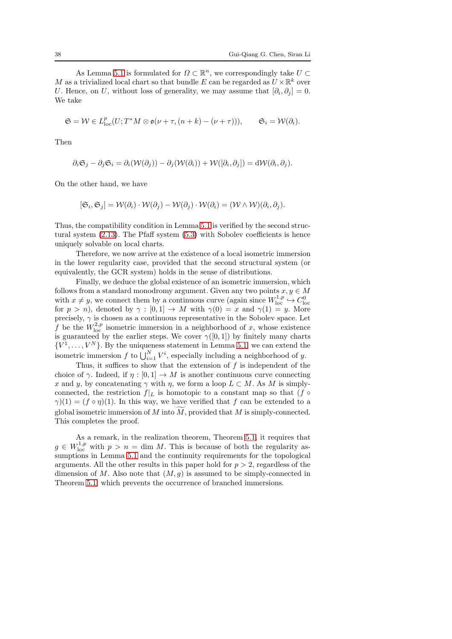As Lemma [5.1](#page-36-2) is formulated for  $\Omega \subset \mathbb{R}^n$ , we correspondingly take  $U \subset$ M as a trivialized local chart so that bundle E can be regarded as  $U \times \mathbb{R}^k$  over U. Hence, on U, without loss of generality, we may assume that  $[\partial_i, \partial_j] = 0$ . We take

$$
\mathfrak{S} = \mathcal{W} \in L^p_{loc}(U; T^*M \otimes \mathfrak{o}(\nu + \tau, (n + k) - (\nu + \tau))), \qquad \mathfrak{S}_i = \mathcal{W}(\partial_i).
$$

Then

$$
\partial_i \mathfrak{S}_j - \partial_j \mathfrak{S}_i = \partial_i(\mathcal{W}(\partial_j)) - \partial_j(\mathcal{W}(\partial_i)) + \mathcal{W}([\partial_i, \partial_j]) = d\mathcal{W}(\partial_i, \partial_j).
$$

On the other hand, we have

$$
[\mathfrak{S}_i, \mathfrak{S}_j] = \mathcal{W}(\partial_i) \cdot \mathcal{W}(\partial_j) - \mathcal{W}(\partial_j) \cdot \mathcal{W}(\partial_i) = (\mathcal{W} \wedge \mathcal{W})(\partial_i, \partial_j).
$$

Thus, the compatibility condition in Lemma [5.1](#page-36-2) is verified by the second structural system [\(2.13\)](#page-12-0). The Pfaff system [\(5.3\)](#page-36-1) with Sobolev coefficients is hence uniquely solvable on local charts.

Therefore, we now arrive at the existence of a local isometric immersion in the lower regularity case, provided that the second structural system (or equivalently, the GCR system) holds in the sense of distributions.

Finally, we deduce the global existence of an isometric immersion, which follows from a standard monodromy argument. Given any two points  $x, y \in M$ with  $x \neq y$ , we connect them by a continuous curve (again since  $W^{1,p}_{loc} \hookrightarrow C^0_{loc}$ for  $p > n$ , denoted by  $\gamma : [0,1] \to M$  with  $\gamma(0) = x$  and  $\gamma(1) = y$ . More precisely,  $\gamma$  is chosen as a continuous representative in the Sobolev space. Let f be the  $W^{2,p}_{loc}$  isometric immersion in a neighborhood of x, whose existence is guaranteed by the earlier steps. We cover  $\gamma([0,1])$  by finitely many charts  $\{V^1, \ldots, V^N\}$ . By the uniqueness statement in Lemma [5.1,](#page-36-2) we can extend the isometric immersion  $f$  to  $\bigcup_{i=1}^{N} V^i$ , especially including a neighborhood of y.

Thus, it suffices to show that the extension of  $f$  is independent of the choice of  $\gamma$ . Indeed, if  $\eta : [0,1] \to M$  is another continuous curve connecting x and y, by concatenating  $\gamma$  with  $\eta$ , we form a loop  $L \subset M$ . As M is simplyconnected, the restriction  $f|_L$  is homotopic to a constant map so that (f  $\circ$  $\gamma(1) = (f \circ \eta)(1)$ . In this way, we have verified that f can be extended to a global isometric immersion of  $M$  into  $M$ , provided that  $M$  is simply-connected. This completes the proof.

As a remark, in the realization theorem, Theorem [5.1,](#page-34-0) it requires that  $g \in W^{1,p}_{loc}$  with  $p > n = \dim M$ . This is because of both the regularity assumptions in Lemma [5.1](#page-36-2) and the continuity requirements for the topological arguments. All the other results in this paper hold for  $p > 2$ , regardless of the dimension of M. Also note that  $(M, g)$  is assumed to be simply-connected in Theorem [5.1,](#page-34-0) which prevents the occurrence of branched immersions.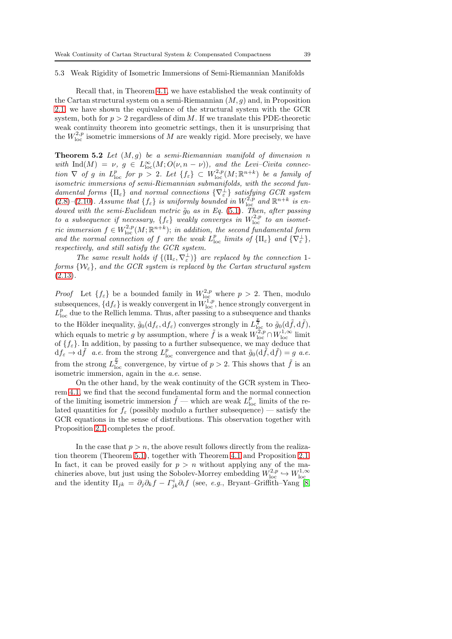#### 5.3 Weak Rigidity of Isometric Immersions of Semi-Riemannian Manifolds

Recall that, in Theorem [4.1,](#page-28-1) we have established the weak continuity of the Cartan structural system on a semi-Riemannian  $(M, g)$  and, in Proposition [2.1,](#page-12-1) we have shown the equivalence of the structural system with the GCR system, both for  $p > 2$  regardless of dim M. If we translate this PDE-theoretic weak continuity theorem into geometric settings, then it is unsurprising that the  $W^{2,p}_{loc}$  isometric immersions of M are weakly rigid. More precisely, we have

<span id="page-38-0"></span>**Theorem 5.2** Let  $(M, q)$  be a semi-Riemannian manifold of dimension n with  $\text{Ind}(M) = \nu$ ,  $g \in L^{\infty}_{\text{loc}}(M; O(\nu, n - \nu))$ , and the Levi-Civita connection  $\nabla$  of g in  $L^p_{loc}$  for  $p > 2$ . Let  $\{f_{\varepsilon}\} \subset W^{2,p}_{loc}(M;\mathbb{R}^{n+k})$  be a family of isometric immersions of semi-Riemannian submanifolds, with the second fundamental forms  $\{\Pi_{\varepsilon}\}\$  and normal connections  $\{\nabla_{\varepsilon}^{\perp}\}\$  satisfying GCR system  $(2.8)$ - $(2.10)$ . Assume that  $\{f_{\varepsilon}\}\$ is uniformly bounded in  $W^{2,p}_{\text{loc}}$  and  $\mathbb{R}^{n+k}$  is endowed with the semi-Euclidean metric  $\tilde{g}_0$  as in Eq. [\(5.1\)](#page-34-2). Then, after passing to a subsequence if necessary,  $\{f_{\varepsilon}\}\$  weakly converges in  $W^{2,p}_{\text{loc}}$  to an isometric immersion  $f \in W^{2,p}_{loc}(M;\mathbb{R}^{n+k})$ ; in addition, the second fundamental form and the normal connection of f are the weak  $L_{\text{loc}}^p$  limits of  $\{\Pi_{\varepsilon}\}\$  and  $\{\nabla_{\varepsilon}^{\perp}\}\$ , respectively, and still satisfy the GCR system.

The same result holds if  $\{(\Pi_{\varepsilon}, \nabla_{\varepsilon}^{\perp})\}\$ are replaced by the connection 1forms  $\{W_{\varepsilon}\}\$ , and the GCR system is replaced by the Cartan structural system  $(2.13).$  $(2.13).$ 

*Proof* Let  $\{f_{\varepsilon}\}\$ be a bounded family in  $W^{2,p}_{\text{loc}}$  where  $p > 2$ . Then, modulo subsequences,  $\{df_{\varepsilon}\}\)$  is weakly convergent in  $W^{1,p}_{\text{loc}}$ , hence strongly convergent in  $L_{\text{loc}}^p$  due to the Rellich lemma. Thus, after passing to a subsequence and thanks to the Hölder inequality,  $\tilde{g}_0(df_{\varepsilon}, df_{\varepsilon})$  converges strongly in  $L^{\frac{p}{2}}_{\text{loc}}$  to  $\tilde{g}_0(d\tilde{f}, d\tilde{f}),$ which equals to metric g by assumption, where  $\tilde{f}$  is a weak  $W^{2,p}_{loc} \cap W^{1,\infty}_{loc}$  limit of  $\{f_{\varepsilon}\}\)$ . In addition, by passing to a further subsequence, we may deduce that  $df_{\varepsilon} \to d\tilde{f}$  a.e. from the strong  $L_{\text{loc}}^p$  convergence and that  $\tilde{g}_0(d\tilde{f}, d\tilde{f}) = g$  a.e. from the strong  $L^{\frac{p}{2}}_{loc}$  convergence, by virtue of  $p > 2$ . This shows that  $\tilde{f}$  is an isometric immersion, again in the a.e. sense.

On the other hand, by the weak continuity of the GCR system in Theorem [4.1,](#page-28-1) we find that the second fundamental form and the normal connection of the limiting isometric immersion  $\tilde{f}$  — which are weak  $L^p_{\text{loc}}$  limits of the related quantities for  $f_{\varepsilon}$  (possibly modulo a further subsequence) — satisfy the GCR equations in the sense of distributions. This observation together with Proposition [2.1](#page-12-1) completes the proof.

In the case that  $p > n$ , the above result follows directly from the realization theorem (Theorem [5.1\)](#page-34-0), together with Theorem [4.1](#page-28-1) and Proposition [2.1.](#page-12-1) In fact, it can be proved easily for  $p > n$  without applying any of the machineries above, but just using the Sobolev-Morrey embedding  $W_{\text{loc}}^{2,p} \hookrightarrow W_{\text{loc}}^{1,\infty}$ <br>and the identity  $\Pi_{jk} = \partial_j \partial_k f - \Gamma^i_{jk} \partial_i f$  (see, *e.g.*, Bryant–Griffith–Yang [\[8,](#page-62-0)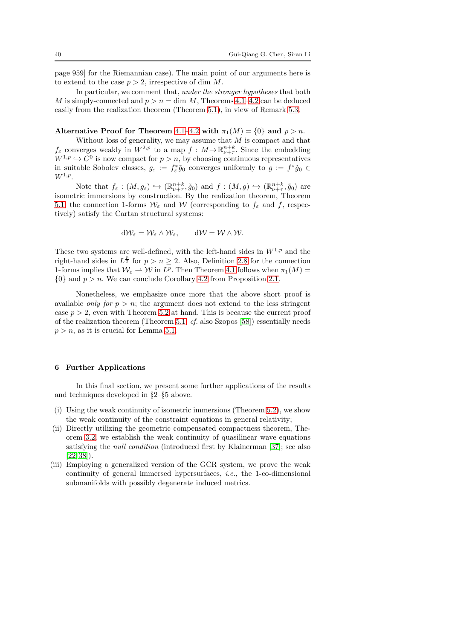page 959] for the Riemannian case). The main point of our arguments here is to extend to the case  $p > 2$ , irrespective of dim M.

In particular, we comment that, under the stronger hypotheses that both M is simply-connected and  $p > n = \dim M$ , Theorems 4.1-[4.2](#page-32-1) can be deduced easily from the realization theorem (Theorem [5.1\)](#page-34-0), in view of Remark [5.3.](#page-35-0)

## Alternative Proof for Theorem [4.1](#page-28-1)–[4.2](#page-32-1) with  $\pi_1(M) = \{0\}$  and  $p > n$ .

Without loss of generality, we may assume that  $M$  is compact and that  $f_{\varepsilon}$  converges weakly in  $W^{2,p}$  to a map  $f: M \to \mathbb{R}^{n+k}_{\nu+\tau}$ . Since the embedding  $W^{1,p} \hookrightarrow C^0$  is now compact for  $p > n$ , by choosing continuous representatives in suitable Sobolev classes,  $g_{\varepsilon} := f_{\varepsilon}^* \tilde{g}_0$  converges uniformly to  $g := f^* \tilde{g}_0 \in$  $W^{1,p}$ .

Note that  $f_{\varepsilon}: (M, g_{\varepsilon}) \hookrightarrow (\mathbb{R}^{n+k}_{\nu+\tau}, \tilde{g}_0)$  and  $f: (M, g) \hookrightarrow (\mathbb{R}^{n+k}_{\nu+\tau}, \tilde{g}_0)$  are isometric immersions by construction. By the realization theorem, Theorem [5.1,](#page-34-0) the connection 1-forms  $W_{\varepsilon}$  and W (corresponding to  $f_{\varepsilon}$  and f, respectively) satisfy the Cartan structural systems:

$$
d\mathcal{W}_{\varepsilon} = \mathcal{W}_{\varepsilon} \wedge \mathcal{W}_{\varepsilon}, \qquad d\mathcal{W} = \mathcal{W} \wedge \mathcal{W}.
$$

These two systems are well-defined, with the left-hand sides in  $W^{1,p}$  and the right-hand sides in  $L^{\frac{p}{2}}$  for  $p > n \geq 2$ . Also, Definition [2.8](#page-11-2) for the connection 1-forms implies that  $W_{\varepsilon} \rightharpoonup W$  in  $L^p$ . Then Theorem [4.1](#page-28-1) follows when  $\pi_1(M) =$  $\{0\}$  and  $p > n$ . We can conclude Corollary [4.2](#page-32-1) from Proposition [2.1.](#page-12-1)

Nonetheless, we emphasize once more that the above short proof is available only for  $p > n$ ; the argument does not extend to the less stringent case  $p > 2$ , even with Theorem [5.2](#page-38-0) at hand. This is because the current proof of the realization theorem (Theorem [5.1;](#page-34-0)  $cf.$  also Szopos [\[58\]](#page-63-23)) essentially needs  $p > n$ , as it is crucial for Lemma [5.1.](#page-36-2)

#### <span id="page-39-0"></span>6 Further Applications

In this final section, we present some further applications of the results and techniques developed in §2–§5 above.

- (i) Using the weak continuity of isometric immersions (Theorem [5.2\)](#page-38-0), we show the weak continuity of the constraint equations in general relativity;
- (ii) Directly utilizing the geometric compensated compactness theorem, Theorem [3.2,](#page-26-0) we establish the weak continuity of quasilinear wave equations satisfying the *null condition* (introduced first by Klainerman [\[37\]](#page-63-24); see also [\[22,](#page-62-21)[38\]](#page-63-25)).
- (iii) Employing a generalized version of the GCR system, we prove the weak continuity of general immersed hypersurfaces, i.e., the 1-co-dimensional submanifolds with possibly degenerate induced metrics.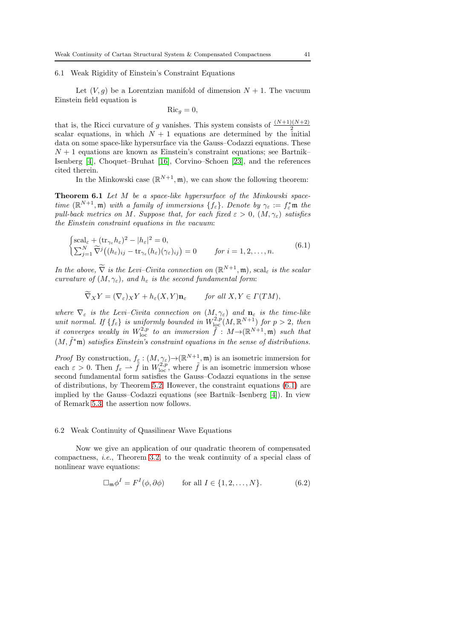### 6.1 Weak Rigidity of Einstein's Constraint Equations

Let  $(V, g)$  be a Lorentzian manifold of dimension  $N + 1$ . The vacuum Einstein field equation is

$$
\mathrm{Ric}_g=0,
$$

that is, the Ricci curvature of g vanishes. This system consists of  $\frac{(N+1)(N+2)}{2}$ scalar equations, in which  $N + 1$  equations are determined by the initial data on some space-like hypersurface via the Gauss–Codazzi equations. These  $N + 1$  equations are known as Einstein's constraint equations; see Bartnik– Isenberg [\[4\]](#page-61-2), Choquet–Bruhat [\[16\]](#page-62-22), Corvino–Schoen [\[23\]](#page-62-23), and the references cited therein.

In the Minkowski case  $(\mathbb{R}^{N+1}, \mathfrak{m})$ , we can show the following theorem:

Theorem 6.1 Let M be a space-like hypersurface of the Minkowski spacetime  $(\mathbb{R}^{N+1}, \mathfrak{m})$  with a family of immersions  $\{f_{\varepsilon}\}\)$ . Denote by  $\gamma_{\varepsilon} := f_{\varepsilon}^* \mathfrak{m}$  the pull-back metrics on M. Suppose that, for each fixed  $\varepsilon > 0$ ,  $(M, \gamma_{\varepsilon})$  satisfies the Einstein constraint equations in the vacuum:

<span id="page-40-0"></span>
$$
\begin{cases}\n\text{scal}_{\varepsilon} + (\text{tr}_{\gamma_{\varepsilon}} h_{\varepsilon})^2 - |h_{\varepsilon}|^2 = 0, \\
\sum_{j=1}^N \widetilde{\nabla}^j \big( (h_{\varepsilon})_{ij} - \text{tr}_{\gamma_{\varepsilon}} (h_{\varepsilon}) (\gamma_{\varepsilon})_{ij} \big) = 0 \n\end{cases} \quad \text{for } i = 1, 2, \dots, n. \tag{6.1}
$$

In the above,  $\widetilde{\nabla}$  is the Levi–Civita connection on  $(\mathbb{R}^{N+1}, \mathfrak{m})$ , scal<sub> $\varepsilon$ </sub> is the scalar curvature of  $(M, \gamma_{\varepsilon})$ , and  $h_{\varepsilon}$  is the second fundamental form:

$$
\widetilde{\nabla}_X Y = (\nabla_{\varepsilon})_X Y + h_{\varepsilon}(X, Y) \mathbf{n}_{\varepsilon} \qquad \text{for all } X, Y \in \Gamma(TM),
$$

where  $\nabla_{\varepsilon}$  is the Levi–Civita connection on  $(M, \gamma_{\varepsilon})$  and  $\mathbf{n}_{\varepsilon}$  is the time-like unit normal. If  $\{f_{\varepsilon}\}\$ is uniformly bounded in  $W^{2,p}_{\text{loc}}(M,\mathbb{R}^{N+1})$  for  $p>2$ , then it converges weakly in  $W^{2,p}_{loc}$  to an immersion  $\tilde{f}: M \rightarrow (\mathbb{R}^{N+1}, \mathfrak{m})$  such that  $(M, \tilde{f}^*$ m) satisfies Einstein's constraint equations in the sense of distributions.

*Proof* By construction,  $f_{\xi}: (M, \gamma_{\xi}) \to (\mathbb{R}^{N+1}, \mathfrak{m})$  is an isometric immersion for each  $\varepsilon > 0$ . Then  $f_{\varepsilon} \rightharpoonup \tilde{f}$  in  $W^{2,p}_{\text{loc}}$ , where  $\tilde{f}$  is an isometric immersion whose second fundamental form satisfies the Gauss–Codazzi equations in the sense of distributions, by Theorem [5.2.](#page-38-0) However, the constraint equations [\(6.1\)](#page-40-0) are implied by the Gauss–Codazzi equations (see Bartnik–Isenberg [\[4\]](#page-61-2)). In view of Remark [5.3,](#page-35-0) the assertion now follows.

#### 6.2 Weak Continuity of Quasilinear Wave Equations

Now we give an application of our quadratic theorem of compensated compactness, *i.e.*, Theorem [3.2,](#page-26-0) to the weak continuity of a special class of nonlinear wave equations:

<span id="page-40-1"></span>
$$
\Box_{\mathfrak{m}} \phi^I = F^I(\phi, \partial \phi) \qquad \text{for all } I \in \{1, 2, \dots, N\}.
$$
 (6.2)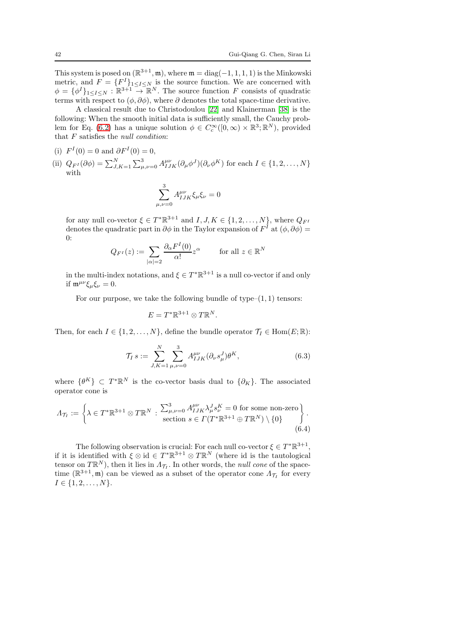This system is posed on  $(\mathbb{R}^{3+1}, \mathfrak{m})$ , where  $\mathfrak{m} = \text{diag}(-1, 1, 1, 1)$  is the Minkowski metric, and  $F = \{F^I\}_{1 \leq I \leq N}$  is the source function. We are concerned with  $\phi = {\phi^I}_{1 \leq I \leq N} : \mathbb{R}^{3+1} \to \mathbb{R}^N$ . The source function F consists of quadratic terms with respect to  $(\phi, \partial \phi)$ , where  $\partial$  denotes the total space-time derivative.

A classical result due to Christodoulou [\[22\]](#page-62-21) and Klainerman [\[38\]](#page-63-25) is the following: When the smooth initial data is sufficiently small, the Cauchy prob-lem for Eq. [\(6.2\)](#page-40-1) has a unique solution  $\phi \in C_c^{\infty}([0,\infty) \times \mathbb{R}^3; \mathbb{R}^N)$ , provided that  $F$  satisfies the *null condition*:

(i) 
$$
F^{I}(0) = 0
$$
 and  $\partial F^{I}(0) = 0$ ,

(ii)  $Q_{F^I}(\partial \phi) = \sum_{J,K=1}^N \sum_{\mu,\nu=0}^3 A_{IJK}^{\mu\nu} (\partial_\mu \phi^J) (\partial_\nu \phi^K)$  for each  $I \in \{1,2,\ldots,N\}$ with

$$
\sum_{\mu,\nu=0}^3 A_{IJK}^{\mu\nu} \xi_\mu \xi_\nu = 0
$$

for any null co-vector  $\xi \in T^* \mathbb{R}^{3+1}$  and  $I, J, K \in \{1, 2, ..., N\}$ , where  $Q_{F^I}$ denotes the quadratic part in  $\partial \phi$  in the Taylor expansion of  $F^I$  at  $(\phi, \partial \phi)$  = 0:

$$
Q_{F^I}(z) := \sum_{|\alpha|=2} \frac{\partial_\alpha F^I(0)}{\alpha!} z^{\alpha} \quad \text{for all } z \in \mathbb{R}^N
$$

in the multi-index notations, and  $\xi \in T^* \mathbb{R}^{3+1}$  is a null co-vector if and only if  $\mathfrak{m}^{\mu\nu}\xi_{\mu}\xi_{\nu}=0.$ 

For our purpose, we take the following bundle of type– $(1, 1)$  tensors:

<span id="page-41-0"></span>
$$
E=T^*\mathbb{R}^{3+1}\otimes T\mathbb{R}^N.
$$

Then, for each  $I \in \{1, 2, ..., N\}$ , define the bundle operator  $\mathcal{T}_I \in \text{Hom}(E; \mathbb{R})$ :

$$
\mathcal{T}_I s := \sum_{J,K=1}^N \sum_{\mu,\nu=0}^3 A_{IJK}^{\mu\nu} (\partial_\nu s_\mu^J) \theta^K, \tag{6.3}
$$

where  $\{\theta^K\} \subset T^*\mathbb{R}^N$  is the co-vector basis dual to  $\{\partial_K\}$ . The associated operator cone is

$$
\Lambda_{\mathcal{T}_I} := \left\{ \lambda \in T^* \mathbb{R}^{3+1} \otimes T \mathbb{R}^N : \begin{array}{l} \sum_{\mu,\nu=0}^3 A_{IJK}^{\mu\nu} \lambda_\mu^J s_\nu^K = 0 \text{ for some non-zero} \\ \text{section } s \in \Gamma(T^* \mathbb{R}^{3+1} \oplus T \mathbb{R}^N) \setminus \{0\} \end{array} \right\}.
$$
\n
$$
(6.4)
$$

The following observation is crucial: For each null co-vector  $\xi \in T^*\mathbb{R}^{3+1}$ , if it is identified with  $\xi \otimes id \in T^* \mathbb{R}^{3+1} \otimes T \mathbb{R}^N$  (where id is the tautological tensor on  $T\mathbb{R}^N$ ), then it lies in  $\Lambda_{\mathcal{T}_I}$ . In other words, the *null cone* of the spacetime  $(\mathbb{R}^{3+1}, \mathfrak{m})$  can be viewed as a subset of the operator cone  $\Lambda_{\mathcal{T}_I}$  for every  $I \in \{1, 2, \ldots, N\}.$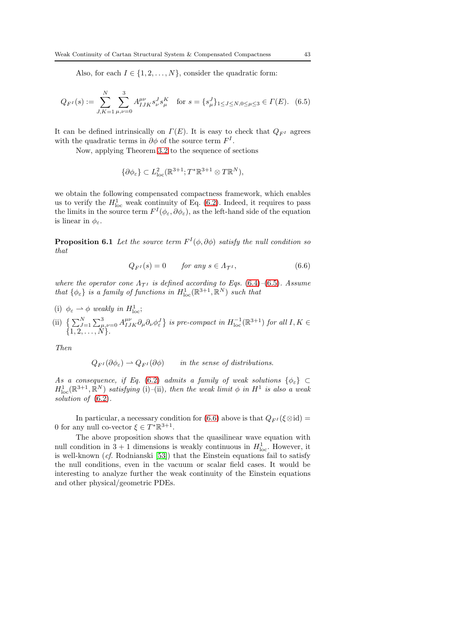Also, for each  $I \in \{1, 2, ..., N\}$ , consider the quadratic form:

$$
Q_{F^I}(s) := \sum_{J,K=1}^N \sum_{\mu,\nu=0}^3 A_{IJK}^{\mu\nu} s_{\nu}^J s_{\mu}^K \quad \text{for } s = \{s_{\mu}^J\}_{1 \le J \le N, 0 \le \mu \le 3} \in \Gamma(E). \tag{6.5}
$$

It can be defined intrinsically on  $\Gamma(E)$ . It is easy to check that  $Q_{F^I}$  agrees with the quadratic terms in  $\partial \phi$  of the source term  $F^I$ .

Now, applying Theorem [3.2](#page-26-0) to the sequence of sections

<span id="page-42-0"></span>
$$
\{\partial \phi_{\varepsilon}\} \subset L^2_{\text{loc}}(\mathbb{R}^{3+1}; T^*\mathbb{R}^{3+1} \otimes T\mathbb{R}^N),
$$

we obtain the following compensated compactness framework, which enables us to verify the  $H_{\text{loc}}^1$  weak continuity of Eq. [\(6.2\)](#page-40-1). Indeed, it requires to pass the limits in the source term  $F^I(\phi_\varepsilon, \partial \phi_\varepsilon)$ , as the left-hand side of the equation is linear in  $\phi_{\varepsilon}$ .

**Proposition 6.1** Let the source term  $F^I(\phi, \partial \phi)$  satisfy the null condition so that

<span id="page-42-1"></span>
$$
Q_{F^I}(s) = 0 \tfor any s \in \Lambda_{\mathcal{T}^I}, \t(6.6)
$$

where the operator cone  $\Lambda_{\mathcal{T}^I}$  is defined according to Eqs. [\(6.4\)](#page-41-0)–[\(6.5\)](#page-42-0). Assume that  $\{\phi_{\varepsilon}\}\$ is a family of functions in  $H_{\text{loc}}^1(\mathbb{R}^{3+1}, \mathbb{R}^N)$  such that

(i)  $\phi_{\varepsilon} \rightharpoonup \phi$  weakly in  $H_{\text{loc}}^1$ ;

(ii) 
$$
\left\{ \sum_{J=1}^{N} \sum_{\mu,\nu=0}^{3} A_{IJK}^{\mu\nu} \partial_{\mu} \partial_{\nu} \phi_{\varepsilon}^{J} \right\} \text{ is pre-compact in } H_{\text{loc}}^{-1}(\mathbb{R}^{3+1}) \text{ for all } I, K \in \{1, 2, \ldots, N\}.
$$

Then

$$
Q_{F^I}(\partial \phi_{\varepsilon}) \rightharpoonup Q_{F^I}(\partial \phi) \qquad \text{in the sense of distributions.}
$$

As a consequence, if Eq. [\(6.2\)](#page-40-1) admits a family of weak solutions  $\{\phi_{\varepsilon}\}\subset$  $H_{\text{loc}}^1(\mathbb{R}^{3+1},\mathbb{R}^N)$  satisfying (i)-(ii), then the weak limit  $\phi$  in  $H^1$  is also a weak solution of  $(6.2)$ .

In particular, a necessary condition for [\(6.6\)](#page-42-1) above is that  $Q_{F^I}(\xi \otimes id) =$ 0 for any null co-vector  $\xi \in T^* \mathbb{R}^{3+1}$ .

The above proposition shows that the quasilinear wave equation with null condition in  $3 + 1$  dimensions is weakly continuous in  $H_{\text{loc}}^1$ . However, it is well-known (cf. Rodnianski [\[53\]](#page-63-26)) that the Einstein equations fail to satisfy the null conditions, even in the vacuum or scalar field cases. It would be interesting to analyze further the weak continuity of the Einstein equations and other physical/geometric PDEs.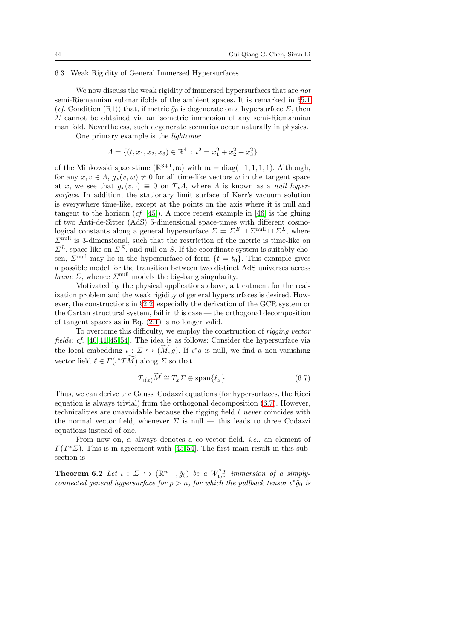### 6.3 Weak Rigidity of General Immersed Hypersurfaces

We now discuss the weak rigidity of immersed hypersurfaces that are *not* semi-Riemannian submanifolds of the ambient spaces. It is remarked in §[5](#page-33-2).1 (cf. Condition (R1)) that, if metric  $\tilde{g}_0$  is degenerate on a hypersurface  $\Sigma$ , then  $\Sigma$  cannot be obtained via an isometric immersion of any semi-Riemannian manifold. Nevertheless, such degenerate scenarios occur naturally in physics.

One primary example is the lightcone:

$$
\Lambda = \{ (t, x_1, x_2, x_3) \in \mathbb{R}^4 : t^2 = x_1^2 + x_2^2 + x_3^2 \}
$$

of the Minkowski space-time  $(\mathbb{R}^{3+1}, \mathfrak{m})$  with  $\mathfrak{m} = \text{diag}(-1, 1, 1, 1)$ . Although, for any  $x, v \in \Lambda$ ,  $q_x(v, w) \neq 0$  for all time-like vectors w in the tangent space at x, we see that  $g_x(v, \cdot) \equiv 0$  on  $T_x \Lambda$ , where  $\Lambda$  is known as a null hypersurface. In addition, the stationary limit surface of Kerr's vacuum solution is everywhere time-like, except at the points on the axis where it is null and tangent to the horizon  $(cf. [45])$  $(cf. [45])$  $(cf. [45])$ . A more recent example in [\[46\]](#page-63-2) is the gluing of two Anti-de-Sitter (AdS) 5-dimensional space-times with different cosmological constants along a general hypersurface  $\Sigma = \Sigma^E \sqcup \Sigma^{\text{null}} \sqcup \Sigma^L$ , where  $\Sigma^{\text{null}}$  is 3-dimensional, such that the restriction of the metric is time-like on  $\Sigma^L$ , space-like on  $\Sigma^E$ , and null on S. If the coordinate system is suitably chosen,  $\Sigma^{\text{null}}$  may lie in the hypersurface of form  $\{t = t_0\}$ . This example gives a possible model for the transition between two distinct AdS universes across *brane*  $\Sigma$ , whence  $\Sigma^{\text{null}}$  models the big-bang singularity.

Motivated by the physical applications above, a treatment for the realization problem and the weak rigidity of general hypersurfaces is desired. However, the constructions in §2.[2,](#page-8-0) especially the derivation of the GCR system or the Cartan structural system, fail in this case — the orthogonal decomposition of tangent spaces as in Eq. [\(2.1\)](#page-5-0) is no longer valid.

To overcome this difficulty, we employ the construction of rigging vector fields; cf. [\[40,](#page-63-27)[41,](#page-63-6)[45,](#page-63-1)[54\]](#page-63-28). The idea is as follows: Consider the hypersurface via the local embedding  $\iota: \Sigma \hookrightarrow (\tilde{M}, \tilde{g})$ . If  $\iota^* \tilde{g}$  is null, we find a non-vanishing vector field  $\ell \in \Gamma(\iota^* T\tilde{M})$  along  $\Sigma$  so that

<span id="page-43-0"></span>
$$
T_{\iota(x)}M \cong T_x \Sigma \oplus \text{span}\{\ell_x\}.
$$
 (6.7)

Thus, we can derive the Gauss–Codazzi equations (for hypersurfaces, the Ricci equation is always trivial) from the orthogonal decomposition [\(6.7\)](#page-43-0). However, technicalities are unavoidable because the rigging field  $\ell$  never coincides with the normal vector field, whenever  $\Sigma$  is null — this leads to three Codazzi equations instead of one.

From now on,  $\alpha$  always denotes a co-vector field, *i.e.*, an element of  $\Gamma(T^*\Sigma)$ . This is in agreement with [\[45,](#page-63-1)[54\]](#page-63-28). The first main result in this subsection is

<span id="page-43-1"></span>**Theorem 6.2** Let  $\iota$  :  $\Sigma \to (\mathbb{R}^{n+1}, \tilde{g}_0)$  be a  $W^{2,p}_{loc}$  immersion of a simplyconnected general hypersurface for  $p > n$ , for which the pullback tensor  $\iota^* \tilde{g}_0$  is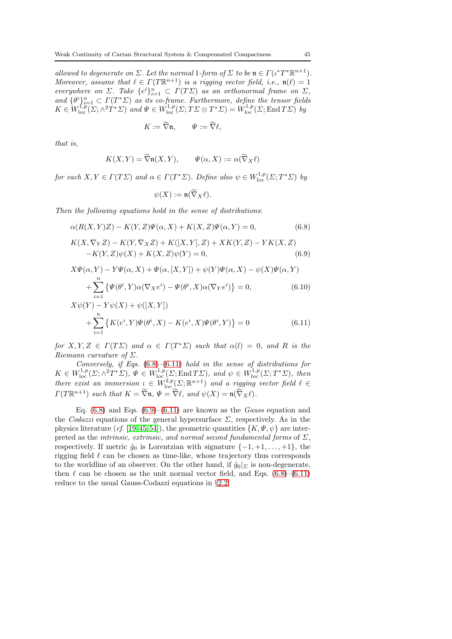allowed to degenerate on  $\Sigma$ . Let the normal 1-form of  $\Sigma$  to be  $\mathfrak{n} \in \Gamma(\iota^* T^* \mathbb{R}^{n+1})$ . Moreover, assume that  $\ell \in \Gamma(T\mathbb{R}^{n+1})$  is a rigging vector field, i.e.,  $\mathfrak{n}(\ell) = 1$ everywhere on  $\Sigma$ . Take  $\{e^i\}_{i=1}^n \subset \Gamma(T\Sigma)$  as an orthonormal frame on  $\Sigma$ , and  $\{\theta^i\}_{i=1}^n \subset \Gamma(T^*\Sigma)$  as its co-frame. Furthermore, define the tensor fields  $K \in W^{1,p}_{loc}(\Sigma; \wedge^2 T^* \Sigma)$  and  $\Psi \in W^{1,p}_{loc}(\Sigma; T \Sigma \otimes T^* \Sigma) = W^{1,p}_{loc}(\Sigma; \text{End } T \Sigma)$  by

$$
K:=\widetilde{\nabla}\mathfrak{n},\qquad \Psi:=\widetilde{\nabla}\ell,
$$

that is,

$$
K(X,Y) = \widetilde{\nabla} \mathfrak{n}(X,Y), \qquad \Psi(\alpha, X) := \alpha(\widetilde{\nabla}_X \ell)
$$

for each  $X, Y \in \Gamma(T\mathcal{Z})$  and  $\alpha \in \Gamma(T^*\mathcal{Z})$ . Define also  $\psi \in W^{1,p}_{loc}(\mathcal{Z};T^*\mathcal{Z})$  by

$$
\psi(X):=\mathfrak{n}(\widetilde{\nabla}_X\ell).
$$

Then the following equations hold in the sense of distributions:

<span id="page-44-0"></span>
$$
\alpha(R(X,Y)Z) - K(Y,Z)\Psi(\alpha,X) + K(X,Z)\Psi(\alpha,Y) = 0,\tag{6.8}
$$

$$
K(X, \nabla_Y Z) - K(Y, \nabla_X Z) + K([X, Y], Z) + XK(Y, Z) - YK(X, Z) -K(Y, Z)\psi(X) + K(X, Z)\psi(Y) = 0,
$$
\n(6.9)

$$
X\Psi(\alpha, Y) - Y\Psi(\alpha, X) + \Psi(\alpha, [X, Y]) + \psi(Y)\Psi(\alpha, X) - \psi(X)\Psi(\alpha, Y) + \sum_{i=1}^{n} \{ \Psi(\theta^i, Y)\alpha(\nabla_X e^i) - \Psi(\theta^i, X)\alpha(\nabla_Y e^i) \} = 0,
$$
(6.10)

$$
X\psi(Y) - Y\psi(X) + \psi([X,Y])
$$
  
+ 
$$
\sum_{i=1}^{n} \left\{ K(e^i, Y)\Psi(\theta^i, X) - K(e^i, X)\Psi(\theta^i, Y) \right\} = 0
$$
 (6.11)

for  $X, Y, Z \in \Gamma(T\Sigma)$  and  $\alpha \in \Gamma(T^*\Sigma)$  such that  $\alpha(l) = 0$ , and R is the Riemann curvature of  $\Sigma$ .

Conversely, if Eqs.  $(6.8)$ – $(6.11)$  hold in the sense of distributions for  $K \in W^{1,p}_{loc}(\Sigma; \wedge^2 T^*\Sigma), \Psi \in W^{1,p}_{loc}(\Sigma; \text{End} T\Sigma), \text{ and } \psi \in W^{1,p}_{loc}(\Sigma; T^*\Sigma), \text{ then}$ there exist an immersion  $\iota \in W^{2,p}_{\text{loc}}(\Sigma; \mathbb{R}^{n+1})$  and a rigging vector field  $\ell \in$  $\Gamma(T\mathbb{R}^{n+1})$  such that  $K = \widetilde{\nabla} \mathfrak{n}, \Psi = \widetilde{\nabla} \ell, \text{ and } \psi(X) = \mathfrak{n}(\widetilde{\nabla}_X \ell).$ 

Eq.  $(6.8)$  and Eqs.  $(6.9)$ – $(6.11)$  are known as the *Gauss* equation and the *Codazzi* equations of the general hypersurface  $\Sigma$ , respectively. As in the physics literature (cf. [\[19,](#page-62-4)[45,](#page-63-1)[54\]](#page-63-28)), the geometric quantities  $\{K, \Psi, \psi\}$  are interpreted as the *intrinsic*, extrinsic, and normal second fundamental forms of  $\Sigma$ , respectively. If metric  $\tilde{q}_0$  is Lorentzian with signature  $\{-1, +1, \ldots, +1\}$ , the rigging field  $\ell$  can be chosen as time-like, whose trajectory thus corresponds to the worldline of an observer. On the other hand, if  $\tilde{g}_0|_{\Sigma}$  is non-degenerate, then  $\ell$  can be chosen as the unit normal vector field, and Eqs. [\(6.8\)](#page-44-0)–[\(6.11\)](#page-44-0) reduce to the usual Gauss-Codazzi equations in §2.[2.](#page-8-0)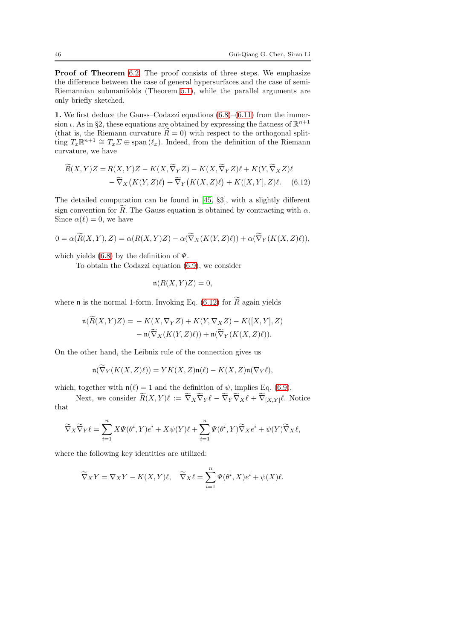Proof of Theorem [6.2.](#page-43-1) The proof consists of three steps. We emphasize the difference between the case of general hypersurfaces and the case of semi-Riemannian submanifolds (Theorem [5.1\)](#page-34-0), while the parallel arguments are only briefly sketched.

1. We first deduce the Gauss–Codazzi equations  $(6.8)$ – $(6.11)$  from the immersion *i*. As in §2, these equations are obtained by expressing the flatness of  $\mathbb{R}^{n+1}$ (that is, the Riemann curvature  $R = 0$ ) with respect to the orthogonal splitting  $T_x \mathbb{R}^{n+1} \cong T_x \Sigma \oplus \text{span} (\ell_x)$ . Indeed, from the definition of the Riemann curvature, we have

$$
\widetilde{R}(X,Y)Z = R(X,Y)Z - K(X,\widetilde{\nabla}_YZ) - K(X,\widetilde{\nabla}_YZ)\ell + K(Y,\widetilde{\nabla}_XZ)\ell \n- \widetilde{\nabla}_X(K(Y,Z)\ell) + \widetilde{\nabla}_Y(K(X,Z)\ell) + K([X,Y],Z)\ell.
$$
\n(6.12)

The detailed computation can be found in [\[45,](#page-63-1) §3], with a slightly different sign convention for R. The Gauss equation is obtained by contracting with  $\alpha$ . Since  $\alpha(\ell) = 0$ , we have

$$
0 = \alpha(\widetilde{R}(X,Y),Z) = \alpha(R(X,Y)Z) - \alpha(\widetilde{\nabla}_X(K(Y,Z)\ell)) + \alpha(\widetilde{\nabla}_Y(K(X,Z)\ell)),
$$

which yields [\(6.8\)](#page-44-0) by the definition of  $\Psi$ .

To obtain the Codazzi equation [\(6.9\)](#page-44-0), we consider

<span id="page-45-0"></span>
$$
\mathfrak{n}(R(X,Y)Z) = 0,
$$

where  $\mathfrak n$  is the normal 1-form. Invoking Eq.  $(6.12)$  for  $R$  again yields

$$
\mathfrak{n}(\widetilde{R}(X,Y)Z) = -K(X,\nabla_Y Z) + K(Y,\nabla_X Z) - K([X,Y],Z) \n- \mathfrak{n}(\widetilde{\nabla}_X(K(Y,Z)\ell)) + \mathfrak{n}(\widetilde{\nabla}_Y(K(X,Z)\ell)).
$$

On the other hand, the Leibniz rule of the connection gives us

$$
\mathfrak{n}(\widetilde{\nabla}_Y(K(X,Z)\ell)) = YK(X,Z)\mathfrak{n}(\ell) - K(X,Z)\mathfrak{n}(\nabla_Y\ell),
$$

which, together with  $\mathfrak{n}(\ell) = 1$  and the definition of  $\psi$ , implies Eq. [\(6.9\)](#page-44-0).

Next, we consider  $R(X,Y)\ell := \nabla_X \nabla_Y \ell - \nabla_Y \nabla_X \ell + \nabla_{[X,Y]}\ell$ . Notice that

$$
\widetilde{\nabla}_X \widetilde{\nabla}_Y \ell = \sum_{i=1}^n X \Psi(\theta^i, Y) e^i + X \psi(Y) \ell + \sum_{i=1}^n \Psi(\theta^i, Y) \widetilde{\nabla}_X e^i + \psi(Y) \widetilde{\nabla}_X \ell,
$$

where the following key identities are utilized:

$$
\widetilde{\nabla}_X Y = \nabla_X Y - K(X, Y)\ell, \quad \widetilde{\nabla}_X \ell = \sum_{i=1}^n \Psi(\theta^i, X)e^i + \psi(X)\ell.
$$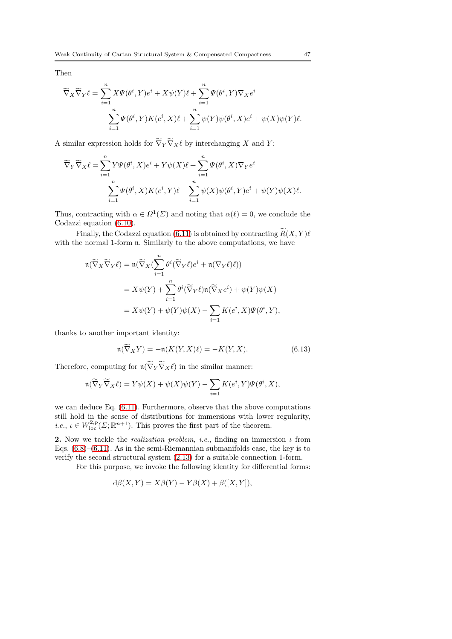Then

$$
\widetilde{\nabla}_X \widetilde{\nabla}_Y \ell = \sum_{i=1}^n X \Psi(\theta^i, Y) e^i + X \psi(Y) \ell + \sum_{i=1}^n \Psi(\theta^i, Y) \nabla_X e^i \n- \sum_{i=1}^n \Psi(\theta^i, Y) K(e^i, X) \ell + \sum_{i=1}^n \psi(Y) \psi(\theta^i, X) e^i + \psi(X) \psi(Y) \ell.
$$

A similar expression holds for  $\nabla_Y \nabla_X \ell$  by interchanging X and Y:

$$
\widetilde{\nabla}_{Y}\widetilde{\nabla}_{X}\ell = \sum_{i=1}^{n} Y\Psi(\theta^{i}, X)e^{i} + Y\psi(X)\ell + \sum_{i=1}^{n} \Psi(\theta^{i}, X)\nabla_{Y}e^{i} - \sum_{i=1}^{n} \Psi(\theta^{i}, X)K(e^{i}, Y)\ell + \sum_{i=1}^{n} \psi(X)\psi(\theta^{i}, Y)e^{i} + \psi(Y)\psi(X)\ell.
$$

Thus, contracting with  $\alpha \in \Omega^1(\Sigma)$  and noting that  $\alpha(\ell) = 0$ , we conclude the Codazzi equation [\(6.10\)](#page-44-0).

Finally, the Codazzi equation [\(6.11\)](#page-44-0) is obtained by contracting  $R(X,Y)$ with the normal 1-form  $\mathfrak n$ . Similarly to the above computations, we have

$$
\begin{split} \mathfrak{n}(\widetilde{\nabla}_X \widetilde{\nabla}_Y \ell) &= \mathfrak{n}(\widetilde{\nabla}_X (\sum_{i=1}^n \theta^i (\widetilde{\nabla}_Y \ell) e^i + \mathfrak{n} (\nabla_Y \ell) \ell)) \\ &= X \psi(Y) + \sum_{i=1}^n \theta^i (\widetilde{\nabla}_Y \ell) \mathfrak{n}(\widetilde{\nabla}_X e^i) + \psi(Y) \psi(X) \\ &= X \psi(Y) + \psi(Y) \psi(X) - \sum_{i=1}^n K(e^i, X) \Psi(\theta^i, Y), \end{split}
$$

thanks to another important identity:

$$
\mathfrak{n}(\widetilde{\nabla}_X Y) = -\mathfrak{n}(K(Y, X)\ell) = -K(Y, X). \tag{6.13}
$$

Therefore, computing for  $\mathfrak{n}(\nabla_Y\nabla_X\ell)$  in the similar manner:

$$
\mathfrak{n}(\widetilde{\nabla}_Y \widetilde{\nabla}_X \ell) = Y \psi(X) + \psi(X)\psi(Y) - \sum_{i=1} K(e^i, Y)\Psi(\theta^i, X),
$$

we can deduce Eq. [\(6.11\)](#page-44-0). Furthermore, observe that the above computations still hold in the sense of distributions for immersions with lower regularity, *i.e.*,  $\iota \in W^{2,p}_{loc}(\Sigma; \mathbb{R}^{n+1})$ . This proves the first part of the theorem.

2. Now we tackle the *realization problem, i.e.*, finding an immersion  $\iota$  from Eqs.  $(6.8)$ – $(6.11)$ . As in the semi-Riemannian submanifolds case, the key is to verify the second structural system [\(2.13\)](#page-12-0) for a suitable connection 1-form.

For this purpose, we invoke the following identity for differential forms:

$$
d\beta(X,Y) = X\beta(Y) - Y\beta(X) + \beta([X,Y]),
$$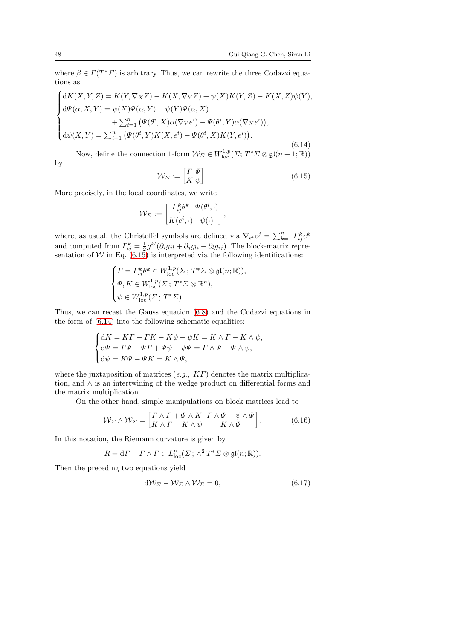where  $\beta \in \Gamma(T^*\Sigma)$  is arbitrary. Thus, we can rewrite the three Codazzi equations as

<span id="page-47-1"></span>
$$
\begin{cases}\ndK(X,Y,Z) = K(Y,\nabla_X Z) - K(X,\nabla_Y Z) + \psi(X)K(Y,Z) - K(X,Z)\psi(Y), \\
d\Psi(\alpha, X,Y) = \psi(X)\Psi(\alpha, Y) - \psi(Y)\Psi(\alpha, X) \\
&+ \sum_{i=1}^n (\Psi(\theta^i, X)\alpha(\nabla_Y e^i) - \Psi(\theta^i, Y)\alpha(\nabla_X e^i)), \\
d\psi(X,Y) = \sum_{i=1}^n (\Psi(\theta^i, Y)K(X, e^i) - \Psi(\theta^i, X)K(Y, e^i)).\n\end{cases}
$$

(6.14) Now, define the connection 1-form  $\mathcal{W}_{\Sigma} \in W^{1,p}_{loc}(\Sigma; T^*\Sigma \otimes \mathfrak{gl}(n+1;\mathbb{R}))$ by

<span id="page-47-0"></span>
$$
\mathcal{W}_{\Sigma} := \begin{bmatrix} \Gamma & \Psi \\ K & \psi \end{bmatrix} . \tag{6.15}
$$

More precisely, in the local coordinates, we write

$$
\mathcal{W}_{\Sigma} := \begin{bmatrix} \Gamma_{ij}^k \theta^k & \Psi(\theta^i, \cdot) \\ K(e^i, \cdot) & \psi(\cdot) \end{bmatrix},
$$

where, as usual, the Christoffel symbols are defined via  $\nabla_{e^i} e^j = \sum_{k=1}^n \Gamma_{ij}^k e^k$ and computed from  $\Gamma_{ij}^k = \frac{1}{2} g^{kl} (\partial_i g_{jl} + \partial_j g_{li} - \partial_l g_{ij})$ . The block-matrix representation of  $W$  in Eq. [\(6.15\)](#page-47-0) is interpreted via the following identifications:

$$
\begin{cases} \varGamma = \varGamma_{ij}^k \theta^k \in W^{1,p}_{\mathrm{loc}}(\varSigma\,;\,T^*\varSigma\otimes\mathfrak{gl}(n;\mathbb{R})),\\ \varPsi, K\in W^{1,p}_{\mathrm{loc}}(\varSigma\,;\,T^*\varSigma\otimes\mathbb{R}^n),\\ \psi\in W^{1,p}_{\mathrm{loc}}(\varSigma\,;\,T^*\varSigma). \end{cases}
$$

Thus, we can recast the Gauss equation [\(6.8\)](#page-44-0) and the Codazzi equations in the form of [\(6.14\)](#page-47-1) into the following schematic equalities:

$$
\label{eq:2} \begin{cases} \mathrm{d}K=K\varGamma -\varGamma K-K\psi +\psi K=K\wedge\varGamma -K\wedge\psi,\\ \mathrm{d}\varPsi=\varGamma\Psi-\varPsi\varGamma+\varPsi\psi-\psi\Psi=\varGamma\wedge\Psi-\varPsi\wedge\psi,\\ \mathrm{d}\psi=K\Psi-\varPsi K=K\wedge\Psi, \end{cases}
$$

where the juxtaposition of matrices  $(e.g., KT)$  denotes the matrix multiplication, and ∧ is an intertwining of the wedge product on differential forms and the matrix multiplication.

On the other hand, simple manipulations on block matrices lead to

<span id="page-47-3"></span>
$$
\mathcal{W}_{\Sigma} \wedge \mathcal{W}_{\Sigma} = \begin{bmatrix} \Gamma \wedge \Gamma + \Psi \wedge K & \Gamma \wedge \Psi + \psi \wedge \Psi \\ K \wedge \Gamma + K \wedge \psi & K \wedge \Psi \end{bmatrix}.
$$
 (6.16)

In this notation, the Riemann curvature is given by

$$
R = d\Gamma - \Gamma \wedge \Gamma \in L^p_{\text{loc}}(\Sigma \, ; \, \wedge^2 T^* \Sigma \otimes \mathfrak{gl}(n; \mathbb{R})).
$$

Then the preceding two equations yield

<span id="page-47-2"></span>
$$
dW_{\Sigma} - W_{\Sigma} \wedge W_{\Sigma} = 0, \qquad (6.17)
$$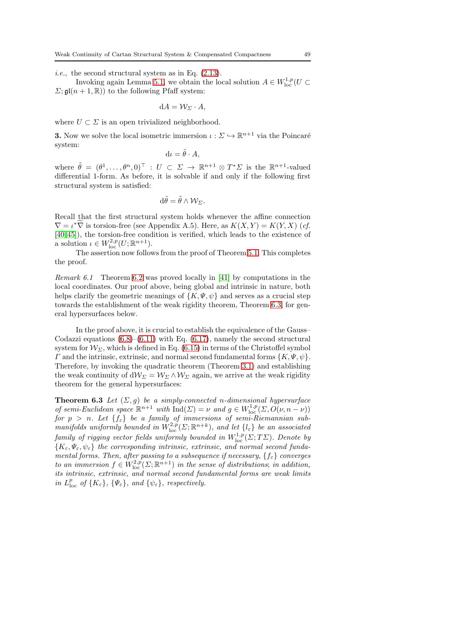i.e., the second structural system as in Eq. [\(2.13\)](#page-12-0).

Invoking again Lemma [5.1,](#page-36-2) we obtain the local solution  $A \in W^{1,p}_{loc}(U \subset \mathbb{R}^d)$  $\Sigma$ ;  $\mathfrak{gl}(n+1,\mathbb{R})$  to the following Pfaff system:

$$
dA = \mathcal{W}_{\Sigma} \cdot A,
$$

where  $U \subset \Sigma$  is an open trivialized neighborhood.

**3.** Now we solve the local isometric immersion  $\iota : \Sigma \hookrightarrow \mathbb{R}^{n+1}$  via the Poincaré system:

$$
\mathrm{d}\iota = \tilde{\theta} \cdot A,
$$

where  $\tilde{\theta} = (\theta^1, \ldots, \theta^n, 0)^\top : U \subset \Sigma \to \mathbb{R}^{n+1} \otimes T^* \Sigma$  is the  $\mathbb{R}^{n+1}$ -valued differential 1-form. As before, it is solvable if and only if the following first structural system is satisfied:

$$
d\tilde{\theta} = \tilde{\theta} \wedge \mathcal{W}_{\Sigma}.
$$

Recall that the first structural system holds whenever the affine connection  $\nabla = \iota^* \nabla$  is torsion-free (see Appendix A.5). Here, as  $K(X, Y) = K(Y, X)$  (cf. [\[40,](#page-63-27)[45\]](#page-63-1)), the torsion-free condition is verified, which leads to the existence of a solution  $\iota \in W^{2,p}_{\text{loc}}(U;\mathbb{R}^{n+1}).$ 

The assertion now follows from the proof of Theorem [5.1.](#page-34-0) This completes the proof.

Remark 6.1 Theorem [6.2](#page-43-1) was proved locally in [\[41\]](#page-63-6) by computations in the local coordinates. Our proof above, being global and intrinsic in nature, both helps clarify the geometric meanings of  $\{K, \Psi, \psi\}$  and serves as a crucial step towards the establishment of the weak rigidity theorem, Theorem [6.3,](#page-48-0) for general hypersurfaces below.

In the proof above, it is crucial to establish the equivalence of the Gauss– Codazzi equations  $(6.8)$ – $(6.11)$  with Eq.  $(6.17)$ , namely the second structural system for  $W_{\Sigma}$ , which is defined in Eq. [\(6.15\)](#page-47-0) in terms of the Christoffel symbol  $\Gamma$  and the intrinsic, extrinsic, and normal second fundamental forms  $\{K,\Psi,\psi\}.$ Therefore, by invoking the quadratic theorem (Theorem [3.1\)](#page-16-0) and establishing the weak continuity of  $dW_{\Sigma} = W_{\Sigma} \wedge W_{\Sigma}$  again, we arrive at the weak rigidity theorem for the general hypersurfaces:

<span id="page-48-0"></span>**Theorem 6.3** Let  $(\Sigma, g)$  be a simply-connected n-dimensional hypersurface of semi-Euclidean space  $\mathbb{R}^{n+1}$  with  $\text{Ind}(\Sigma) = \nu$  and  $g \in W^{1,p}_{\text{loc}}(\Sigma, O(\nu, n - \nu))$ for  $p > n$ . Let  $\{f_{\varepsilon}\}\)$  be a family of immersions of semi-Riemannian submanifolds uniformly bounded in  $W^{2,p}_{\text{loc}}(\Sigma; \mathbb{R}^{n+k})$ , and let  $\{l_{\varepsilon}\}\$  be an associated  $family$  of rigging vector fields uniformly bounded in  $W^{1,p}_{\mathrm{loc}}(\Sigma;T\Sigma).$  Denote by  ${K_{\varepsilon}}, {\Psi_{\varepsilon}}, {\psi_{\varepsilon}}\}$  the corresponding intrinsic, extrinsic, and normal second fundamental forms. Then, after passing to a subsequence if necessary,  $\{f_{\varepsilon}\}$  converges to an immersion  $f \in W^{2,p}_{loc}(\Sigma; \mathbb{R}^{n+1})$  in the sense of distributions; in addition, its intrinsic, extrinsic, and normal second fundamental forms are weak limits in  $L^p_{\text{loc}}$  of  $\{K_{\varepsilon}\}\text{, } \{\Psi_{\varepsilon}\}\text{, and } \{\psi_{\varepsilon}\}\text{, respectively.}$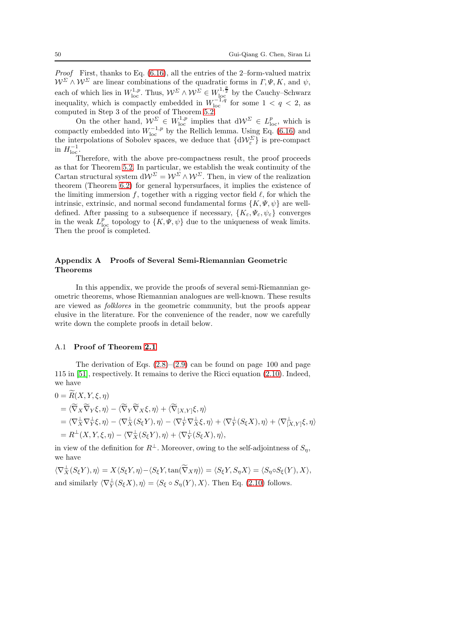Proof First, thanks to Eq. [\(6.16\)](#page-47-3), all the entries of the 2–form-valued matrix  $W^{\Sigma} \wedge W^{\Sigma}$  are linear combinations of the quadratic forms in  $\Gamma, \Psi, K$ , and  $\psi$ , each of which lies in  $W^{1,p}_{loc}$ . Thus,  $\mathcal{W}^{\Sigma} \wedge \mathcal{W}^{\Sigma} \in W^{1,\frac{p}{2}}_{loc}$  by the Cauchy–Schwarz inequality, which is compactly embedded in  $W_{\text{loc}}^{-1,q}$  for some  $1 < q < 2$ , as computed in Step 3 of the proof of Theorem [5.2.](#page-38-0)

On the other hand,  $\mathcal{W}^{\Sigma} \in W^{1,p}_{loc}$  implies that  $d\mathcal{W}^{\Sigma} \in L^p_{loc}$ , which is compactly embedded into  $W_{\text{loc}}^{-1,p}$  by the Rellich lemma. Using Eq. [\(6.16\)](#page-47-3) and the interpolations of Sobolev spaces, we deduce that  $\{d\mathcal{W}_{\varepsilon}^{\Sigma}\}\)$  is pre-compact in  $H_{\text{loc}}^{-1}$ .

Therefore, with the above pre-compactness result, the proof proceeds as that for Theorem [5.2.](#page-38-0) In particular, we establish the weak continuity of the Cartan structural system  $dW^{\Sigma} = W^{\Sigma} \wedge W^{\Sigma}$ . Then, in view of the realization theorem (Theorem [6.2\)](#page-43-1) for general hypersurfaces, it implies the existence of the limiting immersion f, together with a rigging vector field  $\ell$ , for which the intrinsic, extrinsic, and normal second fundamental forms  $\{K, \Psi, \psi\}$  are welldefined. After passing to a subsequence if necessary,  $\{K_{\varepsilon}, \Psi_{\varepsilon}, \psi_{\varepsilon}\}\)$  converges in the weak  $L^p_{loc}$  topology to  $\{K, \Psi, \psi\}$  due to the uniqueness of weak limits. Then the proof is completed.

# Appendix A Proofs of Several Semi-Riemannian Geometric Theorems

In this appendix, we provide the proofs of several semi-Riemannian geometric theorems, whose Riemannian analogues are well-known. These results are viewed as folklores in the geometric community, but the proofs appear elusive in the literature. For the convenience of the reader, now we carefully write down the complete proofs in detail below.

### A.1 Proof of Theorem [2.1](#page-9-4)

 $\sim$ 

The derivation of Eqs.  $(2.8)$ – $(2.9)$  can be found on page 100 and page 115 in [\[51\]](#page-63-13), respectively. It remains to derive the Ricci equation [\(2.10\)](#page-9-3). Indeed, we have

$$
0 = R(X, Y, \xi, \eta)
$$
  
\n
$$
= \langle \widetilde{\nabla}_X \widetilde{\nabla}_Y \xi, \eta \rangle - \langle \widetilde{\nabla}_Y \widetilde{\nabla}_X \xi, \eta \rangle + \langle \widetilde{\nabla}_{[X, Y]} \xi, \eta \rangle
$$
  
\n
$$
= \langle \nabla_X^{\perp} \nabla_Y^{\perp} \xi, \eta \rangle - \langle \nabla_X^{\perp} (S_{\xi} Y), \eta \rangle - \langle \nabla_Y^{\perp} \nabla_X^{\perp} \xi, \eta \rangle + \langle \nabla_Y^{\perp} (S_{\xi} X), \eta \rangle + \langle \nabla_{[X, Y]}^{\perp} \xi, \eta \rangle
$$
  
\n
$$
= R^{\perp}(X, Y, \xi, \eta) - \langle \nabla_X^{\perp} (S_{\xi} Y), \eta \rangle + \langle \nabla_Y^{\perp} (S_{\xi} X), \eta \rangle,
$$

in view of the definition for  $R^{\perp}$ . Moreover, owing to the self-adjointness of  $S_n$ , we have

 $\langle \nabla_X^{\perp}(S_{\xi}Y), \eta \rangle = X \langle S_{\xi}Y, \eta \rangle - \langle S_{\xi}Y, \tan(\overline{\nabla}_X \eta) \rangle = \langle S_{\xi}Y, S_{\eta}X \rangle = \langle S_{\eta} \circ S_{\xi}(Y), X \rangle,$ and similarly  $\langle \nabla_Y^{\perp}(S_{\xi}X), \eta \rangle = \langle S_{\xi} \circ S_{\eta}(Y), X \rangle$ . Then Eq. [\(2.10\)](#page-9-3) follows.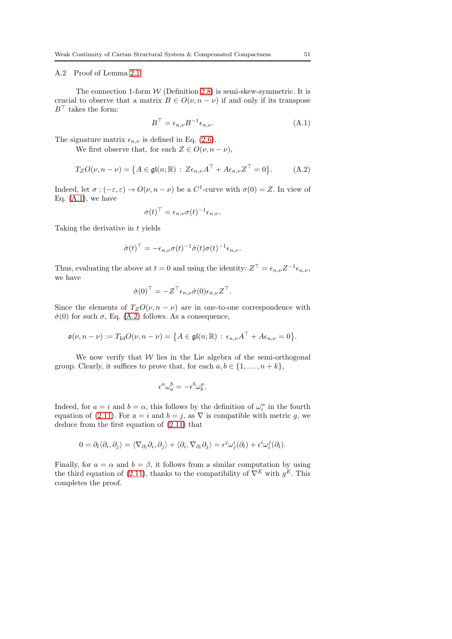## A.2 Proof of Lemma [2.1](#page-12-2)

The connection 1-form  $W$  (Definition [2.8\)](#page-11-2) is semi-skew-symmetric. It is crucial to observe that a matrix  $B \in O(\nu, n - \nu)$  if and only if its transpose  $B^{\top}$  takes the form:

<span id="page-50-0"></span>
$$
B^{\top} = \epsilon_{n,\nu} B^{-1} \epsilon_{n,\nu}.
$$
\n(A.1)

The signature matrix  $\epsilon_{n,\nu}$  is defined in Eq. [\(2.6\)](#page-8-2).

We first observe that, for each  $Z \in O(\nu, n - \nu)$ ,

<span id="page-50-1"></span>
$$
T_Z O(\nu, n - \nu) = \left\{ A \in \mathfrak{gl}(n; \mathbb{R}) : Z \epsilon_{n,\nu} A^\top + A \epsilon_{n,\nu} Z^\top = 0 \right\}.
$$
 (A.2)

Indeed, let  $\sigma: (-\varepsilon, \varepsilon) \to O(\nu, n - \nu)$  be a  $C^1$ -curve with  $\sigma(0) = Z$ . In view of Eq.  $(A.1)$ , we have

$$
\sigma(t)^{\top} = \epsilon_{n,\nu} \sigma(t)^{-1} \epsilon_{n,\nu}.
$$

Taking the derivative in  $t$  yields

$$
\dot{\sigma}(t)^{\top} = -\epsilon_{n,\nu}\sigma(t)^{-1}\dot{\sigma}(t)\sigma(t)^{-1}\epsilon_{n,\nu}.
$$

Thus, evaluating the above at  $t = 0$  and using the identity:  $Z^{\top} = \epsilon_{n,\nu} Z^{-1} \epsilon_{n,\nu}$ , we have

$$
\dot{\sigma}(0)^{\top} = -Z^{\top} \epsilon_{n,\nu} \dot{\sigma}(0) \epsilon_{n,\nu} Z^{\top}.
$$

Since the elements of  $T_ZO(\nu, n-\nu)$  are in one-to-one correspondence with  $\dot{\sigma}(0)$  for such  $\sigma$ , Eq. [\(A.2\)](#page-50-1) follows. As a consequence,

$$
\mathfrak{o}(\nu, n-\nu) := T_{\mathrm{Id}} O(\nu, n-\nu) = \big\{ A \in \mathfrak{gl}(n; \mathbb{R}) \, : \, \epsilon_{n,\nu} A^\top + A \epsilon_{n,\nu} = 0 \big\}.
$$

We now verify that  $W$  lies in the Lie algebra of the semi-orthogonal group. Clearly, it suffices to prove that, for each  $a, b \in \{1, \ldots, n+k\},\$ 

$$
\epsilon^a \omega_a^b = -\epsilon^b \omega_b^a.
$$

Indeed, for  $a = i$  and  $b = \alpha$ , this follows by the definition of  $\omega_i^{\alpha}$  in the fourth equation of [\(2.11\)](#page-11-3). For  $a = i$  and  $b = j$ , as  $\nabla$  is compatible with metric g, we deduce from the first equation of [\(2.11\)](#page-11-3) that

$$
0 = \partial_l \langle \partial_i, \partial_j \rangle = \langle \nabla_{\partial_l} \partial_i, \partial_j \rangle + \langle \partial_i, \nabla_{\partial_l} \partial_j \rangle = \epsilon^j \omega_j^i(\partial_l) + \epsilon^i \omega_i^j(\partial_l).
$$

Finally, for  $a = \alpha$  and  $b = \beta$ , it follows from a similar computation by using the third equation of [\(2.11\)](#page-11-3), thanks to the compatibility of  $\nabla^{E}$  with  $g^{E}$ . This completes the proof.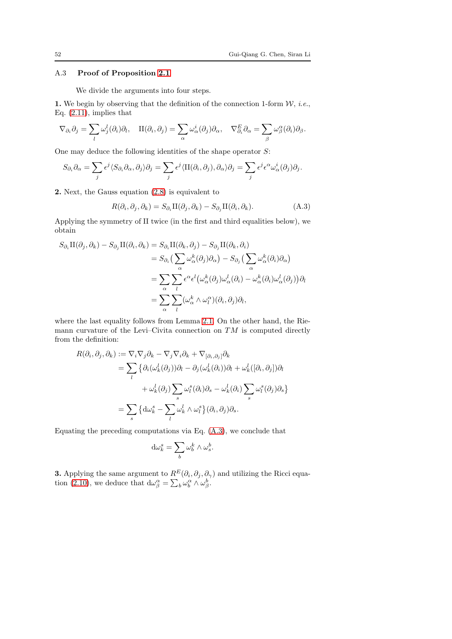# A.3 Proof of Proposition [2.1](#page-12-1)

We divide the arguments into four steps.

1. We begin by observing that the definition of the connection 1-form  $W$ , *i.e.*, Eq.  $(2.11)$ , implies that

$$
\nabla_{\partial_i} \partial_j = \sum_l \omega_j^l(\partial_i) \partial_l, \quad \Pi(\partial_i, \partial_j) = \sum_\alpha \omega_\alpha^i(\partial_j) \partial_\alpha, \quad \nabla_{\partial_i}^E \partial_\alpha = \sum_\beta \omega_\beta^\alpha(\partial_i) \partial_\beta.
$$

One may deduce the following identities of the shape operator  $S$ :

$$
S_{\partial_i} \partial_\alpha = \sum_j \epsilon^j \langle S_{\partial_i} \partial_\alpha, \partial_j \rangle \partial_j = \sum_j \epsilon^j \langle \Pi(\partial_i, \partial_j), \partial_\alpha \rangle \partial_j = \sum_j \epsilon^j \epsilon^\alpha \omega_\alpha^i(\partial_j) \partial_j.
$$

2. Next, the Gauss equation [\(2.8\)](#page-9-1) is equivalent to

<span id="page-51-0"></span>
$$
R(\partial_i, \partial_j, \partial_k) = S_{\partial_i} \Pi(\partial_j, \partial_k) - S_{\partial_j} \Pi(\partial_i, \partial_k).
$$
 (A.3)

Applying the symmetry of II twice (in the first and third equalities below), we obtain

$$
S_{\partial_i} \Pi(\partial_j, \partial_k) - S_{\partial_j} \Pi(\partial_i, \partial_k) = S_{\partial_i} \Pi(\partial_k, \partial_j) - S_{\partial_j} \Pi(\partial_k, \partial_i)
$$
  
\n
$$
= S_{\partial_i} \left( \sum_{\alpha} \omega_{\alpha}^k (\partial_j) \partial_{\alpha} \right) - S_{\partial_j} \left( \sum_{\alpha} \omega_{\alpha}^k (\partial_i) \partial_{\alpha} \right)
$$
  
\n
$$
= \sum_{\alpha} \sum_{l} \epsilon^{\alpha} \epsilon^l \left( \omega_{\alpha}^k (\partial_j) \omega_{\alpha}^l (\partial_i) - \omega_{\alpha}^k (\partial_i) \omega_{\alpha}^l (\partial_j) \right) \partial_l
$$
  
\n
$$
= \sum_{\alpha} \sum_{l} (\omega_{\alpha}^k \wedge \omega_l^{\alpha}) (\partial_i, \partial_j) \partial_l,
$$

where the last equality follows from Lemma [2.1.](#page-12-2) On the other hand, the Riemann curvature of the Levi–Civita connection on  $TM$  is computed directly from the definition:

$$
R(\partial_i, \partial_j, \partial_k) := \nabla_i \nabla_j \partial_k - \nabla_j \nabla_i \partial_k + \nabla_{[\partial_i, \partial_j]} \partial_k
$$
  
\n
$$
= \sum_l \{ \partial_i (\omega_k^l(\partial_j)) \partial_l - \partial_j (\omega_k^l(\partial_i)) \partial_l + \omega_k^l([\partial_i, \partial_j]) \partial_l
$$
  
\n
$$
+ \omega_k^l(\partial_j) \sum_s \omega_l^s(\partial_i) \partial_s - \omega_k^l(\partial_i) \sum_s \omega_l^s(\partial_j) \partial_s \}
$$
  
\n
$$
= \sum_s \{ d\omega_k^s - \sum_l \omega_k^l \wedge \omega_l^s \} (\partial_i, \partial_j) \partial_s.
$$

Equating the preceding computations via Eq. [\(A.3\)](#page-51-0), we conclude that

$$
\mathrm{d}\omega^s_k = \sum_b \omega^k_b \wedge \omega^b_s.
$$

**3.** Applying the same argument to  $R^E(\partial_i, \partial_j, \partial_\gamma)$  and utilizing the Ricci equa-tion [\(2.10\)](#page-9-3), we deduce that  $d\omega_{\beta}^{\alpha} = \sum_{b} \omega_{b}^{\alpha} \wedge \omega_{\beta}^{b}$ .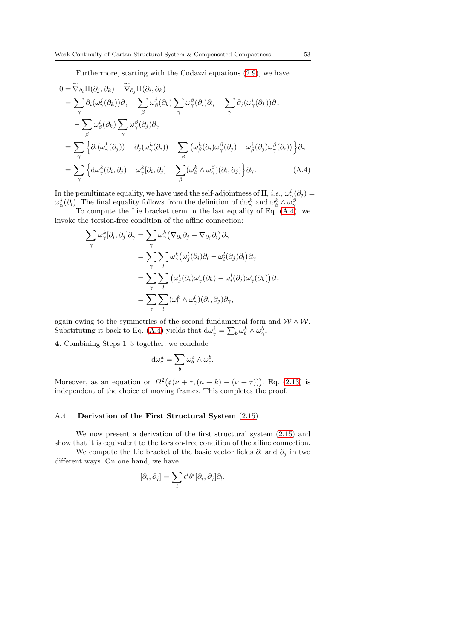Furthermore, starting with the Codazzi equations [\(2.9\)](#page-9-2), we have

$$
0 = \widetilde{\nabla}_{\partial_i} \Pi(\partial_j, \partial_k) - \widetilde{\nabla}_{\partial_j} \Pi(\partial_i, \partial_k)
$$
  
\n
$$
= \sum_{\gamma} \partial_i (\omega_{\gamma}^j(\partial_k)) \partial_{\gamma} + \sum_{\beta} \omega_{\beta}^j(\partial_k) \sum_{\gamma} \omega_{\gamma}^{\beta}(\partial_i) \partial_{\gamma} - \sum_{\gamma} \partial_j (\omega_{\gamma}^i(\partial_k)) \partial_{\gamma}
$$
  
\n
$$
- \sum_{\beta} \omega_{\beta}^i(\partial_k) \sum_{\gamma} \omega_{\gamma}^{\beta}(\partial_j) \partial_{\gamma}
$$
  
\n
$$
= \sum_{\gamma} \left\{ \partial_i (\omega_{\gamma}^k(\partial_j)) - \partial_j (\omega_{\gamma}^k(\partial_i)) - \sum_{\beta} (\omega_{\beta}^k(\partial_i) \omega_{\gamma}^{\beta}(\partial_j) - \omega_{\beta}^k(\partial_j) \omega_{\gamma}^{\beta}(\partial_i)) \right\} \partial_{\gamma}
$$
  
\n
$$
= \sum_{\gamma} \left\{ d\omega_{\gamma}^k(\partial_i, \partial_j) - \omega_{\gamma}^k[\partial_i, \partial_j] - \sum_{\beta} (\omega_{\beta}^k \wedge \omega_{\gamma}^{\beta})(\partial_i, \partial_j) \right\} \partial_{\gamma}.
$$
 (A.4)

In the penultimate equality, we have used the self-adjointness of II, *i.e.*,  $\omega_{\alpha}^{i}(\partial_{j})=$  $\omega_{\alpha}^{j}(\partial_{i})$ . The final equality follows from the definition of  $d\omega_{\gamma}^{k}$  and  $\omega_{\beta}^{k} \wedge \omega_{\gamma}^{\beta}$ .

To compute the Lie bracket term in the last equality of Eq. [\(A.4\)](#page-52-0), we invoke the torsion-free condition of the affine connection:

<span id="page-52-0"></span>
$$
\sum_{\gamma} \omega_{\gamma}^{k}[\partial_{i}, \partial_{j}] \partial_{\gamma} = \sum_{\gamma} \omega_{\gamma}^{k} (\nabla_{\partial_{i}} \partial_{j} - \nabla_{\partial_{j}} \partial_{i}) \partial_{\gamma}
$$
\n
$$
= \sum_{\gamma} \sum_{l} \omega_{\gamma}^{k} (\omega_{j}^{l}(\partial_{i}) \partial_{l} - \omega_{i}^{l}(\partial_{j}) \partial_{l}) \partial_{\gamma}
$$
\n
$$
= \sum_{\gamma} \sum_{l} (\omega_{j}^{l}(\partial_{i}) \omega_{\gamma}^{l}(\partial_{k}) - \omega_{i}^{l}(\partial_{j}) \omega_{\gamma}^{l}(\partial_{k})) \partial_{\gamma}
$$
\n
$$
= \sum_{\gamma} \sum_{l} (\omega_{l}^{k} \wedge \omega_{\gamma}^{l})(\partial_{i}, \partial_{j}) \partial_{\gamma},
$$

again owing to the symmetries of the second fundamental form and  $W \wedge W$ . Substituting it back to Eq. [\(A.4\)](#page-52-0) yields that  $d\omega_{\gamma}^{k} = \sum_{b} \omega_{b}^{k} \wedge \omega_{\gamma}^{b}$ .

4. Combining Steps 1–3 together, we conclude

$$
\mathrm{d}\omega_c^a = \sum_b \omega_b^a \wedge \omega_c^b.
$$

Moreover, as an equation on  $\Omega^2\big(\mathfrak{o}(\nu+\tau,(n+k)-(\nu+\tau))\big)$ , Eq. [\(2.13\)](#page-12-0) is independent of the choice of moving frames. This completes the proof.

## A.4 Derivation of the First Structural System [\(2.15\)](#page-12-3)

We now present a derivation of the first structural system [\(2.15\)](#page-12-3) and show that it is equivalent to the torsion-free condition of the affine connection.

We compute the Lie bracket of the basic vector fields  $\partial_i$  and  $\partial_j$  in two different ways. On one hand, we have

$$
[\partial_i, \partial_j] = \sum_l \epsilon^l \theta^l [\partial_i, \partial_j] \partial_l.
$$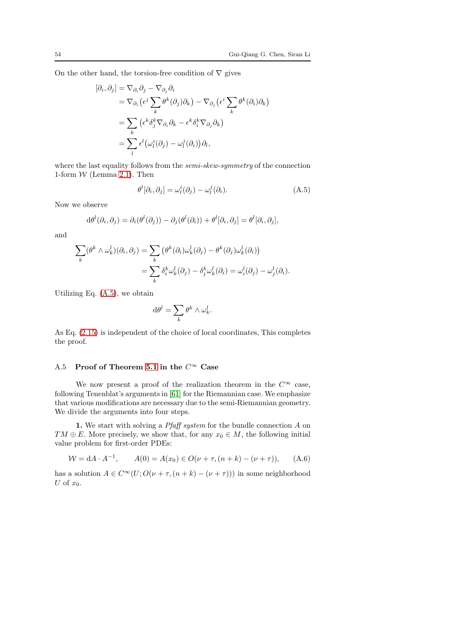On the other hand, the torsion-free condition of  $\nabla$  gives

$$
[\partial_i, \partial_j] = \nabla_{\partial_i} \partial_j - \nabla_{\partial_j} \partial_i
$$
  
\n
$$
= \nabla_{\partial_i} (\epsilon^j \sum_k \theta^k (\partial_j) \partial_k) - \nabla_{\partial_j} (\epsilon^i \sum_k \theta^k (\partial_i) \partial_k)
$$
  
\n
$$
= \sum_k (\epsilon^k \delta_j^k \nabla_{\partial_i} \partial_k - \epsilon^k \delta_i^k \nabla_{\partial_j} \partial_k)
$$
  
\n
$$
= \sum_l \epsilon^l (\omega_l^i (\partial_j) - \omega_l^j (\partial_i)) \partial_l,
$$

where the last equality follows from the *semi-skew-symmetry* of the connection 1-form  $W$  (Lemma [2.1\)](#page-12-2). Then

<span id="page-53-0"></span>
$$
\theta^l[\partial_i, \partial_j] = \omega_l^i(\partial_j) - \omega_l^j(\partial_i). \tag{A.5}
$$

Now we observe

$$
d\theta^l(\partial_i, \partial_j) = \partial_i(\theta^l(\partial_j)) - \partial_j(\theta^l(\partial_i)) + \theta^l[\partial_i, \partial_j] = \theta^l[\partial_i, \partial_j],
$$

and

$$
\sum_{k} (\theta^{k} \wedge \omega_{k}^{l})(\partial_{i}, \partial_{j}) = \sum_{k} (\theta^{k}(\partial_{i})\omega_{k}^{l}(\partial_{j}) - \theta^{k}(\partial_{j})\omega_{k}^{l}(\partial_{i}))
$$
  

$$
= \sum_{k} \delta_{i}^{k} \omega_{k}^{l}(\partial_{j}) - \delta_{j}^{k} \omega_{k}^{l}(\partial_{i}) = \omega_{i}^{l}(\partial_{j}) - \omega_{j}^{l}(\partial_{i}).
$$

Utilizing Eq. [\(A.5\)](#page-53-0), we obtain

$$
\mathrm{d} \theta^l = \sum_k \theta^k \wedge \omega_k^l.
$$

As Eq. [\(2.15\)](#page-12-3) is independent of the choice of local coordinates, This completes the proof.

# A.5 Proof of Theorem [5.1](#page-34-0) in the  $C^{\infty}$  Case

We now present a proof of the realization theorem in the  $C^{\infty}$  case, following Tenenblat's arguments in [\[61\]](#page-63-15) for the Riemannian case. We emphasize that various modifications are necessary due to the semi-Riemannian geometry. We divide the arguments into four steps.

1. We start with solving a *Pfaff system* for the bundle connection A on  $TM \oplus E$ . More precisely, we show that, for any  $x_0 \in M$ , the following initial value problem for first-order PDEs:

<span id="page-53-1"></span>
$$
W = dA \cdot A^{-1}, \qquad A(0) = A(x_0) \in O(\nu + \tau, (n+k) - (\nu + \tau)), \qquad (A.6)
$$

has a solution  $A \in C^{\infty}(U; O(\nu + \tau, (n + k) - (\nu + \tau)))$  in some neighborhood U of  $x_0$ .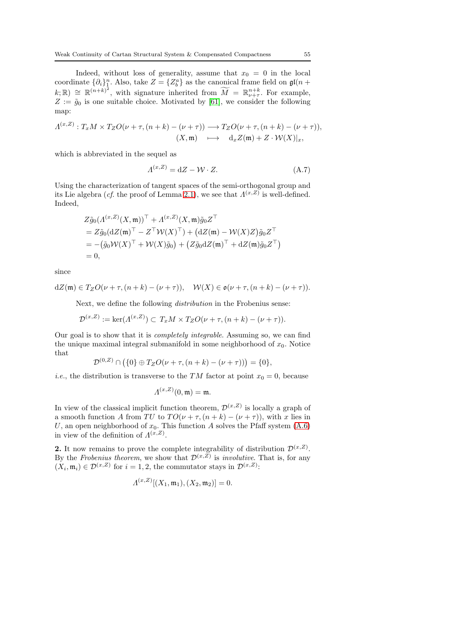Indeed, without loss of generality, assume that  $x_0 = 0$  in the local coordinate  $\{\partial_i\}_1^n$ . Also, take  $Z = \{Z_b^a\}$  as the canonical frame field on  $\mathfrak{gl}(n + \mathbb{Z})$  $(k; \mathbb{R}) \cong \mathbb{R}^{(n+k)^2}$ , with signature inherited from  $\widetilde{M} = \mathbb{R}_{\nu+\tau}^{n+k}$ . For example,  $Z := \tilde{g}_0$  is one suitable choice. Motivated by [\[61\]](#page-63-15), we consider the following map:

$$
\Lambda^{(x,Z)}: T_xM \times T_ZO(\nu + \tau, (n+k) - (\nu + \tau)) \longrightarrow T_ZO(\nu + \tau, (n+k) - (\nu + \tau)),
$$
  

$$
(X,\mathfrak{m}) \longrightarrow d_xZ(\mathfrak{m}) + Z \cdot \mathcal{W}(X)|_x,
$$

which is abbreviated in the sequel as

<span id="page-54-0"></span>
$$
\Lambda^{(x,Z)} = dZ - \mathcal{W} \cdot Z. \tag{A.7}
$$

Using the characterization of tangent spaces of the semi-orthogonal group and its Lie algebra (*cf.* the proof of Lemma [2.1\)](#page-12-2), we see that  $\Lambda^{(x,Z)}$  is well-defined. Indeed,

$$
Z\tilde{g}_0(\Lambda^{(x,Z)}(X,\mathfrak{m}))^{\top} + \Lambda^{(x,Z)}(X,\mathfrak{m})\tilde{g}_0 Z^{\top}
$$
  
=  $Z\tilde{g}_0(dZ(\mathfrak{m})^{\top} - Z^{\top}W(X)^{\top}) + (dZ(\mathfrak{m}) - W(X)Z)\tilde{g}_0 Z^{\top}$   
=  $-(\tilde{g}_0W(X)^{\top} + W(X)\tilde{g}_0) + (Z\tilde{g}_0dZ(\mathfrak{m})^{\top} + dZ(\mathfrak{m})\tilde{g}_0 Z^{\top})$   
= 0,

since

$$
dZ(\mathfrak{m}) \in T_Z O(\nu + \tau, (n+k) - (\nu + \tau)), \quad \mathcal{W}(X) \in \mathfrak{o}(\nu + \tau, (n+k) - (\nu + \tau)).
$$

Next, we define the following distribution in the Frobenius sense:

$$
\mathcal{D}^{(x,Z)} := \ker(\Lambda^{(x,Z)}) \subset T_xM \times T_ZO(\nu + \tau, (n+k) - (\nu + \tau)).
$$

Our goal is to show that it is completely integrable. Assuming so, we can find the unique maximal integral submanifold in some neighborhood of  $x_0$ . Notice that

$$
\mathcal{D}^{(0,Z)} \cap (\{0\} \oplus T_Z O(\nu+\tau,(n+k)-(\nu+\tau))) = \{0\},\
$$

*i.e.*, the distribution is transverse to the TM factor at point  $x_0 = 0$ , because

$$
\Lambda^{(x,Z)}(0,\mathfrak{m})=\mathfrak{m}.
$$

In view of the classical implicit function theorem,  $\mathcal{D}^{(x,Z)}$  is locally a graph of a smooth function A from TU to  $TO(\nu + \tau, (n + k) - (\nu + \tau))$ , with x lies in U, an open neighborhood of  $x_0$ . This function A solves the Pfaff system  $(A.6)$ in view of the definition of  $\Lambda^{(x,Z)}$ .

2. It now remains to prove the complete integrability of distribution  $\mathcal{D}^{(x,Z)}$ . By the Frobenius theorem, we show that  $\mathcal{D}^{(x,Z)}$  is *involutive*. That is, for any  $(X_i, \mathfrak{m}_i) \in \mathcal{D}^{(x,Z)}$  for  $i = 1, 2$ , the commutator stays in  $\mathcal{D}^{(x,Z)}$ :

$$
\Lambda^{(x,Z)}[(X_1,\mathfrak{m}_1),(X_2,\mathfrak{m}_2)]=0.
$$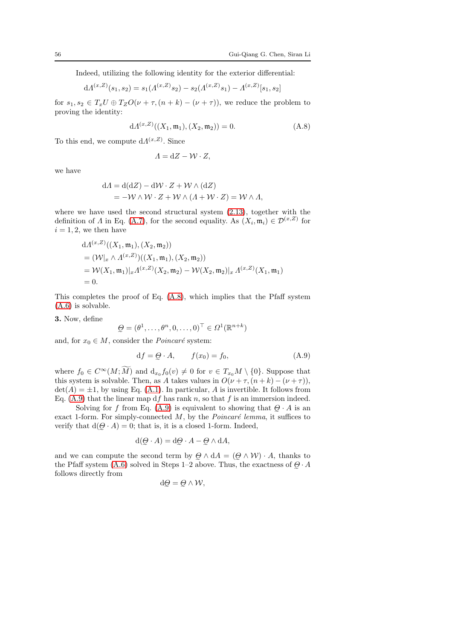Indeed, utilizing the following identity for the exterior differential:

$$
d\Lambda^{(x,Z)}(s_1,s_2) = s_1(\Lambda^{(x,Z)}s_2) - s_2(\Lambda^{(x,Z)}s_1) - \Lambda^{(x,Z)}[s_1,s_2]
$$

for  $s_1, s_2 \in T_x U \oplus T_z O(\nu + \tau, (n + k) - (\nu + \tau))$ , we reduce the problem to proving the identity:

<span id="page-55-0"></span>
$$
dA^{(x,Z)}((X_1,\mathfrak{m}_1),(X_2,\mathfrak{m}_2)) = 0.
$$
 (A.8)

To this end, we compute  $dA^{(x,Z)}$ . Since

$$
\Lambda = dZ - \mathcal{W} \cdot Z,
$$

we have

$$
dA = d(dZ) - dW \cdot Z + W \wedge (dZ)
$$
  
= -W \wedge W \cdot Z + W \wedge (A + W \cdot Z) = W \wedge A,

where we have used the second structural system [\(2.13\)](#page-12-0), together with the definition of  $\Lambda$  in Eq. [\(A.7\)](#page-54-0), for the second equality. As  $(X_i, \mathfrak{m}_i) \in \mathcal{D}^{(x,Z)}$  for  $i = 1, 2$ , we then have

$$
dA^{(x,Z)}((X_1, \mathfrak{m}_1), (X_2, \mathfrak{m}_2))
$$
  
=  $(\mathcal{W}|_x \wedge A^{(x,Z)})((X_1, \mathfrak{m}_1), (X_2, \mathfrak{m}_2))$   
=  $\mathcal{W}(X_1, \mathfrak{m}_1)|_x A^{(x,Z)}(X_2, \mathfrak{m}_2) - \mathcal{W}(X_2, \mathfrak{m}_2)|_x A^{(x,Z)}(X_1, \mathfrak{m}_1)$   
= 0.

This completes the proof of Eq. [\(A.8\)](#page-55-0), which implies that the Pfaff system [\(A.6\)](#page-53-1) is solvable.

3. Now, define

$$
\mathcal{Q} = (\theta^1, \dots, \theta^n, 0, \dots, 0)^\top \in \Omega^1(\mathbb{R}^{n+k})
$$

and, for  $x_0 \in M$ , consider the *Poincaré* system:

<span id="page-55-1"></span>
$$
df = Q \cdot A, \qquad f(x_0) = f_0,\tag{A.9}
$$

where  $f_0 \in C^{\infty}(M; \widetilde{M})$  and  $d_{x_0} f_0(v) \neq 0$  for  $v \in T_{x_0}M \setminus \{0\}$ . Suppose that this system is solvable. Then, as A takes values in  $O(\nu + \tau, (n + k) - (\nu + \tau))$ ,  $\det(A) = \pm 1$ , by using Eq. [\(A.1\)](#page-50-0). In particular, A is invertible. It follows from Eq. [\(A.9\)](#page-55-1) that the linear map df has rank n, so that f is an immersion indeed.

Solving for f from Eq. [\(A.9\)](#page-55-1) is equivalent to showing that  $Q \cdot A$  is an exact 1-form. For simply-connected  $M$ , by the  $Poincaré$  lemma, it suffices to verify that  $d(Q \cdot A) = 0$ ; that is, it is a closed 1-form. Indeed,

$$
\mathrm{d}(\mathcal{Q} \cdot A) = \mathrm{d}\mathcal{Q} \cdot A - \mathcal{Q} \wedge \mathrm{d}A,
$$

and we can compute the second term by  $\mathcal{Q} \wedge dA = (\mathcal{Q} \wedge \mathcal{W}) \cdot A$ , thanks to the Pfaff system [\(A.6\)](#page-53-1) solved in Steps 1–2 above. Thus, the exactness of  $Q \cdot A$ follows directly from

$$
\mathrm{d}\mathcal{Q}=\mathcal{Q}\wedge\mathcal{W},
$$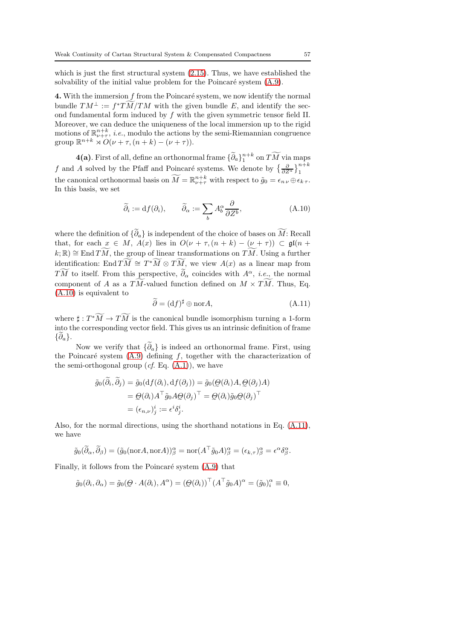which is just the first structural system [\(2.15\)](#page-12-3). Thus, we have established the solvability of the initial value problem for the Poincaré system  $(A.9)$ .

4. With the immersion  $f$  from the Poincaré system, we now identify the normal bundle  $TM^{\perp} := f^*TM/TM$  with the given bundle E, and identify the second fundamental form induced by f with the given symmetric tensor field II. Moreover, we can deduce the uniqueness of the local immersion up to the rigid motions of  $\mathbb{R}^{n+k}_{\nu+\tau}$ , *i.e.*, modulo the actions by the semi-Riemannian congruence group  $\mathbb{R}^{n+k} \rtimes O(\nu + \tau, (n+k) - (\nu + \tau)).$ 

 $4(a)$ . First of all, define an orthonormal frame  $\{\widetilde{\partial}_a\}_1^{n+k}$  on  $\widetilde{TM}$  via maps f and A solved by the Pfaff and Poincaré systems. We denote by  $\left\{\frac{\partial}{\partial Z^a}\right\}_1^{n+k}$ the canonical orthonormal basis on  $\widetilde{M} = \mathbb{R}^{n+k}_{\nu+\tau}$  with respect to  $\widetilde{g}_0 = \epsilon_{n\,\nu} \oplus \epsilon_{k\,\tau}$ . In this basis, we set

<span id="page-56-0"></span>
$$
\widetilde{\partial}_i := df(\partial_i), \qquad \widetilde{\partial}_\alpha := \sum_b A_b^\alpha \frac{\partial}{\partial Z^b}, \tag{A.10}
$$

where the definition of  $\{\partial_a\}$  is independent of the choice of bases on M: Recall that, for each  $x \in M$ ,  $A(x)$  lies in  $O(\nu + \tau, (n + k) - (\nu + \tau)) \subset \mathfrak{gl}(n + k)$  $(k; \mathbb{R}) \cong \text{End } \widetilde{TM}$ , the group of linear transformations on  $\widetilde{TM}$ . Using a further identification: End  $TM \cong T^*M \otimes TM$ , we view  $A(x)$  as a linear map from  $TM$  to itself. From this perspective,  $\partial_{\alpha}$  coincides with  $A^{\alpha}$ , *i.e.*, the normal component of A as a TM-valued function defined on  $M \times TM$ . Thus, Eq. [\(A.10\)](#page-56-0) is equivalent to

<span id="page-56-1"></span>
$$
\widetilde{\partial} = (\mathrm{d}f)^{\sharp} \oplus \mathrm{nor} A,\tag{A.11}
$$

where  $\sharp : T^*M \to TM$  is the canonical bundle isomorphism turning a 1-form into the corresponding vector field. This gives us an intrinsic definition of frame  $\{\overline{\partial}_a\}.$ 

Now we verify that  $\{\widetilde{\partial}_a\}$  is indeed an orthonormal frame. First, using the Poincaré system  $(A.9)$  defining f, together with the characterization of the semi-orthogonal group  $(cf. Eq. (A.1))$  $(cf. Eq. (A.1))$  $(cf. Eq. (A.1))$ , we have

$$
\tilde{g}_0(\partial_i, \partial_j) = \tilde{g}_0(\mathrm{d}f(\partial_i), \mathrm{d}f(\partial_j)) = \tilde{g}_0(\mathcal{Q}(\partial_i)A, \mathcal{Q}(\partial_j)A)
$$
  
\n
$$
= \mathcal{Q}(\partial_i)A^\top \tilde{g}_0 A \mathcal{Q}(\partial_j)^\top = \mathcal{Q}(\partial_i) \tilde{g}_0 \mathcal{Q}(\partial_j)^\top
$$
  
\n
$$
= (\epsilon_{n,\nu})^i_j := \epsilon^i \delta^i_j.
$$

Also, for the normal directions, using the shorthand notations in Eq. [\(A.11\)](#page-56-1), we have

$$
\tilde{g}_0(\tilde{\partial}_{\alpha}, \tilde{\partial}_{\beta}) = (\tilde{g}_0(\text{nor}A, \text{nor}A))_{\beta}^{\alpha} = \text{nor}(A^{\top}\tilde{g}_0A)_{\beta}^{\alpha} = (\epsilon_{k,\tau})_{\beta}^{\alpha} = \epsilon^{\alpha}\delta_{\beta}^{\alpha}.
$$

Finally, it follows from the Poincaré system  $(A.9)$  that

$$
\tilde{g}_0(\partial_i, \partial_\alpha) = \tilde{g}_0(\mathcal{Q} \cdot A(\partial_i), A^\alpha) = (\mathcal{Q}(\partial_i))^\top (A^\top \tilde{g}_0 A)^\alpha = (\tilde{g}_0)_i^\alpha \equiv 0,
$$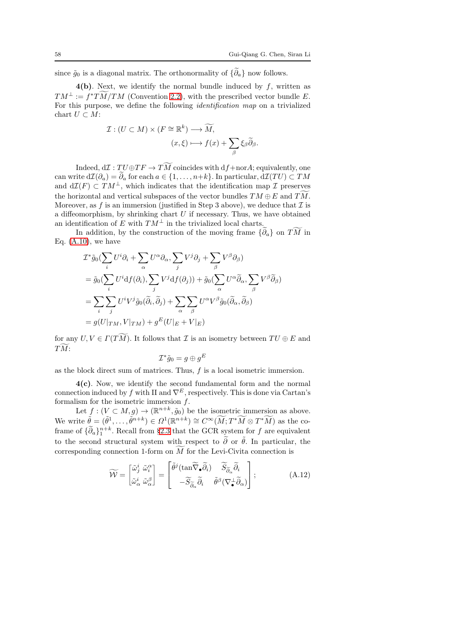since  $\tilde{g}_0$  is a diagonal matrix. The orthonormality of  $\{\tilde{\partial}_a\}$  now follows.

 $4(b)$ . Next, we identify the normal bundle induced by f, written as  $TM^{\perp} := f^*TM/TM$  (Convention [2.2\)](#page-6-1), with the prescribed vector bundle E. For this purpose, we define the following identification map on a trivialized chart  $U \subset M$ :

$$
\mathcal{I}: (U \subset M) \times (F \cong \mathbb{R}^k) \longrightarrow \widetilde{M},
$$

$$
(x,\xi) \longmapsto f(x) + \sum_{\beta} \xi_{\beta} \widetilde{\partial}_{\beta}.
$$

Indeed,  $d\mathcal{I}: TU\oplus TF\to TM$  coincides with  $df + norA$ ; equivalently, one can write  $d\mathcal{I}(\partial_a) = \widetilde{\partial}_a$  for each  $a \in \{1, \ldots, n+k\}$ . In particular,  $d\mathcal{I}(TU) \subset TM$ and  $d\mathcal{I}(F) \subset TM^{\perp}$ , which indicates that the identification map  $\mathcal I$  preserves the horizontal and vertical subspaces of the vector bundles  $TM \oplus E$  and  $TM$ . Moreover, as f is an immersion (justified in Step 3 above), we deduce that  $\mathcal I$  is a diffeomorphism, by shrinking chart  $U$  if necessary. Thus, we have obtained an identification of E with  $TM^{\perp}$  in the trivialized local charts.

In addition, by the construction of the moving frame  $\{\partial_a\}$  on  $TM$  in Eq.  $(A.10)$ , we have

$$
\mathcal{I}^*\tilde{g}_0(\sum_i U^i \partial_i + \sum_{\alpha} U^{\alpha} \partial_{\alpha}, \sum_j V^j \partial_j + \sum_{\beta} V^{\beta} \partial_{\beta})
$$
  
=  $\tilde{g}_0(\sum_i U^i df(\partial_i), \sum_j V^j df(\partial_j)) + \tilde{g}_0(\sum_{\alpha} U^{\alpha} \tilde{\partial}_{\alpha}, \sum_{\beta} V^{\beta} \tilde{\partial}_{\beta})$   
=  $\sum_i \sum_j U^i V^j \tilde{g}_0(\tilde{\partial}_i, \tilde{\partial}_j) + \sum_{\alpha} \sum_{\beta} U^{\alpha} V^{\beta} \tilde{g}_0(\tilde{\partial}_{\alpha}, \tilde{\partial}_{\beta})$   
=  $g(U|_{TM}, V|_{TM}) + g^E(U|_E + V|_E)$ 

for any  $U, V \in \Gamma(TM)$ . It follows that  $\mathcal I$  is an isometry between  $TU \oplus E$  and  $TM$ :

$$
\mathcal{I}^*\tilde{g}_0=g\oplus g^E
$$

as the block direct sum of matrices. Thus, f is a local isometric immersion.

4(c). Now, we identify the second fundamental form and the normal connection induced by f with II and  $\nabla^E$ , respectively. This is done via Cartan's formalism for the isometric immersion  $f$ .

Let  $f : (V \subset M, g) \to (\mathbb{R}^{n+k}, \tilde{g}_0)$  be the isometric immersion as above. We write  $\tilde{\theta} = (\tilde{\theta}^1, \dots, \tilde{\theta}^{n+k}) \in \Omega^1(\mathbb{R}^{n+k}) \cong C^\infty(\widetilde{M}; T^*\widetilde{M} \otimes T^*\widetilde{M})$  as the coframe of  $\{\widetilde{\partial}_a\}_1^{n+k}$ . Recall from §[2.3](#page-10-0) that the GCR system for f are equivalent to the second structural system with respect to  $\tilde{\partial}$  or  $\tilde{\theta}$ . In particular, the corresponding connection 1-form on  $M$  for the Levi-Civita connection is

<span id="page-57-0"></span>
$$
\widetilde{\mathcal{W}} = \begin{bmatrix} \widetilde{\omega}_{j}^{i} & \widetilde{\omega}_{i}^{\alpha} \\ \widetilde{\omega}_{\alpha}^{i} & \widetilde{\omega}_{\alpha}^{\beta} \end{bmatrix} = \begin{bmatrix} \widetilde{\theta}^{j}(\tan \widetilde{\nabla}_{\bullet} \widetilde{\partial}_{i}) & \widetilde{S}_{\widetilde{\partial}_{\alpha}} \widetilde{\partial}_{i} \\ -\widetilde{S}_{\widetilde{\partial}_{\alpha}} \widetilde{\partial}_{i} & \widetilde{\theta}^{\beta}(\nabla_{\bullet}^{\perp} \widetilde{\partial}_{\alpha}) \end{bmatrix};
$$
\n(A.12)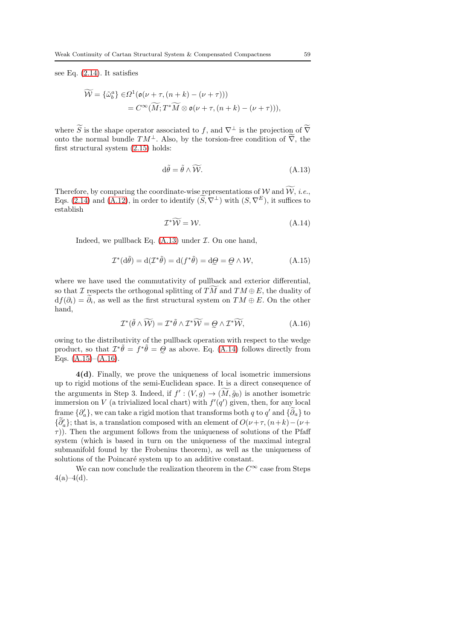see Eq. [\(2.14\)](#page-12-4). It satisfies

$$
\widetilde{\mathcal{W}} = \{\widetilde{\omega}_b^a\} \in \Omega^1(\mathfrak{o}(\nu + \tau, (n+k) - (\nu + \tau)))
$$
  
=  $C^\infty(\widetilde{M}; T^*\widetilde{M} \otimes \mathfrak{o}(\nu + \tau, (n+k) - (\nu + \tau))),$ 

where S is the shape operator associated to f, and  $\nabla^{\perp}$  is the projection of  $\overline{\nabla}$ onto the normal bundle  $TM^{\perp}$ . Also, by the torsion-free condition of  $\overline{V}$ , the first structural system [\(2.15\)](#page-12-3) holds:

<span id="page-58-0"></span>
$$
d\tilde{\theta} = \tilde{\theta} \wedge \widetilde{\mathcal{W}}.\tag{A.13}
$$

Therefore, by comparing the coordinate-wise representations of W and W, i.e., Eqs. [\(2.14\)](#page-12-4) and [\(A.12\)](#page-57-0), in order to identify  $(S, \nabla^{\perp})$  with  $(S, \nabla^{E})$ , it suffices to establish

<span id="page-58-1"></span>
$$
\mathcal{I}^*\widetilde{\mathcal{W}} = \mathcal{W}.\tag{A.14}
$$

Indeed, we pullback Eq.  $(A.13)$  under  $\mathcal I$ . On one hand,

<span id="page-58-2"></span>
$$
\mathcal{I}^*(d\tilde{\theta}) = d(\mathcal{I}^*\tilde{\theta}) = d(f^*\tilde{\theta}) = d\Theta = \Theta \wedge \mathcal{W}, \tag{A.15}
$$

where we have used the commutativity of pullback and exterior differential, so that I respects the orthogonal splitting of TM and  $TM \oplus E$ , the duality of  $df(\partial_i) = \partial_i$ , as well as the first structural system on  $TM \oplus E$ . On the other hand,

<span id="page-58-3"></span>
$$
\mathcal{I}^*(\tilde{\theta} \wedge \widetilde{\mathcal{W}}) = \mathcal{I}^*\tilde{\theta} \wedge \mathcal{I}^*\widetilde{\mathcal{W}} = \mathcal{Q} \wedge \mathcal{I}^*\widetilde{\mathcal{W}},\tag{A.16}
$$

e owing to the distributivity of the pullback operation with respect to the wedge product, so that  $\mathcal{I}^*\tilde{\theta} = f^*\tilde{\theta} = \tilde{\theta}$  as above. Eq. [\(A.14\)](#page-58-1) follows directly from Eqs. [\(A.15\)](#page-58-2)–[\(A.16\)](#page-58-3).

4(d). Finally, we prove the uniqueness of local isometric immersions up to rigid motions of the semi-Euclidean space. It is a direct consequence of the arguments in Step 3. Indeed, if  $f' : (V, g) \to (\overline{M}, \tilde{g}_0)$  is another isometric immersion on V (a trivialized local chart) with  $f'(q')$  given, then, for any local frame  $\{\partial'_a\}$ , we can take a rigid motion that transforms both q to  $q'$  and  $\{\partial_a\}$  to  ${\partial'_a}$ ; that is, a translation composed with an element of  $O(\nu + \tau, (n+k) - (\nu +$  $\tau$ )). Then the argument follows from the uniqueness of solutions of the Pfaff system (which is based in turn on the uniqueness of the maximal integral submanifold found by the Frobenius theorem), as well as the uniqueness of solutions of the Poincaré system up to an additive constant.

We can now conclude the realization theorem in the  $C^{\infty}$  case from Steps  $4(a)-4(d)$ .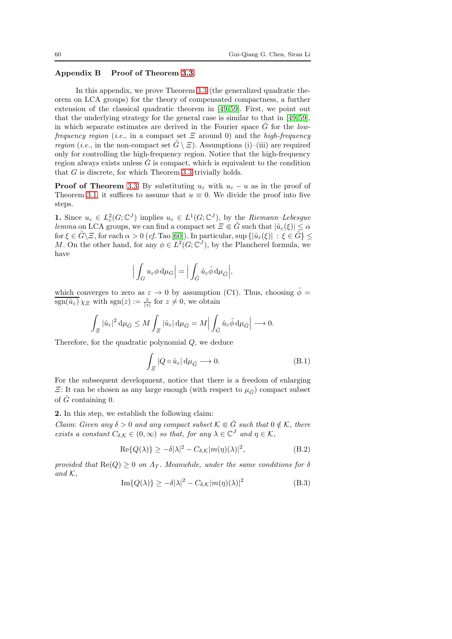## Appendix B Proof of Theorem [3.3](#page-27-1)

In this appendix, we prove Theorem [3.3](#page-27-1) (the generalized quadratic theorem on LCA groups) for the theory of compensated compactness, a further extension of the classical quadratic theorem in [\[49,](#page-63-9)[59\]](#page-63-10). First, we point out that the underlying strategy for the general case is similar to that in [\[49,](#page-63-9)[59\]](#page-63-10), in which separate estimates are derived in the Fourier space  $\tilde{G}$  for the lowfrequency region (i.e., in a compact set  $\Xi$  around 0) and the high-frequency *region* (*i.e.*, in the non-compact set  $\hat{G} \setminus \Xi$ ). Assumptions (i)–(iii) are required only for controlling the high-frequency region. Notice that the high-frequency region always exists unless  $\tilde{G}$  is compact, which is equivalent to the condition that G is discrete, for which Theorem [3.3](#page-27-1) trivially holds.

**Proof of Theorem** [3.3.](#page-27-1) By substituting  $u_{\varepsilon}$  with  $u_{\varepsilon} - u$  as in the proof of Theorem [3.1,](#page-16-0) it suffices to assume that  $u \equiv 0$ . We divide the proof into five steps.

**1.** Since  $u_{\varepsilon} \in L_c^2(G; \mathbb{C}^J)$  implies  $u_{\varepsilon} \in L^1(G; \mathbb{C}^J)$ , by the Riemann-Lebesgue lemma on LCA groups, we can find a compact set  $\Xi \in \hat{G}$  such that  $|\hat{u}_{\varepsilon}(\xi)| \leq \alpha$ for  $\xi \in \hat{G} \setminus \Xi$ , for each  $\alpha > 0$  (cf. Tao [\[60\]](#page-63-20)). In particular, sup  $\{|\hat{u}_{\varepsilon}(\xi)| : \xi \in \hat{G}\}\leq$ M. On the other hand, for any  $\phi \in L^2(G; \mathbb{C}^J)$ , by the Plancherel formula, we have

$$
\Big|\int_G u_\varepsilon \phi \mathop{}\!\mathrm{d} \mu_G\Big|=\Big|\int_{\hat G} \hat u_\varepsilon \hat \phi \mathop{}\!\mathrm{d} \mu_{\hat G}\Big|,
$$

which converges to zero as  $\varepsilon \to 0$  by assumption (C1). Thus, choosing  $\phi =$  $\overline{\text{sgn}(\hat{u}_{\varepsilon})}\chi_{\Xi}$  with  $\text{sgn}(z) := \frac{z}{|z|}$  for  $z \neq 0$ , we obtain

$$
\int_{\varXi}|\hat{u}_{\varepsilon}|^{2}\,\mathrm{d}\mu_{\hat{G}}\leq M\int_{\varXi}|\hat{u}_{\varepsilon}|\,\mathrm{d}\mu_{\hat{G}}=M\Big|\int_{\hat{G}}\hat{u}_{\varepsilon}\hat{\phi}\,\mathrm{d}\mu_{\hat{G}}\Big|\longrightarrow0.
$$

Therefore, for the quadratic polynomial Q, we deduce

<span id="page-59-1"></span>
$$
\int_{\Xi} |Q \circ \hat{u}_{\varepsilon}| \, \mathrm{d}\mu_{\hat{G}} \longrightarrow 0. \tag{B.1}
$$

For the subsequent development, notice that there is a freedom of enlarging  $\Xi$ : It can be chosen as any large enough (with respect to  $\mu_{\hat{G}}$ ) compact subset of  $\tilde{G}$  containing 0.

2. In this step, we establish the following claim:

Claim: Given any  $\delta > 0$  and any compact subset  $\mathcal{K} \in \hat{G}$  such that  $0 \notin \mathcal{K}$ , there exists a constant  $C_{\delta,\mathcal{K}} \in (0,\infty)$  so that, for any  $\lambda \in \mathbb{C}^J$  and  $\eta \in \mathcal{K}$ ,

<span id="page-59-0"></span>
$$
\operatorname{Re}\{Q(\lambda)\} \ge -\delta|\lambda|^2 - C_{\delta,\mathcal{K}}|m(\eta)(\lambda)|^2, \tag{B.2}
$$

provided that  $\text{Re}(Q) \geq 0$  on  $\Lambda_T$ . Meanwhile, under the same conditions for  $\delta$ and  $K$ ,

$$
\operatorname{Im}\{Q(\lambda)\} \ge -\delta|\lambda|^2 - C_{\delta,\mathcal{K}}|m(\eta)(\lambda)|^2
$$
 (B.3)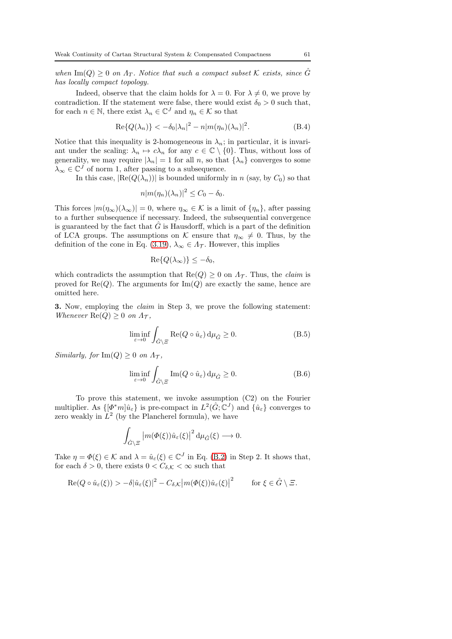when  $\text{Im}(Q) \geq 0$  on  $\Lambda_T$ . Notice that such a compact subset K exists, since  $\hat{G}$ has locally compact topology.

Indeed, observe that the claim holds for  $\lambda = 0$ . For  $\lambda \neq 0$ , we prove by contradiction. If the statement were false, there would exist  $\delta_0 > 0$  such that, for each  $n \in \mathbb{N}$ , there exist  $\lambda_n \in \mathbb{C}^J$  and  $\eta_n \in \mathcal{K}$  so that

$$
\operatorname{Re}\{Q(\lambda_n)\} < -\delta_0|\lambda_n|^2 - n|m(\eta_n)(\lambda_n)|^2. \tag{B.4}
$$

Notice that this inequality is 2-homogeneous in  $\lambda_n$ ; in particular, it is invariant under the scaling:  $\lambda_n \mapsto c\lambda_n$  for any  $c \in \mathbb{C} \setminus \{0\}$ . Thus, without loss of generality, we may require  $|\lambda_n| = 1$  for all n, so that  $\{\lambda_n\}$  converges to some  $\lambda_{\infty} \in \mathbb{C}^{J}$  of norm 1, after passing to a subsequence.

In this case,  $|Re(Q(\lambda_n))|$  is bounded uniformly in n (say, by  $C_0$ ) so that

$$
n|m(\eta_n)(\lambda_n)|^2 \leq C_0 - \delta_0.
$$

This forces  $|m(\eta_{\infty})(\lambda_{\infty})|=0$ , where  $\eta_{\infty}\in\mathcal{K}$  is a limit of  $\{\eta_n\}$ , after passing to a further subsequence if necessary. Indeed, the subsequential convergence is guaranteed by the fact that  $\hat{G}$  is Hausdorff, which is a part of the definition of LCA groups. The assumptions on K ensure that  $\eta_{\infty} \neq 0$ . Thus, by the definition of the cone in Eq. [\(3.19\)](#page-28-2),  $\lambda_{\infty} \in A_{\mathcal{T}}$ . However, this implies

$$
\operatorname{Re}\{Q(\lambda_{\infty})\} \leq -\delta_0,
$$

which contradicts the assumption that  $\text{Re}(Q) \geq 0$  on  $\Lambda_{\tau}$ . Thus, the *claim* is proved for  $\text{Re}(Q)$ . The arguments for  $\text{Im}(Q)$  are exactly the same, hence are omitted here.

3. Now, employing the claim in Step 3, we prove the following statement: Whenever  $\text{Re}(Q) \geq 0$  on  $\Lambda_{\mathcal{T}}$ ,

<span id="page-60-0"></span>
$$
\liminf_{\varepsilon \to 0} \int_{\hat{G}\setminus \Xi} \text{Re}(Q \circ \hat{u}_{\varepsilon}) d\mu_{\hat{G}} \ge 0.
$$
 (B.5)

Similarly, for  $\text{Im}(Q) > 0$  on  $\Lambda_{\mathcal{T}}$ ,

<span id="page-60-1"></span>
$$
\liminf_{\varepsilon \to 0} \int_{\hat{G}\setminus \Xi} \text{Im}(Q \circ \hat{u}_{\varepsilon}) \,d\mu_{\hat{G}} \ge 0. \tag{B.6}
$$

To prove this statement, we invoke assumption (C2) on the Fourier multiplier. As  $\{\phi^*m|\hat{u}_{\varepsilon}\}\)$  is pre-compact in  $L^2(\hat{G};\mathbb{C}^J)$  and  $\{\hat{u}_{\varepsilon}\}\)$  converges to zero weakly in  $L^2$  (by the Plancherel formula), we have

$$
\int_{\hat{G}\setminus\Xi} \left| m(\varPhi(\xi))\hat{u}_{\varepsilon}(\xi) \right|^2 d\mu_{\hat{G}}(\xi) \longrightarrow 0.
$$

Take  $\eta = \Phi(\xi) \in \mathcal{K}$  and  $\lambda = \hat{u}_{\varepsilon}(\xi) \in \mathbb{C}^J$  in Eq. [\(B.2\)](#page-59-0) in Step 2. It shows that, for each  $\delta > 0$ , there exists  $0 < C_{\delta,\mathcal{K}} < \infty$  such that

$$
\mathrm{Re}(Q \circ \hat{u}_{\varepsilon}(\xi)) > -\delta |\hat{u}_{\varepsilon}(\xi)|^2 - C_{\delta,\mathcal{K}} \big| m(\varPhi(\xi))\hat{u}_{\varepsilon}(\xi) \big|^2 \qquad \text{for } \xi \in \hat{G} \setminus \Xi.
$$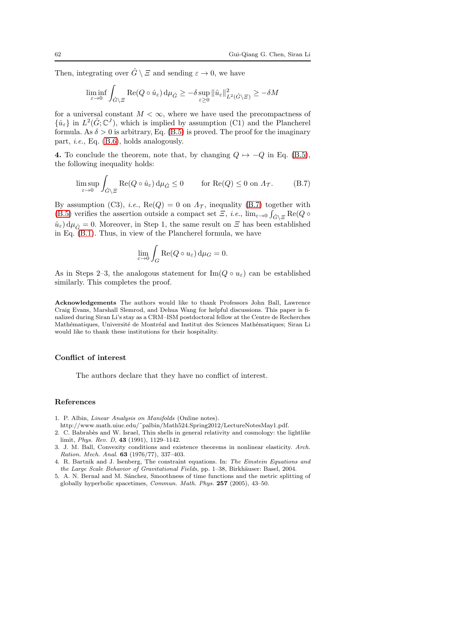Then, integrating over  $\hat{G} \setminus \Xi$  and sending  $\varepsilon \to 0$ , we have

$$
\liminf_{\varepsilon \to 0} \int_{\hat{G}\setminus \Xi} \text{Re}(Q \circ \hat{u}_{\varepsilon}) d\mu_{\hat{G}} \geq -\delta \sup_{\varepsilon \geq 0} \|\hat{u}_{\varepsilon}\|_{L^2(\hat{G}\setminus \Xi)}^2 \geq -\delta M
$$

for a universal constant  $M < \infty$ , where we have used the precompactness of  $\{\hat{u}_{\varepsilon}\}\$  in  $L^2(\hat{G};\mathbb{C}^J)$ , which is implied by assumption (C1) and the Plancherel formula. As  $\delta > 0$  is arbitrary, Eq. [\(B.5\)](#page-60-0) is proved. The proof for the imaginary part, i.e., Eq. [\(B.6\)](#page-60-1), holds analogously.

4. To conclude the theorem, note that, by changing  $Q \mapsto -Q$  in Eq. [\(B.5\)](#page-60-0), the following inequality holds:

<span id="page-61-3"></span>
$$
\limsup_{\varepsilon \to 0} \int_{\hat{G} \backslash \Xi} \text{Re}(Q \circ \hat{u}_{\varepsilon}) d\mu_{\hat{G}} \le 0 \qquad \text{for } \text{Re}(Q) \le 0 \text{ on } \Lambda_{\mathcal{T}}.
$$
 (B.7)

By assumption (C3), *i.e.*,  $\text{Re}(Q) = 0$  on  $\Lambda_{\tau}$ , inequality [\(B.7\)](#page-61-3) together with [\(B.5\)](#page-60-0) verifies the assertion outside a compact set  $\Xi$ , *i.e.*,  $\lim_{\varepsilon \to 0} \int_{\hat{G} \setminus \Xi} \text{Re}(Q \circ$  $\hat{u}_{\varepsilon}$ )  $d\mu_{\hat{G}} = 0$ . Moreover, in Step 1, the same result on  $\Xi$  has been established in Eq. [\(B.1\)](#page-59-1). Thus, in view of the Plancherel formula, we have

$$
\lim_{\varepsilon \to 0} \int_G \text{Re}(Q \circ u_{\varepsilon}) \,d\mu_G = 0.
$$

As in Steps 2–3, the analogous statement for  $\text{Im}(Q \circ u_{\varepsilon})$  can be established similarly. This completes the proof.

Acknowledgements The authors would like to thank Professors John Ball, Lawrence Craig Evans, Marshall Slemrod, and Dehua Wang for helpful discussions. This paper is finalized during Siran Li's stay as a CRM–ISM postdoctoral fellow at the Centre de Recherches Mathématiques, Université de Montréal and Institut des Sciences Mathématiques; Siran Li would like to thank these institutions for their hospitality.

#### Conflict of interest

The authors declare that they have no conflict of interest.

#### References

- <span id="page-61-1"></span>1. P. Albin, Linear Analysis on Manifolds (Online notes).
- <span id="page-61-0"></span>http://www.math.uiuc.edu/˜palbin/Math524.Spring2012/LectureNotesMay1.pdf.
- 2. C. Babrabès and W. Israel, Thin shells in general relativity and cosmology: the lightlike limit, Phys. Rev. D, 43 (1991), 1129–1142.
- 3. J. M. Ball, Convexity conditions and existence theorems in nonlinear elasticity. Arch. Ration. Mech. Anal. 63 (1976/77), 337–403.
- <span id="page-61-2"></span>4. R. Bartnik and J. Isenberg, The constraint equations. In: The Einstein Equations and the Large Scale Behavior of Gravitational Fields, pp. 1-38, Birkhäuser: Basel, 2004.
- 5. A. N. Bernal and M. Sánchez, Smoothness of time functions and the metric splitting of globally hyperbolic spacetimes, Commun. Math. Phys. 257 (2005), 43–50.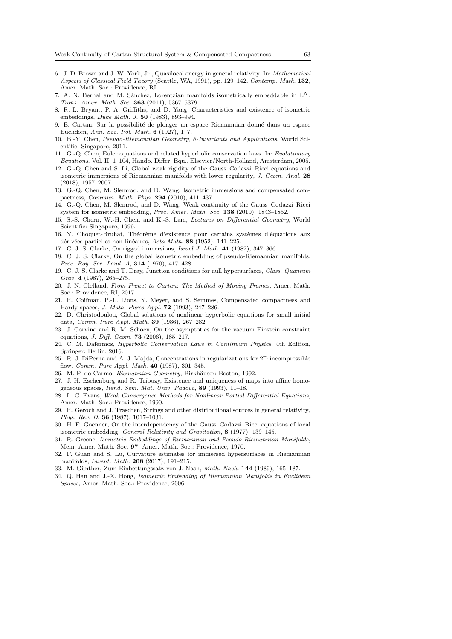- <span id="page-62-15"></span>6. J. D. Brown and J. W. York, Jr., Quasilocal energy in general relativity. In: Mathematical Aspects of Classical Field Theory (Seattle, WA, 1991), pp. 129–142, Contemp. Math. 132, Amer. Math. Soc.: Providence, RI.
- 7. A. N. Bernal and M. Sánchez, Lorentzian manifolds isometrically embeddable in  $\mathbb{L}^N$ , Trans. Amer. Math. Soc. 363 (2011), 5367–5379.
- <span id="page-62-0"></span>8. R. L. Bryant, P. A. Griffiths, and D. Yang, Characteristics and existence of isometric embeddings, Duke Math. J. 50 (1983), 893–994.
- 9. E. Cartan, Sur la possibilité de plonger un espace Riemannian donné dans un espace Euclidien, Ann. Soc. Pol. Math. 6 (1927), 1–7.
- <span id="page-62-20"></span>10. B.-Y. Chen, Pseudo-Riemannian Geometry, δ-Invariants and Applications, World Scientific: Singapore, 2011.
- <span id="page-62-13"></span>11. G.-Q. Chen, Euler equations and related hyperbolic conservation laws. In: Evolutionary Equations. Vol. II, 1–104, Handb. Differ. Equ., Elsevier/North-Holland, Amsterdam, 2005.
- <span id="page-62-11"></span>12. G.-Q. Chen and S. Li, Global weak rigidity of the Gauss–Codazzi–Ricci equations and isometric immersions of Riemannian manifolds with lower regularity, J. Geom. Anal. 28 (2018), 1957–2007.
- <span id="page-62-9"></span>13. G.-Q. Chen, M. Slemrod, and D. Wang, Isometric immersions and compensated compactness, Commun. Math. Phys. 294 (2010), 411–437.
- <span id="page-62-10"></span>14. G.-Q. Chen, M. Slemrod, and D. Wang, Weak continuity of the Gauss–Codazzi–Ricci system for isometric embedding, Proc. Amer. Math. Soc. 138 (2010), 1843–1852.
- <span id="page-62-18"></span>15. S.-S. Chern, W.-H. Chen, and K.-S. Lam, Lectures on Differential Geometry, World Scientific: Singapore, 1999.
- <span id="page-62-22"></span>16. Y. Choquet-Bruhat, Théorème d'existence pour certains systèmes d'équations aux dérivées partielles non linéaires, Acta Math. 88 (1952), 141–225.
- <span id="page-62-6"></span>17. C. J. S. Clarke, On rigged immersions, Israel J. Math. 41 (1982), 347–366.
- 18. C. J. S. Clarke, On the global isometric embedding of pseudo-Riemannian manifolds, Proc. Roy. Soc. Lond. A, 314 (1970), 417–428.
- <span id="page-62-4"></span>19. C. J. S. Clarke and T. Dray, Junction conditions for null hypersurfaces, Class. Quantum Grav. 4 (1987), 265–275.
- <span id="page-62-17"></span>20. J. N. Clelland, From Frenet to Cartan: The Method of Moving Frames, Amer. Math. Soc.: Providence, RI, 2017.
- 21. R. Coifman, P.-L. Lions, Y. Meyer, and S. Semmes, Compensated compactness and Hardy spaces, J. Math. Pures Appl. 72 (1993), 247–286.
- <span id="page-62-21"></span>22. D. Christodoulou, Global solutions of nonlinear hyperbolic equations for small initial data, Comm. Pure Appl. Math. 39 (1986), 267–282.
- <span id="page-62-23"></span>23. J. Corvino and R. M. Schoen, On the asymptotics for the vacuum Einstein constraint equations, *J. Diff. Geom.* **73** (2006), 185-217.
- <span id="page-62-14"></span>24. C. M. Dafermos, Hyperbolic Conservation Laws in Continuum Physics, 4th Edition, Springer: Berlin, 2016.
- 25. R. J. DiPerna and A. J. Majda, Concentrations in regularizations for 2D incompressible flow, Comm. Pure Appl. Math. 40 (1987), 301–345.
- <span id="page-62-19"></span><span id="page-62-16"></span>26. M. P. do Carmo, Riemannian Geometry, Birkhäuser: Boston, 1992.
- 27. J. H. Eschenburg and R. Tribuzy, Existence and uniqueness of maps into affine homogeneous spaces, Rend. Sem. Mat. Univ. Padova,  $89$  (1993), 11–18.
- <span id="page-62-12"></span>28. L. C. Evans, Weak Convergence Methods for Nonlinear Partial Differential Equations, Amer. Math. Soc.: Providence, 1990.
- <span id="page-62-5"></span>29. R. Geroch and J. Traschen, Strings and other distributional sources in general relativity, Phys. Rev. D, 36 (1987), 1017–1031.
- <span id="page-62-7"></span>30. H. F. Goenner, On the interdependency of the Gauss–Codazzi–Ricci equations of local isometric embedding, General Relativity and Gravitation, 8 (1977), 139–145.
- <span id="page-62-8"></span>31. R. Greene, Isometric Embeddings of Riemannian and Pseudo-Riemannian Manifolds, Mem. Amer. Math. Soc. 97, Amer. Math. Soc.: Providence, 1970.
- <span id="page-62-3"></span>32. P. Guan and S. Lu, Curvature estimates for immersed hypersurfaces in Riemannian manifolds, Invent. Math. 208 (2017), 191–215.
- <span id="page-62-2"></span><span id="page-62-1"></span>33. M. Günther, Zum Einbettungssatz von J. Nash, Math. Nach. 144 (1989), 165-187.
- 34. Q. Han and J.-X. Hong, Isometric Embedding of Riemannian Manifolds in Euclidean Spaces, Amer. Math. Soc.: Providence, 2006.